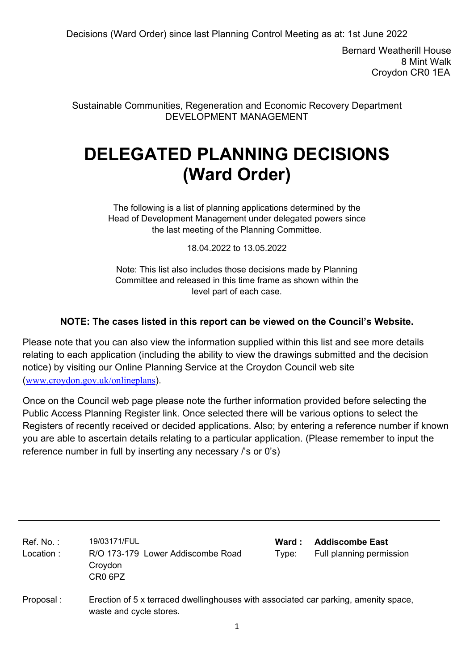Bernard Weatherill House 8 Mint Walk Croydon CR0 1EA

Sustainable Communities, Regeneration and Economic Recovery Department DEVELOPMENT MANAGEMENT

# **DELEGATED PLANNING DECISIONS (Ward Order)**

The following is a list of planning applications determined by the Head of Development Management under delegated powers since the last meeting of the Planning Committee.

18.04.2022 to 13.05.2022

Note: This list also includes those decisions made by Planning Committee and released in this time frame as shown within the level part of each case.

### **NOTE: The cases listed in this report can be viewed on the Council's Website.**

Please note that you can also view the information supplied within this list and see more details relating to each application (including the ability to view the drawings submitted and the decision notice) by visiting our Online Planning Service at the Croydon Council web site (www.croydon.gov.uk/onlineplans).

Once on the Council web page please note the further information provided before selecting the Public Access Planning Register link. Once selected there will be various options to select the Registers of recently received or decided applications. Also; by entering a reference number if known you are able to ascertain details relating to a particular application. (Please remember to input the reference number in full by inserting any necessary /'s or 0's)

| Ref. No. :<br>Location : | 19/03171/FUL<br>R/O 173-179 Lower Addiscombe Road<br>Croydon<br>CR <sub>0</sub> 6PZ                            | Ward :<br>Type: | <b>Addiscombe East</b><br>Full planning permission |
|--------------------------|----------------------------------------------------------------------------------------------------------------|-----------------|----------------------------------------------------|
| Proposal:                | Erection of 5 x terraced dwellinghouses with associated car parking, amenity space,<br>waste and cycle stores. |                 |                                                    |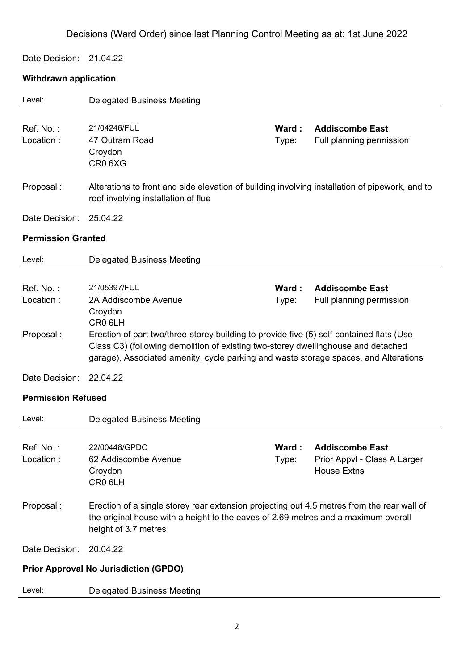Date Decision: 21.04.22

### **Withdrawn application**

| Level:                    | <b>Delegated Business Meeting</b>                                                                                                                                                                                                                                     |                        |                                                                              |
|---------------------------|-----------------------------------------------------------------------------------------------------------------------------------------------------------------------------------------------------------------------------------------------------------------------|------------------------|------------------------------------------------------------------------------|
| Ref. No.:<br>Location:    | 21/04246/FUL<br>47 Outram Road<br>Croydon<br>CR <sub>0</sub> 6X <sub>G</sub>                                                                                                                                                                                          | Ward:<br>Type:         | <b>Addiscombe East</b><br>Full planning permission                           |
| Proposal:                 | Alterations to front and side elevation of building involving installation of pipework, and to<br>roof involving installation of flue                                                                                                                                 |                        |                                                                              |
| Date Decision:            | 25.04.22                                                                                                                                                                                                                                                              |                        |                                                                              |
| <b>Permission Granted</b> |                                                                                                                                                                                                                                                                       |                        |                                                                              |
| Level:                    | <b>Delegated Business Meeting</b>                                                                                                                                                                                                                                     |                        |                                                                              |
| Ref. No.:<br>Location:    | 21/05397/FUL<br>2A Addiscombe Avenue<br>Croydon<br>CR <sub>0</sub> 6LH                                                                                                                                                                                                | Ward:<br>Type:         | <b>Addiscombe East</b><br>Full planning permission                           |
| Proposal:                 | Erection of part two/three-storey building to provide five (5) self-contained flats (Use<br>Class C3) (following demolition of existing two-storey dwellinghouse and detached<br>garage), Associated amenity, cycle parking and waste storage spaces, and Alterations |                        |                                                                              |
| Date Decision:            | 22.04.22                                                                                                                                                                                                                                                              |                        |                                                                              |
| <b>Permission Refused</b> |                                                                                                                                                                                                                                                                       |                        |                                                                              |
| Level:                    | <b>Delegated Business Meeting</b>                                                                                                                                                                                                                                     |                        |                                                                              |
| Ref. No.:<br>Location:    | 22/00448/GPDO<br>62 Addiscombe Avenue<br>Croydon<br>CR0 6LH                                                                                                                                                                                                           | <b>Ward :</b><br>Type: | <b>Addiscombe East</b><br>Prior Appvl - Class A Larger<br><b>House Extns</b> |
| Proposal:                 | Erection of a single storey rear extension projecting out 4.5 metres from the rear wall of<br>the original house with a height to the eaves of 2.69 metres and a maximum overall<br>height of 3.7 metres                                                              |                        |                                                                              |
| Date Decision:            | 20.04.22                                                                                                                                                                                                                                                              |                        |                                                                              |
|                           | <b>Prior Approval No Jurisdiction (GPDO)</b>                                                                                                                                                                                                                          |                        |                                                                              |
| Level:                    | <b>Delegated Business Meeting</b>                                                                                                                                                                                                                                     |                        |                                                                              |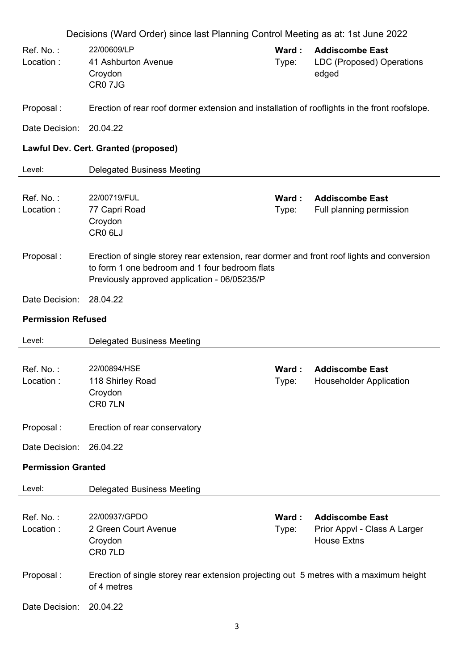|                           | Decisions (Ward Order) since last Planning Control Meeting as at: 1st June 2022                                                                                                              |                |                                                                              |
|---------------------------|----------------------------------------------------------------------------------------------------------------------------------------------------------------------------------------------|----------------|------------------------------------------------------------------------------|
| Ref. No.:<br>Location:    | 22/00609/LP<br>41 Ashburton Avenue<br>Croydon<br>CR0 7JG                                                                                                                                     | Ward:<br>Type: | <b>Addiscombe East</b><br>LDC (Proposed) Operations<br>edged                 |
| Proposal:                 | Erection of rear roof dormer extension and installation of rooflights in the front roofslope.                                                                                                |                |                                                                              |
| Date Decision:            | 20.04.22                                                                                                                                                                                     |                |                                                                              |
|                           | Lawful Dev. Cert. Granted (proposed)                                                                                                                                                         |                |                                                                              |
| Level:                    | <b>Delegated Business Meeting</b>                                                                                                                                                            |                |                                                                              |
| Ref. No.:<br>Location:    | 22/00719/FUL<br>77 Capri Road<br>Croydon<br>CR0 6LJ                                                                                                                                          | Ward:<br>Type: | <b>Addiscombe East</b><br>Full planning permission                           |
| Proposal:                 | Erection of single storey rear extension, rear dormer and front roof lights and conversion<br>to form 1 one bedroom and 1 four bedroom flats<br>Previously approved application - 06/05235/P |                |                                                                              |
| Date Decision:            | 28.04.22                                                                                                                                                                                     |                |                                                                              |
| <b>Permission Refused</b> |                                                                                                                                                                                              |                |                                                                              |
| Level:                    | <b>Delegated Business Meeting</b>                                                                                                                                                            |                |                                                                              |
| Ref. No.:<br>Location :   | 22/00894/HSE<br>118 Shirley Road<br>Croydon<br>CR07LN                                                                                                                                        | Ward:<br>Type: | <b>Addiscombe East</b><br>Householder Application                            |
| Proposal:                 | Erection of rear conservatory                                                                                                                                                                |                |                                                                              |
| Date Decision:            | 26.04.22                                                                                                                                                                                     |                |                                                                              |
| <b>Permission Granted</b> |                                                                                                                                                                                              |                |                                                                              |
| Level:                    | <b>Delegated Business Meeting</b>                                                                                                                                                            |                |                                                                              |
| Ref. No.:<br>Location:    | 22/00937/GPDO<br>2 Green Court Avenue<br>Croydon<br>CR07LD                                                                                                                                   | Ward:<br>Type: | <b>Addiscombe East</b><br>Prior Appvl - Class A Larger<br><b>House Extns</b> |
| Proposal:                 | Erection of single storey rear extension projecting out 5 metres with a maximum height<br>of 4 metres                                                                                        |                |                                                                              |
| Date Decision:            | 20.04.22                                                                                                                                                                                     |                |                                                                              |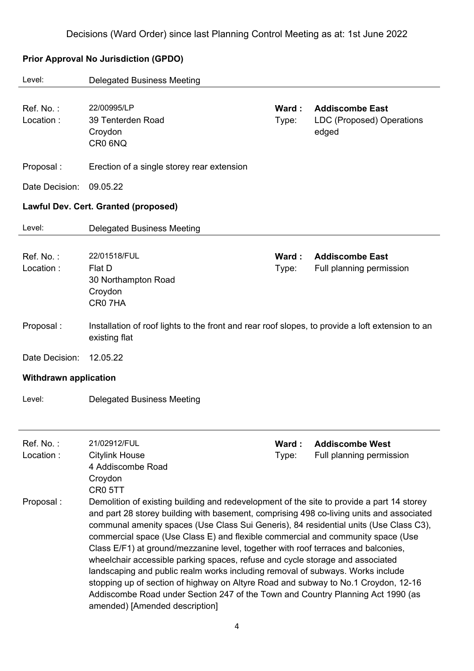| Level:                       | <b>Delegated Business Meeting</b>                                                                                                                                                                                                                                                                                                                                                                                                                                                                                                                                                                                                                                                                                                                                                                                                    |                 |                                                              |
|------------------------------|--------------------------------------------------------------------------------------------------------------------------------------------------------------------------------------------------------------------------------------------------------------------------------------------------------------------------------------------------------------------------------------------------------------------------------------------------------------------------------------------------------------------------------------------------------------------------------------------------------------------------------------------------------------------------------------------------------------------------------------------------------------------------------------------------------------------------------------|-----------------|--------------------------------------------------------------|
| Ref. No.:<br>Location:       | 22/00995/LP<br>39 Tenterden Road<br>Croydon<br>CR0 6NQ                                                                                                                                                                                                                                                                                                                                                                                                                                                                                                                                                                                                                                                                                                                                                                               | Ward :<br>Type: | <b>Addiscombe East</b><br>LDC (Proposed) Operations<br>edged |
| Proposal:                    | Erection of a single storey rear extension                                                                                                                                                                                                                                                                                                                                                                                                                                                                                                                                                                                                                                                                                                                                                                                           |                 |                                                              |
| Date Decision:               | 09.05.22                                                                                                                                                                                                                                                                                                                                                                                                                                                                                                                                                                                                                                                                                                                                                                                                                             |                 |                                                              |
|                              | Lawful Dev. Cert. Granted (proposed)                                                                                                                                                                                                                                                                                                                                                                                                                                                                                                                                                                                                                                                                                                                                                                                                 |                 |                                                              |
| Level:                       | <b>Delegated Business Meeting</b>                                                                                                                                                                                                                                                                                                                                                                                                                                                                                                                                                                                                                                                                                                                                                                                                    |                 |                                                              |
| Ref. No.:<br>Location:       | 22/01518/FUL<br>Flat D<br>30 Northampton Road<br>Croydon<br>CR07HA                                                                                                                                                                                                                                                                                                                                                                                                                                                                                                                                                                                                                                                                                                                                                                   | Ward :<br>Type: | <b>Addiscombe East</b><br>Full planning permission           |
| Proposal:                    | Installation of roof lights to the front and rear roof slopes, to provide a loft extension to an<br>existing flat                                                                                                                                                                                                                                                                                                                                                                                                                                                                                                                                                                                                                                                                                                                    |                 |                                                              |
| Date Decision:               | 12.05.22                                                                                                                                                                                                                                                                                                                                                                                                                                                                                                                                                                                                                                                                                                                                                                                                                             |                 |                                                              |
| <b>Withdrawn application</b> |                                                                                                                                                                                                                                                                                                                                                                                                                                                                                                                                                                                                                                                                                                                                                                                                                                      |                 |                                                              |
| Level:                       | <b>Delegated Business Meeting</b>                                                                                                                                                                                                                                                                                                                                                                                                                                                                                                                                                                                                                                                                                                                                                                                                    |                 |                                                              |
| Ref. No.:<br>Location:       | 21/02912/FUL<br><b>Citylink House</b><br>4 Addiscombe Road<br>Croydon<br>CR0 5TT                                                                                                                                                                                                                                                                                                                                                                                                                                                                                                                                                                                                                                                                                                                                                     | Ward:<br>Type:  | <b>Addiscombe West</b><br>Full planning permission           |
| Proposal:                    | Demolition of existing building and redevelopment of the site to provide a part 14 storey<br>and part 28 storey building with basement, comprising 498 co-living units and associated<br>communal amenity spaces (Use Class Sui Generis), 84 residential units (Use Class C3),<br>commercial space (Use Class E) and flexible commercial and community space (Use<br>Class E/F1) at ground/mezzanine level, together with roof terraces and balconies,<br>wheelchair accessible parking spaces, refuse and cycle storage and associated<br>landscaping and public realm works including removal of subways. Works include<br>stopping up of section of highway on Altyre Road and subway to No.1 Croydon, 12-16<br>Addiscombe Road under Section 247 of the Town and Country Planning Act 1990 (as<br>amended) [Amended description] |                 |                                                              |

### **Prior Approval No Jurisdiction (GPDO)**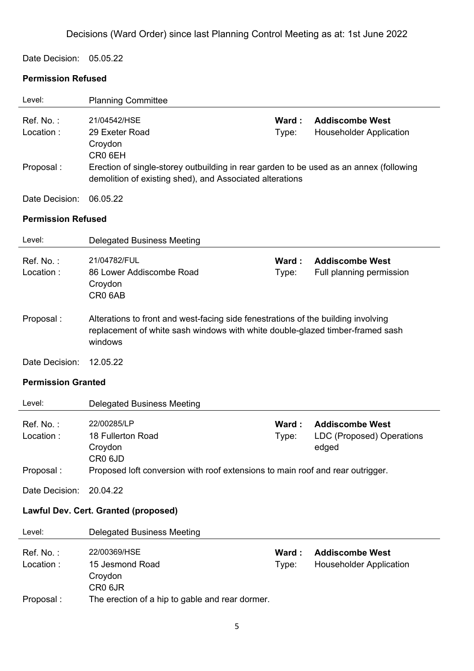#### Date Decision: 05.05.22

### **Permission Refused**

| Level:                              | <b>Planning Committee</b>                                                                                                                                                     |                |                                                              |
|-------------------------------------|-------------------------------------------------------------------------------------------------------------------------------------------------------------------------------|----------------|--------------------------------------------------------------|
| Ref. No.:<br>Location:              | 21/04542/HSE<br>29 Exeter Road<br>Croydon                                                                                                                                     | Ward:<br>Type: | <b>Addiscombe West</b><br><b>Householder Application</b>     |
| Proposal:                           | CR <sub>0</sub> 6EH<br>Erection of single-storey outbuilding in rear garden to be used as an annex (following<br>demolition of existing shed), and Associated alterations     |                |                                                              |
| Date Decision:                      | 06.05.22                                                                                                                                                                      |                |                                                              |
| <b>Permission Refused</b>           |                                                                                                                                                                               |                |                                                              |
| Level:                              | <b>Delegated Business Meeting</b>                                                                                                                                             |                |                                                              |
| Ref. No.:<br>Location:              | 21/04782/FUL<br>86 Lower Addiscombe Road<br>Croydon<br>CR0 6AB                                                                                                                | Ward:<br>Type: | <b>Addiscombe West</b><br>Full planning permission           |
| Proposal:                           | Alterations to front and west-facing side fenestrations of the building involving<br>replacement of white sash windows with white double-glazed timber-framed sash<br>windows |                |                                                              |
| Date Decision:                      | 12.05.22                                                                                                                                                                      |                |                                                              |
| <b>Permission Granted</b>           |                                                                                                                                                                               |                |                                                              |
| Level:                              | <b>Delegated Business Meeting</b>                                                                                                                                             |                |                                                              |
| Ref. No.:<br>Location:<br>Proposal: | 22/00285/LP<br>18 Fullerton Road<br>Croydon<br>CR <sub>0</sub> 6JD<br>Proposed loft conversion with roof extensions to main roof and rear outrigger.                          | Ward:<br>Type: | <b>Addiscombe West</b><br>LDC (Proposed) Operations<br>edged |
| Date Decision:                      | 20.04.22                                                                                                                                                                      |                |                                                              |
|                                     | Lawful Dev. Cert. Granted (proposed)                                                                                                                                          |                |                                                              |
| Level:                              | <b>Delegated Business Meeting</b>                                                                                                                                             |                |                                                              |
| Ref. No.:                           | 22/00369/HSE                                                                                                                                                                  | Ward:          | <b>Addiscombe West</b>                                       |
| Location:                           | 15 Jesmond Road<br>Croydon<br>CR0 6JR                                                                                                                                         | Type:          | <b>Householder Application</b>                               |
| Proposal:                           | The erection of a hip to gable and rear dormer.                                                                                                                               |                |                                                              |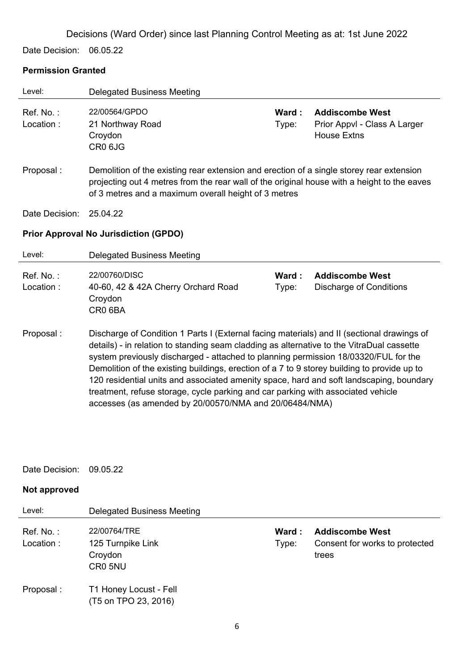Date Decision: 06.05.22

#### **Permission Granted**

| Level:                 | <b>Delegated Business Meeting</b>                                                                                                                                                                                                                                              |                |                                                                              |
|------------------------|--------------------------------------------------------------------------------------------------------------------------------------------------------------------------------------------------------------------------------------------------------------------------------|----------------|------------------------------------------------------------------------------|
| Ref. No.:<br>Location: | 22/00564/GPDO<br>21 Northway Road<br>Croydon<br>CR0 6JG                                                                                                                                                                                                                        | Ward:<br>Type: | <b>Addiscombe West</b><br>Prior Appvl - Class A Larger<br><b>House Extns</b> |
| Proposal:              | Demolition of the existing rear extension and erection of a single storey rear extension<br>projecting out 4 metres from the rear wall of the original house with a height to the eaves<br>of 3 metres and a maximum overall height of 3 metres                                |                |                                                                              |
| Date Decision:         | 25.04.22                                                                                                                                                                                                                                                                       |                |                                                                              |
|                        | <b>Prior Approval No Jurisdiction (GPDO)</b>                                                                                                                                                                                                                                   |                |                                                                              |
| Level:                 | <b>Delegated Business Meeting</b>                                                                                                                                                                                                                                              |                |                                                                              |
| Ref. No.:<br>Location: | 22/00760/DISC<br>40-60, 42 & 42A Cherry Orchard Road<br>Croydon<br>CR0 6BA                                                                                                                                                                                                     | Ward:<br>Type: | <b>Addiscombe West</b><br><b>Discharge of Conditions</b>                     |
| Proposal:              | Discharge of Condition 1 Parts I (External facing materials) and II (sectional drawings of<br>details) - in relation to standing seam cladding as alternative to the VitraDual cassette<br>system previously discharged - attached to planning permission 18/03320/FUL for the |                |                                                                              |

- Demolition of the existing buildings, erection of a 7 to 9 storey building to provide up to 120 residential units and associated amenity space, hard and soft landscaping, boundary treatment, refuse storage, cycle parking and car parking with associated vehicle accesses (as amended by 20/00570/NMA and 20/06484/NMA)
- Date Decision: 09.05.22

### **Not approved**

| Level:                  | Delegated Business Meeting                              |                 |                                                                   |
|-------------------------|---------------------------------------------------------|-----------------|-------------------------------------------------------------------|
| Ref. No. :<br>Location: | 22/00764/TRE<br>125 Turnpike Link<br>Croydon<br>CR0 5NU | Ward :<br>Type: | <b>Addiscombe West</b><br>Consent for works to protected<br>trees |
| Proposal :              | T1 Honey Locust - Fell<br>(T5 on TPO 23, 2016)          |                 |                                                                   |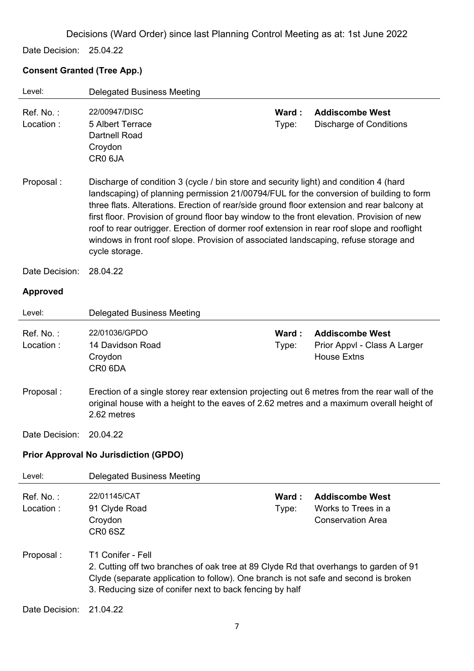Date Decision: 25.04.22

#### **Consent Granted (Tree App.)**

| Level:                 | <b>Delegated Business Meeting</b>                                                                                                                                                                                                                                                                                                                                                                                                                                                                                                                                                    |                |                                                                              |
|------------------------|--------------------------------------------------------------------------------------------------------------------------------------------------------------------------------------------------------------------------------------------------------------------------------------------------------------------------------------------------------------------------------------------------------------------------------------------------------------------------------------------------------------------------------------------------------------------------------------|----------------|------------------------------------------------------------------------------|
| Ref. No.:<br>Location: | 22/00947/DISC<br>5 Albert Terrace<br><b>Dartnell Road</b><br>Croydon<br>CR0 6JA                                                                                                                                                                                                                                                                                                                                                                                                                                                                                                      | Ward:<br>Type: | <b>Addiscombe West</b><br><b>Discharge of Conditions</b>                     |
| Proposal:              | Discharge of condition 3 (cycle / bin store and security light) and condition 4 (hard<br>landscaping) of planning permission 21/00794/FUL for the conversion of building to form<br>three flats. Alterations. Erection of rear/side ground floor extension and rear balcony at<br>first floor. Provision of ground floor bay window to the front elevation. Provision of new<br>roof to rear outrigger. Erection of dormer roof extension in rear roof slope and rooflight<br>windows in front roof slope. Provision of associated landscaping, refuse storage and<br>cycle storage. |                |                                                                              |
| Date Decision:         | 28.04.22                                                                                                                                                                                                                                                                                                                                                                                                                                                                                                                                                                             |                |                                                                              |
| <b>Approved</b>        |                                                                                                                                                                                                                                                                                                                                                                                                                                                                                                                                                                                      |                |                                                                              |
| Level:                 | <b>Delegated Business Meeting</b>                                                                                                                                                                                                                                                                                                                                                                                                                                                                                                                                                    |                |                                                                              |
| Ref. No.:<br>Location: | 22/01036/GPDO<br>14 Davidson Road<br>Croydon<br>CR0 6DA                                                                                                                                                                                                                                                                                                                                                                                                                                                                                                                              | Ward:<br>Type: | <b>Addiscombe West</b><br>Prior Appvl - Class A Larger<br><b>House Extns</b> |
| Proposal:              | Erection of a single storey rear extension projecting out 6 metres from the rear wall of the<br>original house with a height to the eaves of 2.62 metres and a maximum overall height of<br>2.62 metres                                                                                                                                                                                                                                                                                                                                                                              |                |                                                                              |
| Date Decision:         | 20.04.22                                                                                                                                                                                                                                                                                                                                                                                                                                                                                                                                                                             |                |                                                                              |
|                        | <b>Prior Approval No Jurisdiction (GPDO)</b>                                                                                                                                                                                                                                                                                                                                                                                                                                                                                                                                         |                |                                                                              |
| Level:                 | <b>Delegated Business Meeting</b>                                                                                                                                                                                                                                                                                                                                                                                                                                                                                                                                                    |                |                                                                              |
| Ref. No.:<br>Location: | 22/01145/CAT<br>91 Clyde Road<br>Croydon<br>CR <sub>0</sub> 6SZ                                                                                                                                                                                                                                                                                                                                                                                                                                                                                                                      | Ward:<br>Type: | <b>Addiscombe West</b><br>Works to Trees in a<br><b>Conservation Area</b>    |
| Proposal:              | T1 Conifer - Fell<br>2. Cutting off two branches of oak tree at 89 Clyde Rd that overhangs to garden of 91<br>Clyde (separate application to follow). One branch is not safe and second is broken<br>3. Reducing size of conifer next to back fencing by half                                                                                                                                                                                                                                                                                                                        |                |                                                                              |
| Date Decision:         | 21.04.22                                                                                                                                                                                                                                                                                                                                                                                                                                                                                                                                                                             |                |                                                                              |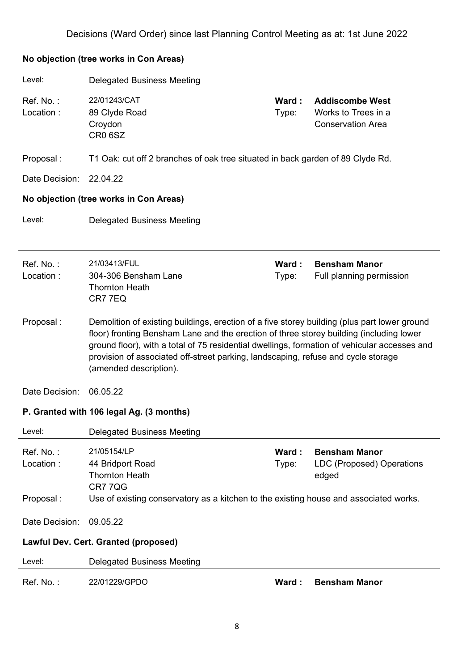| Level:                 | <b>Delegated Business Meeting</b>                                                                                                                                                                                                                                                                                                                                                                      |                |                                                                           |
|------------------------|--------------------------------------------------------------------------------------------------------------------------------------------------------------------------------------------------------------------------------------------------------------------------------------------------------------------------------------------------------------------------------------------------------|----------------|---------------------------------------------------------------------------|
| Ref. No.:<br>Location: | 22/01243/CAT<br>89 Clyde Road<br>Croydon<br>CR <sub>0</sub> 6SZ                                                                                                                                                                                                                                                                                                                                        | Ward:<br>Type: | <b>Addiscombe West</b><br>Works to Trees in a<br><b>Conservation Area</b> |
| Proposal:              | T1 Oak: cut off 2 branches of oak tree situated in back garden of 89 Clyde Rd.                                                                                                                                                                                                                                                                                                                         |                |                                                                           |
| Date Decision:         | 22.04.22                                                                                                                                                                                                                                                                                                                                                                                               |                |                                                                           |
|                        | No objection (tree works in Con Areas)                                                                                                                                                                                                                                                                                                                                                                 |                |                                                                           |
| Level:                 | <b>Delegated Business Meeting</b>                                                                                                                                                                                                                                                                                                                                                                      |                |                                                                           |
|                        |                                                                                                                                                                                                                                                                                                                                                                                                        |                |                                                                           |
| Ref. No.:<br>Location: | 21/03413/FUL<br>304-306 Bensham Lane<br><b>Thornton Heath</b><br>CR7 7EQ                                                                                                                                                                                                                                                                                                                               | Ward:<br>Type: | <b>Bensham Manor</b><br>Full planning permission                          |
| Proposal:              | Demolition of existing buildings, erection of a five storey building (plus part lower ground<br>floor) fronting Bensham Lane and the erection of three storey building (including lower<br>ground floor), with a total of 75 residential dwellings, formation of vehicular accesses and<br>provision of associated off-street parking, landscaping, refuse and cycle storage<br>(amended description). |                |                                                                           |
| Date Decision:         | 06.05.22                                                                                                                                                                                                                                                                                                                                                                                               |                |                                                                           |
|                        | P. Granted with 106 legal Ag. (3 months)                                                                                                                                                                                                                                                                                                                                                               |                |                                                                           |
| Level:                 | <b>Delegated Business Meeting</b>                                                                                                                                                                                                                                                                                                                                                                      |                |                                                                           |
| Ref. No.:<br>Location: | 21/05154/LP<br>44 Bridport Road<br><b>Thornton Heath</b><br>CR77QG                                                                                                                                                                                                                                                                                                                                     | Ward:<br>Type: | <b>Bensham Manor</b><br>LDC (Proposed) Operations<br>edged                |
| Proposal:              | Use of existing conservatory as a kitchen to the existing house and associated works.                                                                                                                                                                                                                                                                                                                  |                |                                                                           |
| Date Decision:         | 09.05.22                                                                                                                                                                                                                                                                                                                                                                                               |                |                                                                           |
|                        | Lawful Dev. Cert. Granted (proposed)                                                                                                                                                                                                                                                                                                                                                                   |                |                                                                           |
| Level:                 | <b>Delegated Business Meeting</b>                                                                                                                                                                                                                                                                                                                                                                      |                |                                                                           |
| Ref. No.:              | 22/01229/GPDO                                                                                                                                                                                                                                                                                                                                                                                          | Ward:          | <b>Bensham Manor</b>                                                      |

### **No objection (tree works in Con Areas)**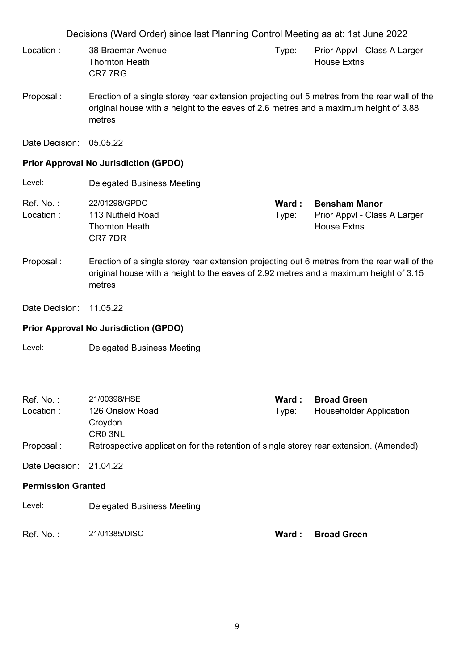Decisions (Ward Order) since last Planning Control Meeting as at: 1st June 2022 Ref. No. : 21/00398/HSE **Ward : Broad Green** Location : 126 Onslow Road Croydon CR0 3NL Type: Householder Application Proposal : Retrospective application for the retention of single storey rear extension. (Amended) Date Decision: 21.04.22 **Permission Granted**  Level: Delegated Business Meeting Ref. No. : 21/01385/DISC **Ward : Broad Green** Location : 38 Braemar Avenue Thornton Heath CR7 7RG Type: Prior Appvl - Class A Larger House Extns Proposal : Erection of a single storey rear extension projecting out 5 metres from the rear wall of the original house with a height to the eaves of 2.6 metres and a maximum height of 3.88 metres Date Decision: 05.05.22 **Prior Approval No Jurisdiction (GPDO)**  Level: Delegated Business Meeting Ref. No. : 22/01298/GPDO **Ward : Bensham Manor** Location : 113 Nutfield Road Thornton Heath CR7 7DR Type: Prior Appvl - Class A Larger House Extns Proposal : Erection of a single storey rear extension projecting out 6 metres from the rear wall of the original house with a height to the eaves of 2.92 metres and a maximum height of 3.15 metres Date Decision: 11.05.22 **Prior Approval No Jurisdiction (GPDO)**  Level: Delegated Business Meeting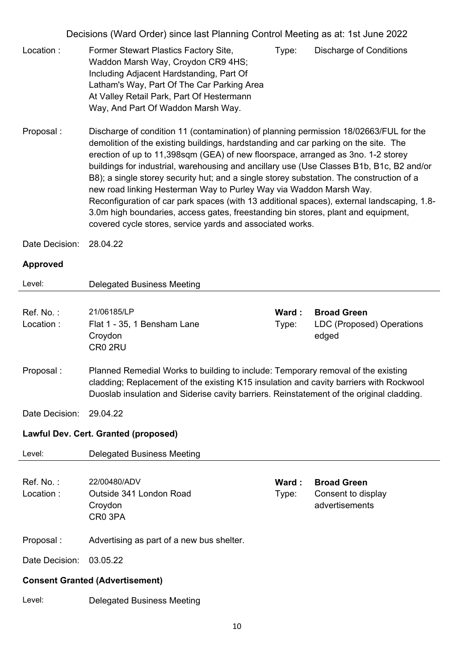- Location : Former Stewart Plastics Factory Site, Waddon Marsh Way, Croydon CR9 4HS; Including Adjacent Hardstanding, Part Of Latham's Way, Part Of The Car Parking Area At Valley Retail Park, Part Of Hestermann Way, And Part Of Waddon Marsh Way. Type: Discharge of Conditions
- Proposal : Discharge of condition 11 (contamination) of planning permission 18/02663/FUL for the demolition of the existing buildings, hardstanding and car parking on the site. The erection of up to 11,398sqm (GEA) of new floorspace, arranged as 3no. 1-2 storey buildings for industrial, warehousing and ancillary use (Use Classes B1b, B1c, B2 and/or B8); a single storey security hut; and a single storey substation. The construction of a new road linking Hesterman Way to Purley Way via Waddon Marsh Way. Reconfiguration of car park spaces (with 13 additional spaces), external landscaping, 1.8- 3.0m high boundaries, access gates, freestanding bin stores, plant and equipment, covered cycle stores, service yards and associated works.

Date Decision: 28.04.22

### **Approved**

| Level:         | <b>Delegated Business Meeting</b>                                                                                                                                                                                                                                      |        |                                    |
|----------------|------------------------------------------------------------------------------------------------------------------------------------------------------------------------------------------------------------------------------------------------------------------------|--------|------------------------------------|
|                |                                                                                                                                                                                                                                                                        |        |                                    |
| Ref. No.:      | 21/06185/LP                                                                                                                                                                                                                                                            | Ward:  | <b>Broad Green</b>                 |
| Location:      | Flat 1 - 35, 1 Bensham Lane<br>Croydon<br>CR <sub>0</sub> 2RU                                                                                                                                                                                                          | Type:  | LDC (Proposed) Operations<br>edged |
| Proposal:      | Planned Remedial Works to building to include: Temporary removal of the existing<br>cladding; Replacement of the existing K15 insulation and cavity barriers with Rockwool<br>Duoslab insulation and Siderise cavity barriers. Reinstatement of the original cladding. |        |                                    |
| Date Decision: | 29.04.22                                                                                                                                                                                                                                                               |        |                                    |
|                | Lawful Dev. Cert. Granted (proposed)                                                                                                                                                                                                                                   |        |                                    |
| Level:         | <b>Delegated Business Meeting</b>                                                                                                                                                                                                                                      |        |                                    |
|                |                                                                                                                                                                                                                                                                        |        |                                    |
| Ref. No.:      | 22/00480/ADV                                                                                                                                                                                                                                                           | Ward : | <b>Broad Green</b>                 |
| Location:      | Outside 341 London Road                                                                                                                                                                                                                                                | Type:  | Consent to display                 |
|                | Croydon                                                                                                                                                                                                                                                                |        | advertisements                     |
|                | CR <sub>0</sub> 3PA                                                                                                                                                                                                                                                    |        |                                    |
| Proposal:      | Advertising as part of a new bus shelter.                                                                                                                                                                                                                              |        |                                    |
| Date Decision: | 03.05.22                                                                                                                                                                                                                                                               |        |                                    |
|                | <b>Consent Granted (Advertisement)</b>                                                                                                                                                                                                                                 |        |                                    |
| Level:         | <b>Delegated Business Meeting</b>                                                                                                                                                                                                                                      |        |                                    |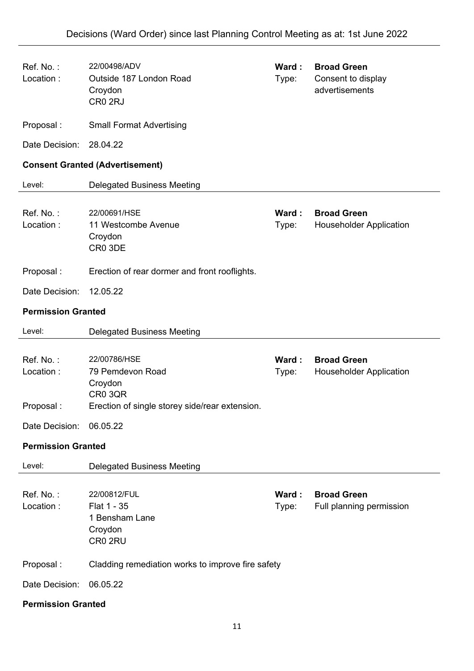| Ref. No.:<br>Location:              | 22/00498/ADV<br>Outside 187 London Road<br>Croydon<br>CR <sub>0</sub> 2RJ                                | Ward:<br>Type: | <b>Broad Green</b><br>Consent to display<br>advertisements |
|-------------------------------------|----------------------------------------------------------------------------------------------------------|----------------|------------------------------------------------------------|
| Proposal:                           | <b>Small Format Advertising</b>                                                                          |                |                                                            |
| Date Decision:                      | 28.04.22                                                                                                 |                |                                                            |
|                                     | <b>Consent Granted (Advertisement)</b>                                                                   |                |                                                            |
| Level:                              | <b>Delegated Business Meeting</b>                                                                        |                |                                                            |
| Ref. No.:<br>Location:              | 22/00691/HSE<br>11 Westcombe Avenue<br>Croydon<br>CR0 3DE                                                | Ward:<br>Type: | <b>Broad Green</b><br><b>Householder Application</b>       |
| Proposal:                           | Erection of rear dormer and front rooflights.                                                            |                |                                                            |
| Date Decision:                      | 12.05.22                                                                                                 |                |                                                            |
| <b>Permission Granted</b>           |                                                                                                          |                |                                                            |
| Level:                              | <b>Delegated Business Meeting</b>                                                                        |                |                                                            |
| Ref. No.:<br>Location:<br>Proposal: | 22/00786/HSE<br>79 Pemdevon Road<br>Croydon<br>CR0 3QR<br>Erection of single storey side/rear extension. | Ward:<br>Type: | <b>Broad Green</b><br><b>Householder Application</b>       |
| Date Decision:                      | 06.05.22                                                                                                 |                |                                                            |
| <b>Permission Granted</b>           |                                                                                                          |                |                                                            |
| Level:                              | <b>Delegated Business Meeting</b>                                                                        |                |                                                            |
| Ref. No.:<br>Location:              | 22/00812/FUL<br>Flat 1 - 35<br>1 Bensham Lane<br>Croydon<br>CR0 2RU                                      | Ward:<br>Type: | <b>Broad Green</b><br>Full planning permission             |
| Proposal:                           | Cladding remediation works to improve fire safety                                                        |                |                                                            |
| Date Decision:                      | 06.05.22                                                                                                 |                |                                                            |
| <b>Permission Granted</b>           |                                                                                                          |                |                                                            |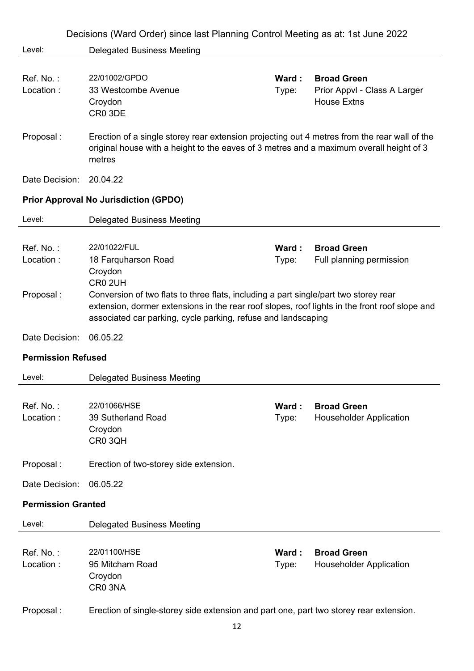|                                     | Decisions (Ward Order) since last Planning Control Meeting as at: 1st June 2022                                                                                                                                                                                                                                                 |                |                                                                          |
|-------------------------------------|---------------------------------------------------------------------------------------------------------------------------------------------------------------------------------------------------------------------------------------------------------------------------------------------------------------------------------|----------------|--------------------------------------------------------------------------|
| Level:                              | <b>Delegated Business Meeting</b>                                                                                                                                                                                                                                                                                               |                |                                                                          |
| Ref. No.:<br>Location:              | 22/01002/GPDO<br>33 Westcombe Avenue<br>Croydon<br>CR0 3DE                                                                                                                                                                                                                                                                      | Ward:<br>Type: | <b>Broad Green</b><br>Prior Appvl - Class A Larger<br><b>House Extns</b> |
| Proposal:                           | Erection of a single storey rear extension projecting out 4 metres from the rear wall of the<br>original house with a height to the eaves of 3 metres and a maximum overall height of 3<br>metres                                                                                                                               |                |                                                                          |
| Date Decision:                      | 20.04.22                                                                                                                                                                                                                                                                                                                        |                |                                                                          |
|                                     | <b>Prior Approval No Jurisdiction (GPDO)</b>                                                                                                                                                                                                                                                                                    |                |                                                                          |
| Level:                              | <b>Delegated Business Meeting</b>                                                                                                                                                                                                                                                                                               |                |                                                                          |
| Ref. No.:<br>Location:<br>Proposal: | 22/01022/FUL<br>18 Farquharson Road<br>Croydon<br>CR <sub>0</sub> 2UH<br>Conversion of two flats to three flats, including a part single/part two storey rear<br>extension, dormer extensions in the rear roof slopes, roof lights in the front roof slope and<br>associated car parking, cycle parking, refuse and landscaping | Ward:<br>Type: | <b>Broad Green</b><br>Full planning permission                           |
| Date Decision:                      |                                                                                                                                                                                                                                                                                                                                 |                |                                                                          |
|                                     | 06.05.22                                                                                                                                                                                                                                                                                                                        |                |                                                                          |
| <b>Permission Refused</b>           |                                                                                                                                                                                                                                                                                                                                 |                |                                                                          |
| Level:                              | <b>Delegated Business Meeting</b>                                                                                                                                                                                                                                                                                               |                |                                                                          |
| Ref. No.:<br>Location:              | 22/01066/HSE<br>39 Sutherland Road<br>Croydon<br>CR0 3QH                                                                                                                                                                                                                                                                        | Ward:<br>Type: | <b>Broad Green</b><br><b>Householder Application</b>                     |
| Proposal:                           | Erection of two-storey side extension.                                                                                                                                                                                                                                                                                          |                |                                                                          |
| Date Decision:                      | 06.05.22                                                                                                                                                                                                                                                                                                                        |                |                                                                          |
| <b>Permission Granted</b>           |                                                                                                                                                                                                                                                                                                                                 |                |                                                                          |
| Level:                              | <b>Delegated Business Meeting</b>                                                                                                                                                                                                                                                                                               |                |                                                                          |
| Ref. No.:<br>Location:              | 22/01100/HSE<br>95 Mitcham Road<br>Croydon<br>CR0 3NA                                                                                                                                                                                                                                                                           | Ward:<br>Type: | <b>Broad Green</b><br><b>Householder Application</b>                     |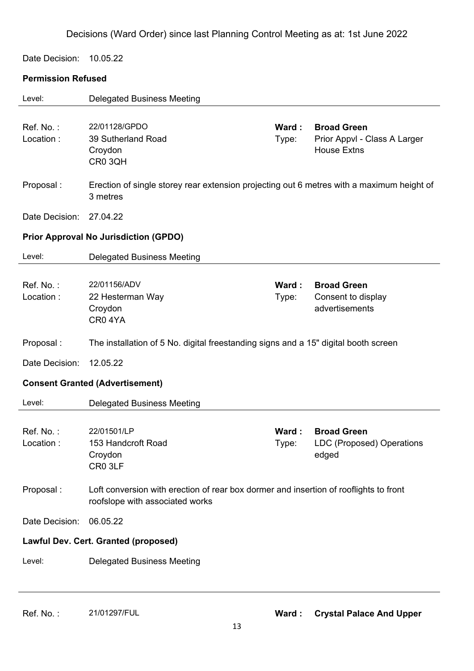Date Decision: 10.05.22

### **Permission Refused**

| Level:                 | <b>Delegated Business Meeting</b>                                                                                        |                |                                                                          |
|------------------------|--------------------------------------------------------------------------------------------------------------------------|----------------|--------------------------------------------------------------------------|
| Ref. No.:<br>Location: | 22/01128/GPDO<br>39 Sutherland Road<br>Croydon<br>CR0 3QH                                                                | Ward:<br>Type: | <b>Broad Green</b><br>Prior Appvl - Class A Larger<br><b>House Extns</b> |
| Proposal:              | Erection of single storey rear extension projecting out 6 metres with a maximum height of<br>3 metres                    |                |                                                                          |
| Date Decision:         | 27.04.22                                                                                                                 |                |                                                                          |
|                        | <b>Prior Approval No Jurisdiction (GPDO)</b>                                                                             |                |                                                                          |
| Level:                 | <b>Delegated Business Meeting</b>                                                                                        |                |                                                                          |
| Ref. No.:<br>Location: | 22/01156/ADV<br>22 Hesterman Way<br>Croydon<br>CR04YA                                                                    | Ward:<br>Type: | <b>Broad Green</b><br>Consent to display<br>advertisements               |
| Proposal:              | The installation of 5 No. digital freestanding signs and a 15" digital booth screen                                      |                |                                                                          |
| Date Decision:         | 12.05.22                                                                                                                 |                |                                                                          |
|                        | <b>Consent Granted (Advertisement)</b>                                                                                   |                |                                                                          |
| Level:                 | <b>Delegated Business Meeting</b>                                                                                        |                |                                                                          |
| Ref. No.:              |                                                                                                                          |                |                                                                          |
| Location :             | 22/01501/LP<br>153 Handcroft Road<br>Croydon<br>CR0 3LF                                                                  | Ward:<br>Type: | <b>Broad Green</b><br>LDC (Proposed) Operations<br>edged                 |
| Proposal:              | Loft conversion with erection of rear box dormer and insertion of rooflights to front<br>roofslope with associated works |                |                                                                          |
| Date Decision:         | 06.05.22                                                                                                                 |                |                                                                          |
|                        | Lawful Dev. Cert. Granted (proposed)                                                                                     |                |                                                                          |
| Level:                 | <b>Delegated Business Meeting</b>                                                                                        |                |                                                                          |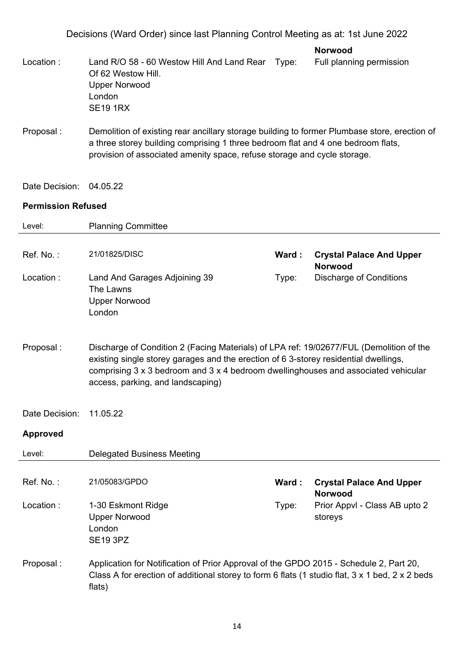| <b>Norwood</b> |  |
|----------------|--|
|----------------|--|

- Location : Land R/O 58 60 Westow Hill And Land Rear Type: Of 62 Westow Hill. Upper Norwood London SE19 1RX Full planning permission Proposal : Demolition of existing rear ancillary storage building to former Plumbase store, erection of a three storey building comprising 1 three bedroom flat and 4 one bedroom flats, provision of associated amenity space, refuse storage and cycle storage.
- Date Decision: 04.05.22

### **Permission Refused**

| Level:          | <b>Planning Committee</b>                                                                                                                                                                                                                                                                                  |       |                                                   |
|-----------------|------------------------------------------------------------------------------------------------------------------------------------------------------------------------------------------------------------------------------------------------------------------------------------------------------------|-------|---------------------------------------------------|
| Ref. No.:       | 21/01825/DISC                                                                                                                                                                                                                                                                                              | Ward: | <b>Crystal Palace And Upper</b><br><b>Norwood</b> |
| Location:       | Land And Garages Adjoining 39<br>The Lawns<br><b>Upper Norwood</b><br>London                                                                                                                                                                                                                               | Type: | <b>Discharge of Conditions</b>                    |
| Proposal:       | Discharge of Condition 2 (Facing Materials) of LPA ref: 19/02677/FUL (Demolition of the<br>existing single storey garages and the erection of 6 3-storey residential dwellings,<br>comprising 3 x 3 bedroom and 3 x 4 bedroom dwellinghouses and associated vehicular<br>access, parking, and landscaping) |       |                                                   |
| Date Decision:  | 11.05.22                                                                                                                                                                                                                                                                                                   |       |                                                   |
| <b>Approved</b> |                                                                                                                                                                                                                                                                                                            |       |                                                   |
| Level:          | <b>Delegated Business Meeting</b>                                                                                                                                                                                                                                                                          |       |                                                   |
| Ref. No.:       | 21/05083/GPDO                                                                                                                                                                                                                                                                                              | Ward: | <b>Crystal Palace And Upper</b><br><b>Norwood</b> |
| Location:       | 1-30 Eskmont Ridge<br><b>Upper Norwood</b><br>London<br><b>SE19 3PZ</b>                                                                                                                                                                                                                                    | Type: | Prior Appvl - Class AB upto 2<br>storeys          |
| Proposal:       | Application for Notification of Prior Approval of the GPDO 2015 - Schedule 2, Part 20,<br>Class A for erection of additional storey to form 6 flats (1 studio flat, 3 x 1 bed, 2 x 2 beds<br>flats)                                                                                                        |       |                                                   |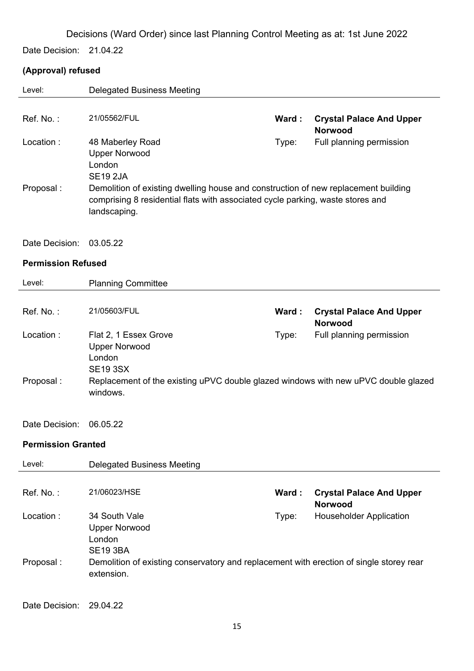Date Decision: 21.04.22

### **(Approval) refused**

| Level:                    | <b>Delegated Business Meeting</b>                                                                                                                                                    |       |                                                   |
|---------------------------|--------------------------------------------------------------------------------------------------------------------------------------------------------------------------------------|-------|---------------------------------------------------|
|                           |                                                                                                                                                                                      |       |                                                   |
| Ref. No.:                 | 21/05562/FUL                                                                                                                                                                         | Ward: | <b>Crystal Palace And Upper</b><br><b>Norwood</b> |
| Location:                 | 48 Maberley Road<br><b>Upper Norwood</b><br>London<br><b>SE19 2JA</b>                                                                                                                | Type: | Full planning permission                          |
| Proposal:                 | Demolition of existing dwelling house and construction of new replacement building<br>comprising 8 residential flats with associated cycle parking, waste stores and<br>landscaping. |       |                                                   |
| Date Decision:            | 03.05.22                                                                                                                                                                             |       |                                                   |
| <b>Permission Refused</b> |                                                                                                                                                                                      |       |                                                   |
| Level:                    | <b>Planning Committee</b>                                                                                                                                                            |       |                                                   |
|                           |                                                                                                                                                                                      |       |                                                   |
| Ref. No.:                 | 21/05603/FUL                                                                                                                                                                         | Ward: | <b>Crystal Palace And Upper</b><br><b>Norwood</b> |
| Location:                 | Flat 2, 1 Essex Grove<br><b>Upper Norwood</b>                                                                                                                                        | Type: | Full planning permission                          |
| Proposal:                 | London<br><b>SE19 3SX</b><br>Replacement of the existing uPVC double glazed windows with new uPVC double glazed<br>windows.                                                          |       |                                                   |
| Date Decision:            | 06.05.22                                                                                                                                                                             |       |                                                   |
| <b>Permission Granted</b> |                                                                                                                                                                                      |       |                                                   |
| Level:                    | <b>Delegated Business Meeting</b>                                                                                                                                                    |       |                                                   |
|                           |                                                                                                                                                                                      |       |                                                   |
| Ref. No.:                 | 21/06023/HSE                                                                                                                                                                         | Ward: | <b>Crystal Palace And Upper</b><br><b>Norwood</b> |
| Location:                 | 34 South Vale<br><b>Upper Norwood</b><br>London<br><b>SE19 3BA</b>                                                                                                                   | Type: | <b>Householder Application</b>                    |
| Proposal:                 | Demolition of existing conservatory and replacement with erection of single storey rear<br>extension.                                                                                |       |                                                   |
| Date Decision:            | 29.04.22                                                                                                                                                                             |       |                                                   |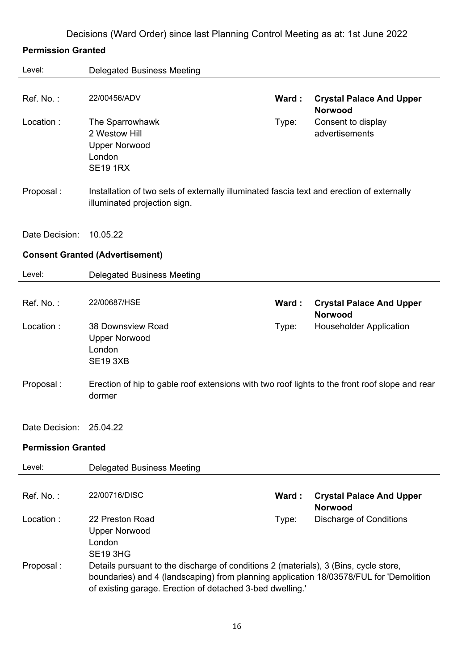### **Permission Granted**

| Level:                    | <b>Delegated Business Meeting</b>                                                                                                                                                                                                           |       |                                                        |
|---------------------------|---------------------------------------------------------------------------------------------------------------------------------------------------------------------------------------------------------------------------------------------|-------|--------------------------------------------------------|
| Ref. No.:                 | 22/00456/ADV                                                                                                                                                                                                                                | Ward: | <b>Crystal Palace And Upper</b>                        |
| Location:                 | The Sparrowhawk<br>2 Westow Hill<br><b>Upper Norwood</b><br>London<br><b>SE19 1RX</b>                                                                                                                                                       | Type: | <b>Norwood</b><br>Consent to display<br>advertisements |
| Proposal:                 | Installation of two sets of externally illuminated fascia text and erection of externally<br>illuminated projection sign.                                                                                                                   |       |                                                        |
| Date Decision:            | 10.05.22                                                                                                                                                                                                                                    |       |                                                        |
|                           | <b>Consent Granted (Advertisement)</b>                                                                                                                                                                                                      |       |                                                        |
| Level:                    | <b>Delegated Business Meeting</b>                                                                                                                                                                                                           |       |                                                        |
| Ref. No.:                 | 22/00687/HSE                                                                                                                                                                                                                                | Ward: | <b>Crystal Palace And Upper</b><br><b>Norwood</b>      |
| Location:                 | 38 Downsview Road<br><b>Upper Norwood</b><br>London<br><b>SE19 3XB</b>                                                                                                                                                                      | Type: | <b>Householder Application</b>                         |
| Proposal:                 | Erection of hip to gable roof extensions with two roof lights to the front roof slope and rear<br>dormer                                                                                                                                    |       |                                                        |
| Date Decision:            | 25.04.22                                                                                                                                                                                                                                    |       |                                                        |
| <b>Permission Granted</b> |                                                                                                                                                                                                                                             |       |                                                        |
| Level:                    | <b>Delegated Business Meeting</b>                                                                                                                                                                                                           |       |                                                        |
| Ref. No.:                 | 22/00716/DISC                                                                                                                                                                                                                               | Ward: | <b>Crystal Palace And Upper</b><br><b>Norwood</b>      |
| Location:                 | 22 Preston Road<br><b>Upper Norwood</b><br>London<br><b>SE19 3HG</b>                                                                                                                                                                        | Type: | <b>Discharge of Conditions</b>                         |
| Proposal:                 | Details pursuant to the discharge of conditions 2 (materials), 3 (Bins, cycle store,<br>boundaries) and 4 (landscaping) from planning application 18/03578/FUL for 'Demolition<br>of existing garage. Erection of detached 3-bed dwelling.' |       |                                                        |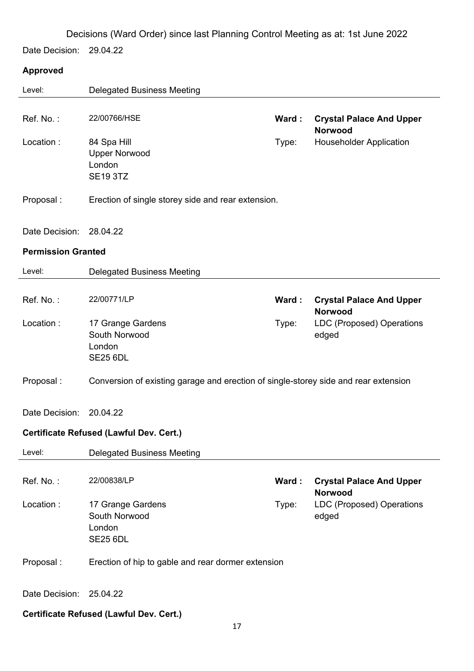Date Decision: 29.04.22

### **Approved**

| Level:                    | <b>Delegated Business Meeting</b>                                                   |       |                                                   |
|---------------------------|-------------------------------------------------------------------------------------|-------|---------------------------------------------------|
| Ref. No.:                 | 22/00766/HSE                                                                        | Ward: | <b>Crystal Palace And Upper</b><br><b>Norwood</b> |
| Location:                 | 84 Spa Hill<br><b>Upper Norwood</b><br>London<br><b>SE19 3TZ</b>                    | Type: | <b>Householder Application</b>                    |
| Proposal:                 | Erection of single storey side and rear extension.                                  |       |                                                   |
| Date Decision: 28.04.22   |                                                                                     |       |                                                   |
| <b>Permission Granted</b> |                                                                                     |       |                                                   |
| Level:                    | <b>Delegated Business Meeting</b>                                                   |       |                                                   |
| Ref. No.:                 | 22/00771/LP                                                                         | Ward: | <b>Crystal Palace And Upper</b><br><b>Norwood</b> |
| Location:                 | 17 Grange Gardens<br>South Norwood<br>London<br><b>SE25 6DL</b>                     | Type: | LDC (Proposed) Operations<br>edged                |
| Proposal:                 | Conversion of existing garage and erection of single-storey side and rear extension |       |                                                   |
| Date Decision:            | 20.04.22                                                                            |       |                                                   |
|                           | Certificate Refused (Lawful Dev. Cert.)                                             |       |                                                   |
| Level:                    | <b>Delegated Business Meeting</b>                                                   |       |                                                   |
| Ref. No.:                 | 22/00838/LP                                                                         | Ward: | <b>Crystal Palace And Upper</b><br><b>Norwood</b> |
| Location:                 | 17 Grange Gardens<br>South Norwood<br>London<br><b>SE25 6DL</b>                     | Type: | LDC (Proposed) Operations<br>edged                |
| Proposal:                 | Erection of hip to gable and rear dormer extension                                  |       |                                                   |
| Date Decision:            | 25.04.22                                                                            |       |                                                   |

**Certificate Refused (Lawful Dev. Cert.)**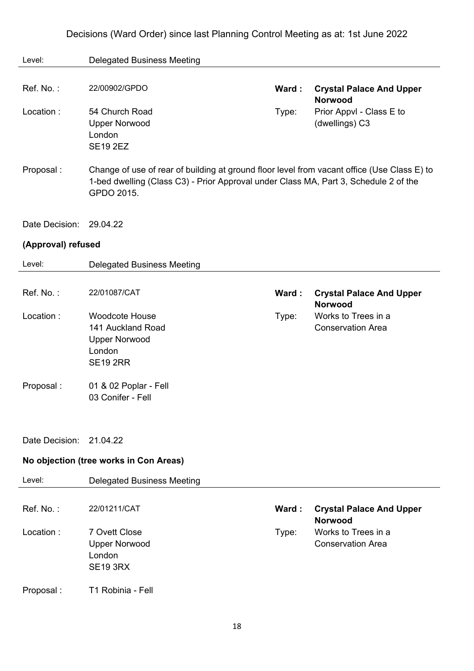| Level:             | <b>Delegated Business Meeting</b>                                                                                                                                                                 |       |                                                   |
|--------------------|---------------------------------------------------------------------------------------------------------------------------------------------------------------------------------------------------|-------|---------------------------------------------------|
|                    |                                                                                                                                                                                                   |       |                                                   |
| Ref. No.:          | 22/00902/GPDO                                                                                                                                                                                     | Ward: | <b>Crystal Palace And Upper</b><br><b>Norwood</b> |
| Location:          | 54 Church Road<br><b>Upper Norwood</b><br>London<br><b>SE19 2EZ</b>                                                                                                                               | Type: | Prior Appvl - Class E to<br>(dwellings) C3        |
| Proposal:          | Change of use of rear of building at ground floor level from vacant office (Use Class E) to<br>1-bed dwelling (Class C3) - Prior Approval under Class MA, Part 3, Schedule 2 of the<br>GPDO 2015. |       |                                                   |
| Date Decision:     | 29.04.22                                                                                                                                                                                          |       |                                                   |
| (Approval) refused |                                                                                                                                                                                                   |       |                                                   |
| Level:             | <b>Delegated Business Meeting</b>                                                                                                                                                                 |       |                                                   |
|                    |                                                                                                                                                                                                   |       |                                                   |
| Ref. No.:          | 22/01087/CAT                                                                                                                                                                                      | Ward: | <b>Crystal Palace And Upper</b><br><b>Norwood</b> |
| Location:          | <b>Woodcote House</b><br>141 Auckland Road<br><b>Upper Norwood</b><br>London<br><b>SE19 2RR</b>                                                                                                   | Type: | Works to Trees in a<br><b>Conservation Area</b>   |
| Proposal:          | 01 & 02 Poplar - Fell<br>03 Conifer - Fell                                                                                                                                                        |       |                                                   |
| Date Decision:     | 21.04.22                                                                                                                                                                                          |       |                                                   |
|                    | No objection (tree works in Con Areas)                                                                                                                                                            |       |                                                   |
| Level:             | <b>Delegated Business Meeting</b>                                                                                                                                                                 |       |                                                   |
| Ref. No.:          | 22/01211/CAT                                                                                                                                                                                      | Ward: | <b>Crystal Palace And Upper</b><br><b>Norwood</b> |
| Location:          | 7 Ovett Close<br><b>Upper Norwood</b><br>London<br><b>SE19 3RX</b>                                                                                                                                | Type: | Works to Trees in a<br><b>Conservation Area</b>   |
| Proposal:          | T1 Robinia - Fell                                                                                                                                                                                 |       |                                                   |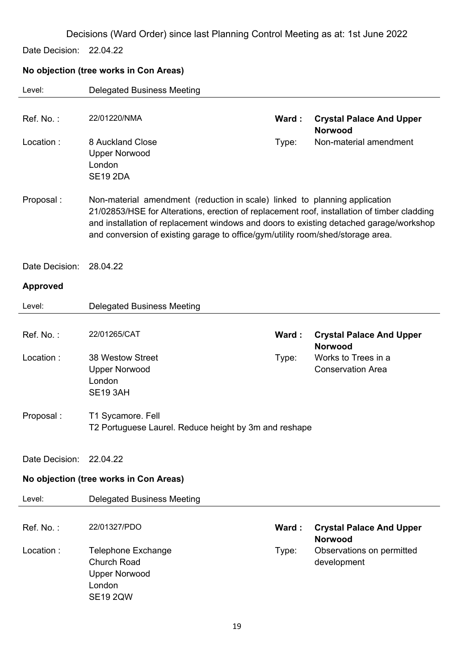Date Decision: 22.04.22

### **No objection (tree works in Con Areas)**

| Level:          | <b>Delegated Business Meeting</b>                                                                                                                                                                                                                                                                                                                      |       |                                                   |
|-----------------|--------------------------------------------------------------------------------------------------------------------------------------------------------------------------------------------------------------------------------------------------------------------------------------------------------------------------------------------------------|-------|---------------------------------------------------|
| Ref. No.:       | 22/01220/NMA                                                                                                                                                                                                                                                                                                                                           | Ward: | <b>Crystal Palace And Upper</b>                   |
| Location:       | 8 Auckland Close<br><b>Upper Norwood</b><br>London<br><b>SE19 2DA</b>                                                                                                                                                                                                                                                                                  | Type: | <b>Norwood</b><br>Non-material amendment          |
| Proposal:       | Non-material amendment (reduction in scale) linked to planning application<br>21/02853/HSE for Alterations, erection of replacement roof, installation of timber cladding<br>and installation of replacement windows and doors to existing detached garage/workshop<br>and conversion of existing garage to office/gym/utility room/shed/storage area. |       |                                                   |
| Date Decision:  | 28.04.22                                                                                                                                                                                                                                                                                                                                               |       |                                                   |
| <b>Approved</b> |                                                                                                                                                                                                                                                                                                                                                        |       |                                                   |
| Level:          | <b>Delegated Business Meeting</b>                                                                                                                                                                                                                                                                                                                      |       |                                                   |
| Ref. No.:       | 22/01265/CAT                                                                                                                                                                                                                                                                                                                                           | Ward: | <b>Crystal Palace And Upper</b><br><b>Norwood</b> |
| Location:       | 38 Westow Street<br><b>Upper Norwood</b><br>London<br><b>SE19 3AH</b>                                                                                                                                                                                                                                                                                  | Type: | Works to Trees in a<br><b>Conservation Area</b>   |
| Proposal:       | T1 Sycamore. Fell<br>T2 Portuguese Laurel. Reduce height by 3m and reshape                                                                                                                                                                                                                                                                             |       |                                                   |
| Date Decision:  | 22.04.22                                                                                                                                                                                                                                                                                                                                               |       |                                                   |
|                 | No objection (tree works in Con Areas)                                                                                                                                                                                                                                                                                                                 |       |                                                   |
| Level:          | <b>Delegated Business Meeting</b>                                                                                                                                                                                                                                                                                                                      |       |                                                   |
| Ref. No.:       | 22/01327/PDO                                                                                                                                                                                                                                                                                                                                           | Ward: | <b>Crystal Palace And Upper</b><br><b>Norwood</b> |
| Location:       | <b>Telephone Exchange</b><br><b>Church Road</b><br><b>Upper Norwood</b><br>London<br><b>SE19 2QW</b>                                                                                                                                                                                                                                                   | Type: | Observations on permitted<br>development          |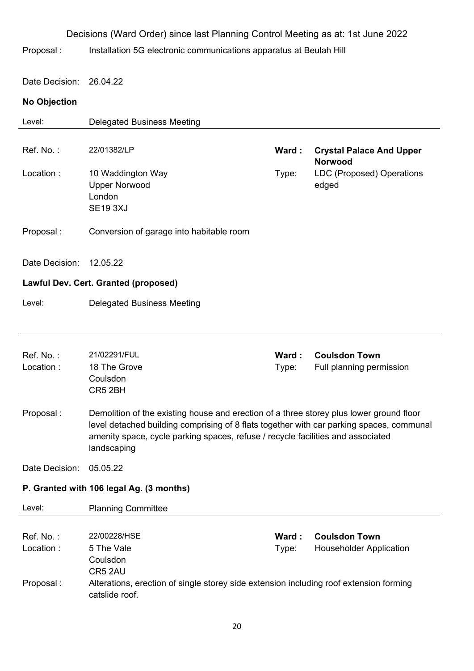|                        | Decisions (Ward Order) since last Planning Control Meeting as at: 1st June 2022                                                                                                                                                                                                       |                |                                                        |
|------------------------|---------------------------------------------------------------------------------------------------------------------------------------------------------------------------------------------------------------------------------------------------------------------------------------|----------------|--------------------------------------------------------|
| Proposal:              | Installation 5G electronic communications apparatus at Beulah Hill                                                                                                                                                                                                                    |                |                                                        |
| Date Decision:         | 26.04.22                                                                                                                                                                                                                                                                              |                |                                                        |
| <b>No Objection</b>    |                                                                                                                                                                                                                                                                                       |                |                                                        |
| Level:                 | <b>Delegated Business Meeting</b>                                                                                                                                                                                                                                                     |                |                                                        |
| Ref. No.:              | 22/01382/LP                                                                                                                                                                                                                                                                           | Ward:          | <b>Crystal Palace And Upper</b><br><b>Norwood</b>      |
| Location:              | 10 Waddington Way<br><b>Upper Norwood</b><br>London<br><b>SE19 3XJ</b>                                                                                                                                                                                                                | Type:          | <b>LDC (Proposed) Operations</b><br>edged              |
| Proposal:              | Conversion of garage into habitable room                                                                                                                                                                                                                                              |                |                                                        |
| Date Decision:         | 12.05.22                                                                                                                                                                                                                                                                              |                |                                                        |
|                        | Lawful Dev. Cert. Granted (proposed)                                                                                                                                                                                                                                                  |                |                                                        |
| Level:                 | <b>Delegated Business Meeting</b>                                                                                                                                                                                                                                                     |                |                                                        |
| Ref. No.:<br>Location: | 21/02291/FUL<br>18 The Grove<br>Coulsdon<br>CR5 2BH                                                                                                                                                                                                                                   | Ward:<br>Type: | <b>Coulsdon Town</b><br>Full planning permission       |
| Proposal:              | Demolition of the existing house and erection of a three storey plus lower ground floor<br>level detached building comprising of 8 flats together with car parking spaces, communal<br>amenity space, cycle parking spaces, refuse / recycle facilities and associated<br>landscaping |                |                                                        |
| Date Decision:         | 05.05.22                                                                                                                                                                                                                                                                              |                |                                                        |
|                        | P. Granted with 106 legal Ag. (3 months)                                                                                                                                                                                                                                              |                |                                                        |
| Level:                 | <b>Planning Committee</b>                                                                                                                                                                                                                                                             |                |                                                        |
| Ref. No.:<br>Location: | 22/00228/HSE<br>5 The Vale<br>Coulsdon                                                                                                                                                                                                                                                | Ward:<br>Type: | <b>Coulsdon Town</b><br><b>Householder Application</b> |
| Proposal:              | CR5 2AU<br>Alterations, erection of single storey side extension including roof extension forming<br>catslide roof.                                                                                                                                                                   |                |                                                        |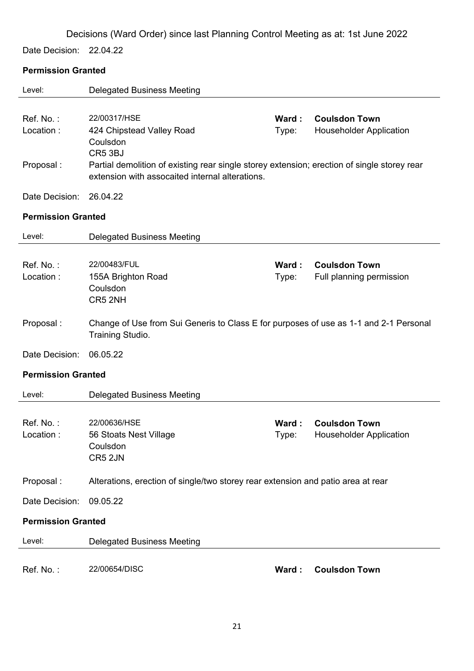Date Decision: 22.04.22

### **Permission Granted**

| Level:                    | <b>Delegated Business Meeting</b>                                                                                                                                     |                |                                                        |
|---------------------------|-----------------------------------------------------------------------------------------------------------------------------------------------------------------------|----------------|--------------------------------------------------------|
| Ref. No.:<br>Location:    | 22/00317/HSE<br>424 Chipstead Valley Road                                                                                                                             | Ward:<br>Type: | <b>Coulsdon Town</b><br><b>Householder Application</b> |
| Proposal:                 | Coulsdon<br>CR5 3BJ<br>Partial demolition of existing rear single storey extension; erection of single storey rear<br>extension with assocaited internal alterations. |                |                                                        |
| Date Decision:            | 26.04.22                                                                                                                                                              |                |                                                        |
| <b>Permission Granted</b> |                                                                                                                                                                       |                |                                                        |
| Level:                    | <b>Delegated Business Meeting</b>                                                                                                                                     |                |                                                        |
| Ref. No.:<br>Location:    | 22/00483/FUL<br>155A Brighton Road<br>Coulsdon<br>CR5 2NH                                                                                                             | Ward:<br>Type: | <b>Coulsdon Town</b><br>Full planning permission       |
| Proposal:                 | Change of Use from Sui Generis to Class E for purposes of use as 1-1 and 2-1 Personal<br>Training Studio.                                                             |                |                                                        |
| Date Decision:            | 06.05.22                                                                                                                                                              |                |                                                        |
| <b>Permission Granted</b> |                                                                                                                                                                       |                |                                                        |
| Level:                    | <b>Delegated Business Meeting</b>                                                                                                                                     |                |                                                        |
| Ref. No.:<br>Location :   | 22/00636/HSE<br>56 Stoats Nest Village<br>Coulsdon<br>CR5 2JN                                                                                                         | Ward:<br>Type: | <b>Coulsdon Town</b><br><b>Householder Application</b> |
| Proposal:                 | Alterations, erection of single/two storey rear extension and patio area at rear                                                                                      |                |                                                        |
| Date Decision:            | 09.05.22                                                                                                                                                              |                |                                                        |
| <b>Permission Granted</b> |                                                                                                                                                                       |                |                                                        |
| Level:                    | <b>Delegated Business Meeting</b>                                                                                                                                     |                |                                                        |
| Ref. No.:                 | 22/00654/DISC                                                                                                                                                         | Ward:          | <b>Coulsdon Town</b>                                   |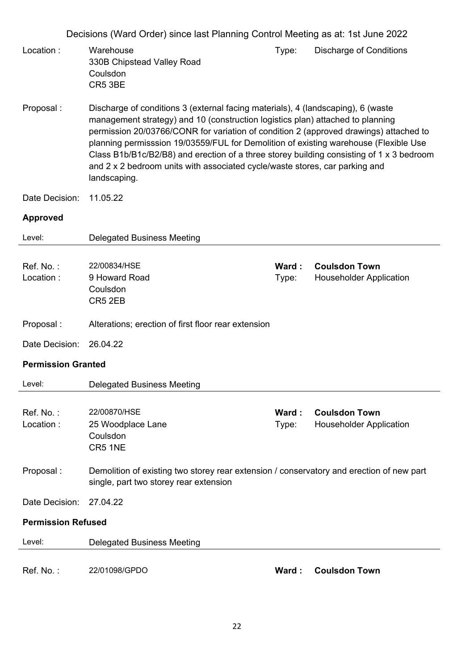| Proposal:                 | Demolition of existing two storey rear extension / conservatory and erection of new part                                                                                                                                                                                                                                                                                 |                |                                                        |
|---------------------------|--------------------------------------------------------------------------------------------------------------------------------------------------------------------------------------------------------------------------------------------------------------------------------------------------------------------------------------------------------------------------|----------------|--------------------------------------------------------|
|                           | Coulsdon<br>CR5 1NE                                                                                                                                                                                                                                                                                                                                                      |                |                                                        |
| Ref. No.:<br>Location:    | 22/00870/HSE<br>25 Woodplace Lane                                                                                                                                                                                                                                                                                                                                        | Ward:<br>Type: | <b>Coulsdon Town</b><br><b>Householder Application</b> |
| Level:                    | <b>Delegated Business Meeting</b>                                                                                                                                                                                                                                                                                                                                        |                |                                                        |
| <b>Permission Granted</b> |                                                                                                                                                                                                                                                                                                                                                                          |                |                                                        |
| Date Decision:            | 26.04.22                                                                                                                                                                                                                                                                                                                                                                 |                |                                                        |
| Proposal:                 | Alterations; erection of first floor rear extension                                                                                                                                                                                                                                                                                                                      |                |                                                        |
|                           | CR5 2EB                                                                                                                                                                                                                                                                                                                                                                  |                |                                                        |
| Location:                 | 9 Howard Road<br>Coulsdon                                                                                                                                                                                                                                                                                                                                                | Type:          | <b>Householder Application</b>                         |
| Ref. No.:                 | 22/00834/HSE                                                                                                                                                                                                                                                                                                                                                             | Ward:          | <b>Coulsdon Town</b>                                   |
| Level:                    | <b>Delegated Business Meeting</b>                                                                                                                                                                                                                                                                                                                                        |                |                                                        |
| <b>Approved</b>           |                                                                                                                                                                                                                                                                                                                                                                          |                |                                                        |
| Date Decision:            | 11.05.22                                                                                                                                                                                                                                                                                                                                                                 |                |                                                        |
|                           | permission 20/03766/CONR for variation of condition 2 (approved drawings) attached to<br>planning permisssion 19/03559/FUL for Demolition of existing warehouse (Flexible Use<br>Class B1b/B1c/B2/B8) and erection of a three storey building consisting of 1 x 3 bedroom<br>and 2 x 2 bedroom units with associated cycle/waste stores, car parking and<br>landscaping. |                |                                                        |
| Proposal:                 | Discharge of conditions 3 (external facing materials), 4 (landscaping), 6 (waste<br>management strategy) and 10 (construction logistics plan) attached to planning                                                                                                                                                                                                       |                |                                                        |
| Location:                 | Warehouse<br>330B Chipstead Valley Road<br>Coulsdon<br>CR5 3BE                                                                                                                                                                                                                                                                                                           | Type:          | <b>Discharge of Conditions</b>                         |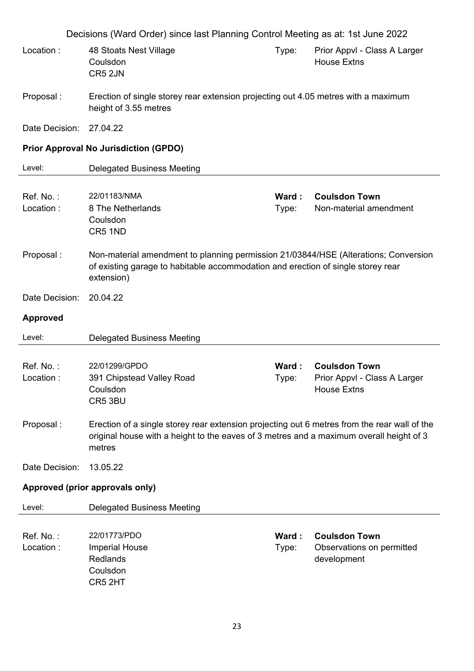|                                 | Decisions (Ward Order) since last Planning Control Meeting as at: 1st June 2022                                                                                                                   |                |                                                                            |
|---------------------------------|---------------------------------------------------------------------------------------------------------------------------------------------------------------------------------------------------|----------------|----------------------------------------------------------------------------|
| Location:                       | 48 Stoats Nest Village<br>Coulsdon<br>CR5 2JN                                                                                                                                                     | Type:          | Prior Appvl - Class A Larger<br><b>House Extns</b>                         |
| Proposal:                       | Erection of single storey rear extension projecting out 4.05 metres with a maximum<br>height of 3.55 metres                                                                                       |                |                                                                            |
| Date Decision:                  | 27.04.22                                                                                                                                                                                          |                |                                                                            |
|                                 | <b>Prior Approval No Jurisdiction (GPDO)</b>                                                                                                                                                      |                |                                                                            |
| Level:                          | <b>Delegated Business Meeting</b>                                                                                                                                                                 |                |                                                                            |
| Ref. No.:<br>Location:          | 22/01183/NMA<br>8 The Netherlands<br>Coulsdon<br>CR5 1ND                                                                                                                                          | Ward:<br>Type: | <b>Coulsdon Town</b><br>Non-material amendment                             |
| Proposal:                       | Non-material amendment to planning permission 21/03844/HSE (Alterations; Conversion<br>of existing garage to habitable accommodation and erection of single storey rear<br>extension)             |                |                                                                            |
| Date Decision:                  | 20.04.22                                                                                                                                                                                          |                |                                                                            |
| <b>Approved</b>                 |                                                                                                                                                                                                   |                |                                                                            |
| Level:                          | <b>Delegated Business Meeting</b>                                                                                                                                                                 |                |                                                                            |
| Ref. No.:<br>Location:          | 22/01299/GPDO<br>391 Chipstead Valley Road<br>Coulsdon<br>CR5 3BU                                                                                                                                 | Ward:<br>Type: | <b>Coulsdon Town</b><br>Prior Appvl - Class A Larger<br><b>House Extns</b> |
| Proposal:                       | Erection of a single storey rear extension projecting out 6 metres from the rear wall of the<br>original house with a height to the eaves of 3 metres and a maximum overall height of 3<br>metres |                |                                                                            |
| Date Decision:                  | 13.05.22                                                                                                                                                                                          |                |                                                                            |
| Approved (prior approvals only) |                                                                                                                                                                                                   |                |                                                                            |
| Level:                          | <b>Delegated Business Meeting</b>                                                                                                                                                                 |                |                                                                            |
| Ref. No.:<br>Location:          | 22/01773/PDO<br><b>Imperial House</b><br><b>Redlands</b><br>Coulsdon<br>CR5 2HT                                                                                                                   | Ward:<br>Type: | <b>Coulsdon Town</b><br>Observations on permitted<br>development           |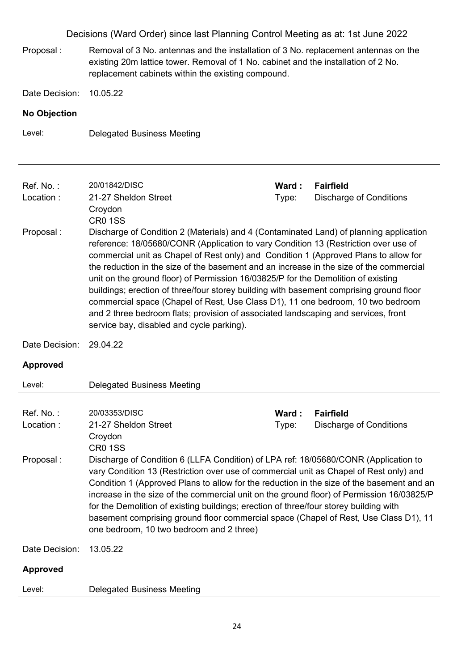- Proposal : Removal of 3 No. antennas and the installation of 3 No. replacement antennas on the existing 20m lattice tower. Removal of 1 No. cabinet and the installation of 2 No. replacement cabinets within the existing compound.
- Date Decision: 10.05.22

#### **No Objection**

Level: Delegated Business Meeting

| Ref. No.:<br>Location: | 20/01842/DISC<br>21-27 Sheldon Street<br>Croydon<br><b>CR0 1SS</b>                                                                                                                                                                                                                                                                                                                                                                                                                                                                                                                                                                                                                                                                                                     | Ward:<br>Type: | <b>Fairfield</b><br><b>Discharge of Conditions</b> |
|------------------------|------------------------------------------------------------------------------------------------------------------------------------------------------------------------------------------------------------------------------------------------------------------------------------------------------------------------------------------------------------------------------------------------------------------------------------------------------------------------------------------------------------------------------------------------------------------------------------------------------------------------------------------------------------------------------------------------------------------------------------------------------------------------|----------------|----------------------------------------------------|
| Proposal:              | Discharge of Condition 2 (Materials) and 4 (Contaminated Land) of planning application<br>reference: 18/05680/CONR (Application to vary Condition 13 (Restriction over use of<br>commercial unit as Chapel of Rest only) and Condition 1 (Approved Plans to allow for<br>the reduction in the size of the basement and an increase in the size of the commercial<br>unit on the ground floor) of Permission 16/03825/P for the Demolition of existing<br>buildings; erection of three/four storey building with basement comprising ground floor<br>commercial space (Chapel of Rest, Use Class D1), 11 one bedroom, 10 two bedroom<br>and 2 three bedroom flats; provision of associated landscaping and services, front<br>service bay, disabled and cycle parking). |                |                                                    |
| Date Decision:         | 29.04.22                                                                                                                                                                                                                                                                                                                                                                                                                                                                                                                                                                                                                                                                                                                                                               |                |                                                    |
| <b>Approved</b>        |                                                                                                                                                                                                                                                                                                                                                                                                                                                                                                                                                                                                                                                                                                                                                                        |                |                                                    |
| Level:                 | <b>Delegated Business Meeting</b>                                                                                                                                                                                                                                                                                                                                                                                                                                                                                                                                                                                                                                                                                                                                      |                |                                                    |
|                        |                                                                                                                                                                                                                                                                                                                                                                                                                                                                                                                                                                                                                                                                                                                                                                        |                |                                                    |
| Ref. No.:              | 20/03353/DISC                                                                                                                                                                                                                                                                                                                                                                                                                                                                                                                                                                                                                                                                                                                                                          | Ward:          | <b>Fairfield</b>                                   |
| Location:              | 21-27 Sheldon Street<br>Croydon<br><b>CR0 1SS</b>                                                                                                                                                                                                                                                                                                                                                                                                                                                                                                                                                                                                                                                                                                                      | Type:          | <b>Discharge of Conditions</b>                     |
| Proposal:              | Discharge of Condition 6 (LLFA Condition) of LPA ref: 18/05680/CONR (Application to<br>vary Condition 13 (Restriction over use of commercial unit as Chapel of Rest only) and<br>Condition 1 (Approved Plans to allow for the reduction in the size of the basement and an<br>increase in the size of the commercial unit on the ground floor) of Permission 16/03825/P<br>for the Demolition of existing buildings; erection of three/four storey building with<br>basement comprising ground floor commercial space (Chapel of Rest, Use Class D1), 11<br>one bedroom, 10 two bedroom and 2 three)                                                                                                                                                                   |                |                                                    |
| Date Decision:         | 13.05.22                                                                                                                                                                                                                                                                                                                                                                                                                                                                                                                                                                                                                                                                                                                                                               |                |                                                    |
| <b>Approved</b>        |                                                                                                                                                                                                                                                                                                                                                                                                                                                                                                                                                                                                                                                                                                                                                                        |                |                                                    |
| Level:                 | <b>Delegated Business Meeting</b>                                                                                                                                                                                                                                                                                                                                                                                                                                                                                                                                                                                                                                                                                                                                      |                |                                                    |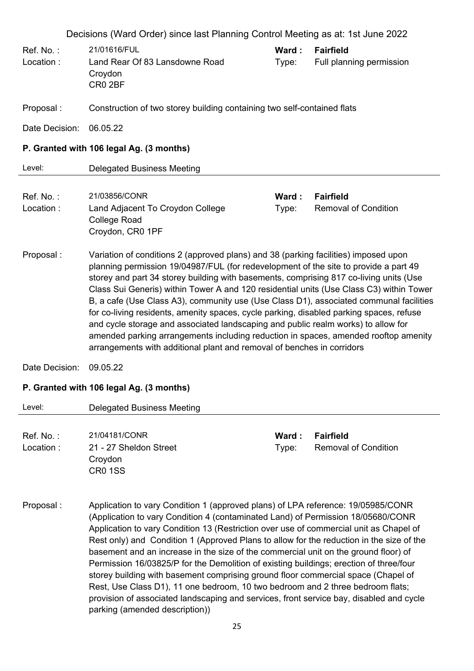| Ref. No.:<br>Location: | Decisions (Ward Order) since last Planning Control Meeting as at: 1st June 2022<br>21/01616/FUL<br>Land Rear Of 83 Lansdowne Road<br>Croydon<br>CR0 2BF                                                                                                                                                                                                                                                                                                                                                                                                                                                                                                                                                                                                                                                     | Ward:<br>Type: | <b>Fairfield</b><br>Full planning permission    |  |  |
|------------------------|-------------------------------------------------------------------------------------------------------------------------------------------------------------------------------------------------------------------------------------------------------------------------------------------------------------------------------------------------------------------------------------------------------------------------------------------------------------------------------------------------------------------------------------------------------------------------------------------------------------------------------------------------------------------------------------------------------------------------------------------------------------------------------------------------------------|----------------|-------------------------------------------------|--|--|
| Proposal:              | Construction of two storey building containing two self-contained flats                                                                                                                                                                                                                                                                                                                                                                                                                                                                                                                                                                                                                                                                                                                                     |                |                                                 |  |  |
| Date Decision:         | 06.05.22                                                                                                                                                                                                                                                                                                                                                                                                                                                                                                                                                                                                                                                                                                                                                                                                    |                |                                                 |  |  |
|                        | P. Granted with 106 legal Ag. (3 months)                                                                                                                                                                                                                                                                                                                                                                                                                                                                                                                                                                                                                                                                                                                                                                    |                |                                                 |  |  |
| Level:                 | <b>Delegated Business Meeting</b>                                                                                                                                                                                                                                                                                                                                                                                                                                                                                                                                                                                                                                                                                                                                                                           |                |                                                 |  |  |
| Ref. No.:<br>Location: | 21/03856/CONR<br>Land Adjacent To Croydon College<br><b>College Road</b><br>Croydon, CR0 1PF                                                                                                                                                                                                                                                                                                                                                                                                                                                                                                                                                                                                                                                                                                                | Ward:<br>Type: | <b>Fairfield</b><br><b>Removal of Condition</b> |  |  |
| Proposal:              | Variation of conditions 2 (approved plans) and 38 (parking facilities) imposed upon<br>planning permission 19/04987/FUL (for redevelopment of the site to provide a part 49<br>storey and part 34 storey building with basements, comprising 817 co-living units (Use<br>Class Sui Generis) within Tower A and 120 residential units (Use Class C3) within Tower<br>B, a cafe (Use Class A3), community use (Use Class D1), associated communal facilities<br>for co-living residents, amenity spaces, cycle parking, disabled parking spaces, refuse<br>and cycle storage and associated landscaping and public realm works) to allow for<br>amended parking arrangements including reduction in spaces, amended rooftop amenity<br>arrangements with additional plant and removal of benches in corridors |                |                                                 |  |  |
| Date Decision:         | 09.05.22                                                                                                                                                                                                                                                                                                                                                                                                                                                                                                                                                                                                                                                                                                                                                                                                    |                |                                                 |  |  |
|                        | P. Granted with 106 legal Ag. (3 months)                                                                                                                                                                                                                                                                                                                                                                                                                                                                                                                                                                                                                                                                                                                                                                    |                |                                                 |  |  |
| Level:                 | <b>Delegated Business Meeting</b>                                                                                                                                                                                                                                                                                                                                                                                                                                                                                                                                                                                                                                                                                                                                                                           |                |                                                 |  |  |
| Ref. No.:<br>Location: | 21/04181/CONR<br>21 - 27 Sheldon Street<br>Croydon<br><b>CR0 1SS</b>                                                                                                                                                                                                                                                                                                                                                                                                                                                                                                                                                                                                                                                                                                                                        | Ward:<br>Type: | <b>Fairfield</b><br><b>Removal of Condition</b> |  |  |
| Proposal:              | Application to vary Condition 1 (approved plans) of LPA reference: 19/05985/CONR<br>(Application to vary Condition 4 (contaminated Land) of Permission 18/05680/CONR<br>Application to vary Condition 13 (Restriction over use of commercial unit as Chapel of                                                                                                                                                                                                                                                                                                                                                                                                                                                                                                                                              |                |                                                 |  |  |

Rest only) and Condition 1 (Approved Plans to allow for the reduction in the size of the basement and an increase in the size of the commercial unit on the ground floor) of Permission 16/03825/P for the Demolition of existing buildings; erection of three/four storey building with basement comprising ground floor commercial space (Chapel of Rest, Use Class D1), 11 one bedroom, 10 two bedroom and 2 three bedroom flats; provision of associated landscaping and services, front service bay, disabled and cycle parking (amended description))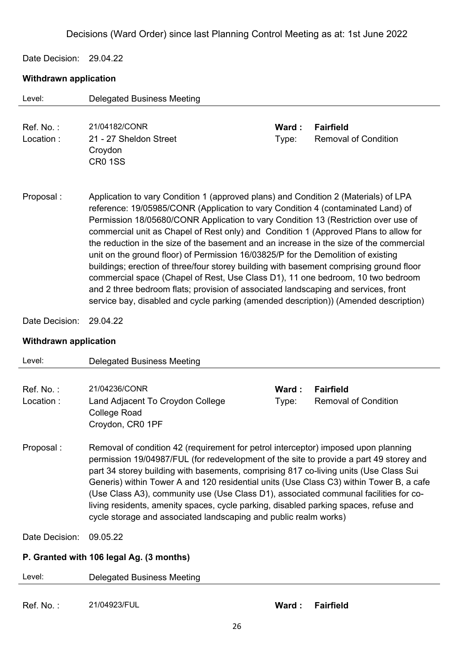Date Decision: 29.04.22

#### **Withdrawn application**

| Level:                       | <b>Delegated Business Meeting</b>                                                                                                                                                                                                                                                                                                                                                                                                                                                                                                                                                                                                                                                                                                                                                                                                                                                                 |       |                             |  |  |
|------------------------------|---------------------------------------------------------------------------------------------------------------------------------------------------------------------------------------------------------------------------------------------------------------------------------------------------------------------------------------------------------------------------------------------------------------------------------------------------------------------------------------------------------------------------------------------------------------------------------------------------------------------------------------------------------------------------------------------------------------------------------------------------------------------------------------------------------------------------------------------------------------------------------------------------|-------|-----------------------------|--|--|
|                              |                                                                                                                                                                                                                                                                                                                                                                                                                                                                                                                                                                                                                                                                                                                                                                                                                                                                                                   |       |                             |  |  |
| Ref. No.:                    | 21/04182/CONR                                                                                                                                                                                                                                                                                                                                                                                                                                                                                                                                                                                                                                                                                                                                                                                                                                                                                     | Ward: | <b>Fairfield</b>            |  |  |
| Location:                    | 21 - 27 Sheldon Street                                                                                                                                                                                                                                                                                                                                                                                                                                                                                                                                                                                                                                                                                                                                                                                                                                                                            | Type: | <b>Removal of Condition</b> |  |  |
|                              | Croydon                                                                                                                                                                                                                                                                                                                                                                                                                                                                                                                                                                                                                                                                                                                                                                                                                                                                                           |       |                             |  |  |
|                              | <b>CR0 1SS</b>                                                                                                                                                                                                                                                                                                                                                                                                                                                                                                                                                                                                                                                                                                                                                                                                                                                                                    |       |                             |  |  |
|                              |                                                                                                                                                                                                                                                                                                                                                                                                                                                                                                                                                                                                                                                                                                                                                                                                                                                                                                   |       |                             |  |  |
| Proposal:                    | Application to vary Condition 1 (approved plans) and Condition 2 (Materials) of LPA<br>reference: 19/05985/CONR (Application to vary Condition 4 (contaminated Land) of<br>Permission 18/05680/CONR Application to vary Condition 13 (Restriction over use of<br>commercial unit as Chapel of Rest only) and Condition 1 (Approved Plans to allow for<br>the reduction in the size of the basement and an increase in the size of the commercial<br>unit on the ground floor) of Permission 16/03825/P for the Demolition of existing<br>buildings; erection of three/four storey building with basement comprising ground floor<br>commercial space (Chapel of Rest, Use Class D1), 11 one bedroom, 10 two bedroom<br>and 2 three bedroom flats; provision of associated landscaping and services, front<br>service bay, disabled and cycle parking (amended description)) (Amended description) |       |                             |  |  |
| Date Decision:               | 29.04.22                                                                                                                                                                                                                                                                                                                                                                                                                                                                                                                                                                                                                                                                                                                                                                                                                                                                                          |       |                             |  |  |
| <b>Withdrawn application</b> |                                                                                                                                                                                                                                                                                                                                                                                                                                                                                                                                                                                                                                                                                                                                                                                                                                                                                                   |       |                             |  |  |
| Level:                       | <b>Delegated Business Meeting</b>                                                                                                                                                                                                                                                                                                                                                                                                                                                                                                                                                                                                                                                                                                                                                                                                                                                                 |       |                             |  |  |
|                              |                                                                                                                                                                                                                                                                                                                                                                                                                                                                                                                                                                                                                                                                                                                                                                                                                                                                                                   |       |                             |  |  |
| Ref. No.:                    | 21/04236/CONR                                                                                                                                                                                                                                                                                                                                                                                                                                                                                                                                                                                                                                                                                                                                                                                                                                                                                     | Ward: | <b>Fairfield</b>            |  |  |
| Location:                    | Land Adjacent To Croydon College                                                                                                                                                                                                                                                                                                                                                                                                                                                                                                                                                                                                                                                                                                                                                                                                                                                                  | Type: | <b>Removal of Condition</b> |  |  |
|                              | <b>College Road</b>                                                                                                                                                                                                                                                                                                                                                                                                                                                                                                                                                                                                                                                                                                                                                                                                                                                                               |       |                             |  |  |
|                              | Croydon, CR0 1PF                                                                                                                                                                                                                                                                                                                                                                                                                                                                                                                                                                                                                                                                                                                                                                                                                                                                                  |       |                             |  |  |
| Proposal:                    | Removal of condition 42 (requirement for petrol interceptor) imposed upon planning<br>permission 19/04987/FUL (for redevelopment of the site to provide a part 49 storey and<br>part 34 storey building with basements, comprising 817 co-living units (Use Class Sui<br>Generis) within Tower A and 120 residential units (Use Class C3) within Tower B, a cafe<br>(Lee Class $\Lambda$ 3), community use (Llee Class D1), associated communal facilities for co.                                                                                                                                                                                                                                                                                                                                                                                                                                |       |                             |  |  |

(Use Class A3), community use (Use Class D1), associated communal facilities for coliving residents, amenity spaces, cycle parking, disabled parking spaces, refuse and cycle storage and associated landscaping and public realm works)

Date Decision: 09.05.22

### **P. Granted with 106 legal Ag. (3 months)**

| Level:     | Delegated Business Meeting |                 |
|------------|----------------------------|-----------------|
| Ref. No. : | 21/04923/FUL               | Ward: Fairfield |
|            |                            |                 |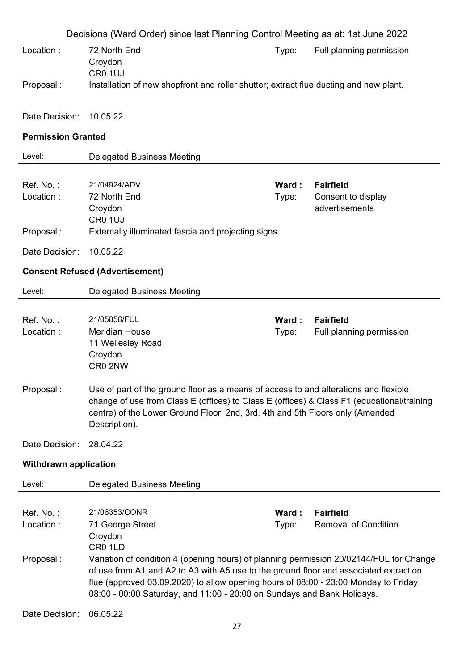|                              | Decisions (Ward Order) since last Planning Control Meeting as at: 1st June 2022                                                                                                                                                                                                                                                                                |                |                                                          |  |  |
|------------------------------|----------------------------------------------------------------------------------------------------------------------------------------------------------------------------------------------------------------------------------------------------------------------------------------------------------------------------------------------------------------|----------------|----------------------------------------------------------|--|--|
| Location:                    | 72 North End<br>Croydon                                                                                                                                                                                                                                                                                                                                        | Type:          | Full planning permission                                 |  |  |
| Proposal:                    | CR0 1UJ<br>Installation of new shopfront and roller shutter; extract flue ducting and new plant.                                                                                                                                                                                                                                                               |                |                                                          |  |  |
| Date Decision:               | 10.05.22                                                                                                                                                                                                                                                                                                                                                       |                |                                                          |  |  |
| <b>Permission Granted</b>    |                                                                                                                                                                                                                                                                                                                                                                |                |                                                          |  |  |
| Level:                       | <b>Delegated Business Meeting</b>                                                                                                                                                                                                                                                                                                                              |                |                                                          |  |  |
| Ref. No.:<br>Location:       | 21/04924/ADV<br>72 North End<br>Croydon<br>CR <sub>0</sub> 1UJ                                                                                                                                                                                                                                                                                                 | Ward:<br>Type: | <b>Fairfield</b><br>Consent to display<br>advertisements |  |  |
| Proposal:                    | Externally illuminated fascia and projecting signs                                                                                                                                                                                                                                                                                                             |                |                                                          |  |  |
| Date Decision:               | 10.05.22                                                                                                                                                                                                                                                                                                                                                       |                |                                                          |  |  |
|                              | <b>Consent Refused (Advertisement)</b>                                                                                                                                                                                                                                                                                                                         |                |                                                          |  |  |
| Level:                       | <b>Delegated Business Meeting</b>                                                                                                                                                                                                                                                                                                                              |                |                                                          |  |  |
| Ref. No.:<br>Location:       | 21/05856/FUL<br><b>Meridian House</b><br>11 Wellesley Road<br>Croydon<br>CR0 2NW                                                                                                                                                                                                                                                                               | Ward:<br>Type: | <b>Fairfield</b><br>Full planning permission             |  |  |
| Proposal:                    | Use of part of the ground floor as a means of access to and alterations and flexible<br>change of use from Class E (offices) to Class E (offices) & Class F1 (educational/training<br>centre) of the Lower Ground Floor, 2nd, 3rd, 4th and 5th Floors only (Amended<br>Description).                                                                           |                |                                                          |  |  |
| Date Decision:               | 28.04.22                                                                                                                                                                                                                                                                                                                                                       |                |                                                          |  |  |
| <b>Withdrawn application</b> |                                                                                                                                                                                                                                                                                                                                                                |                |                                                          |  |  |
| Level:                       | <b>Delegated Business Meeting</b>                                                                                                                                                                                                                                                                                                                              |                |                                                          |  |  |
| Ref. No.:<br>Location:       | 21/06353/CONR<br>71 George Street<br>Croydon                                                                                                                                                                                                                                                                                                                   | Ward:<br>Type: | <b>Fairfield</b><br><b>Removal of Condition</b>          |  |  |
| Proposal:                    | CR0 1LD<br>Variation of condition 4 (opening hours) of planning permission 20/02144/FUL for Change<br>of use from A1 and A2 to A3 with A5 use to the ground floor and associated extraction<br>flue (approved 03.09.2020) to allow opening hours of 08:00 - 23:00 Monday to Friday,<br>08:00 - 00:00 Saturday, and 11:00 - 20:00 on Sundays and Bank Holidays. |                |                                                          |  |  |
| Date Decision:               | 06.05.22                                                                                                                                                                                                                                                                                                                                                       |                |                                                          |  |  |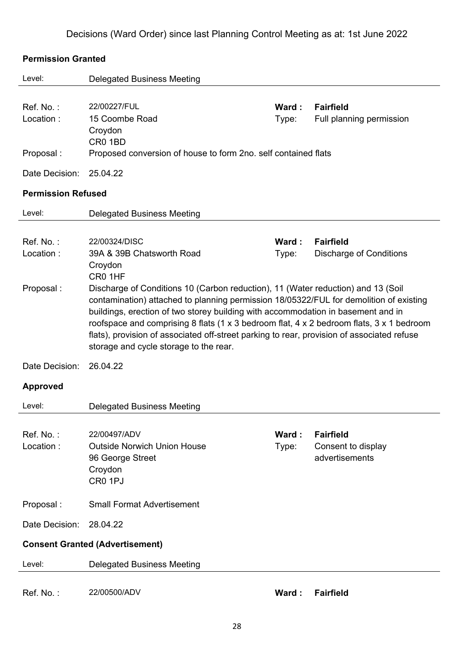| <b>Permission Granted</b> |                                                                                            |       |                                      |
|---------------------------|--------------------------------------------------------------------------------------------|-------|--------------------------------------|
| Level:                    | <b>Delegated Business Meeting</b>                                                          |       |                                      |
|                           |                                                                                            |       |                                      |
| Ref. No.:                 | 22/00227/FUL                                                                               | Ward: | <b>Fairfield</b>                     |
| Location:                 | 15 Coombe Road                                                                             | Type: | Full planning permission             |
|                           | Croydon                                                                                    |       |                                      |
|                           | CR0 1BD                                                                                    |       |                                      |
| Proposal:                 | Proposed conversion of house to form 2no. self contained flats                             |       |                                      |
| Date Decision:            | 25.04.22                                                                                   |       |                                      |
| <b>Permission Refused</b> |                                                                                            |       |                                      |
| Level:                    | <b>Delegated Business Meeting</b>                                                          |       |                                      |
|                           |                                                                                            |       |                                      |
| Ref. No.:                 | 22/00324/DISC                                                                              | Ward: | <b>Fairfield</b>                     |
| Location:                 | 39A & 39B Chatsworth Road                                                                  | Type: | <b>Discharge of Conditions</b>       |
|                           | Croydon<br>CR0 1HF                                                                         |       |                                      |
| Proposal:                 | Discharge of Conditions 10 (Carbon reduction), 11 (Water reduction) and 13 (Soil           |       |                                      |
|                           | contamination) attached to planning permission 18/05322/FUL for demolition of existing     |       |                                      |
|                           | buildings, erection of two storey building with accommodation in basement and in           |       |                                      |
|                           | roofspace and comprising 8 flats (1 x 3 bedroom flat, 4 x 2 bedroom flats, 3 x 1 bedroom   |       |                                      |
|                           | flats), provision of associated off-street parking to rear, provision of associated refuse |       |                                      |
|                           | storage and cycle storage to the rear.                                                     |       |                                      |
| Date Decision:            | 26.04.22                                                                                   |       |                                      |
| <b>Approved</b>           |                                                                                            |       |                                      |
|                           |                                                                                            |       |                                      |
| Level:                    | <b>Delegated Business Meeting</b>                                                          |       |                                      |
|                           |                                                                                            |       |                                      |
| Ref. No.:<br>Location:    | 22/00497/ADV<br><b>Outside Norwich Union House</b>                                         | Ward: | <b>Fairfield</b>                     |
|                           | 96 George Street                                                                           | Type: | Consent to display<br>advertisements |
|                           | Croydon                                                                                    |       |                                      |
|                           | CR <sub>0</sub> 1PJ                                                                        |       |                                      |
|                           |                                                                                            |       |                                      |
| Proposal:                 | <b>Small Format Advertisement</b>                                                          |       |                                      |
| Date Decision:            | 28.04.22                                                                                   |       |                                      |
|                           | <b>Consent Granted (Advertisement)</b>                                                     |       |                                      |
| Level:                    | <b>Delegated Business Meeting</b>                                                          |       |                                      |
|                           |                                                                                            |       |                                      |
| Ref. No.:                 | 22/00500/ADV                                                                               | Ward: | <b>Fairfield</b>                     |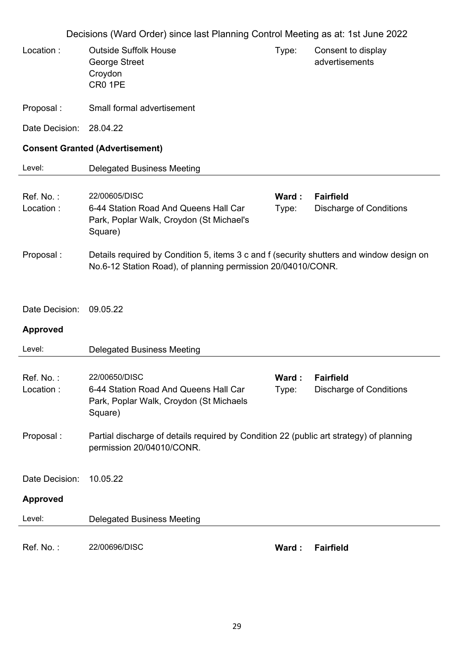|                        | Decisions (Ward Order) since last Planning Control Meeting as at: 1st June 2022                                                                          |                |                                                    |
|------------------------|----------------------------------------------------------------------------------------------------------------------------------------------------------|----------------|----------------------------------------------------|
| Location:              | <b>Outside Suffolk House</b><br>George Street<br>Croydon<br>CR0 1PE                                                                                      | Type:          | Consent to display<br>advertisements               |
| Proposal:              | Small formal advertisement                                                                                                                               |                |                                                    |
| Date Decision:         | 28.04.22                                                                                                                                                 |                |                                                    |
|                        | <b>Consent Granted (Advertisement)</b>                                                                                                                   |                |                                                    |
| Level:                 | <b>Delegated Business Meeting</b>                                                                                                                        |                |                                                    |
| Ref. No.:<br>Location: | 22/00605/DISC<br>6-44 Station Road And Queens Hall Car<br>Park, Poplar Walk, Croydon (St Michael's<br>Square)                                            | Ward:<br>Type: | <b>Fairfield</b><br><b>Discharge of Conditions</b> |
| Proposal:              | Details required by Condition 5, items 3 c and f (security shutters and window design on<br>No.6-12 Station Road), of planning permission 20/04010/CONR. |                |                                                    |
| Date Decision:         | 09.05.22                                                                                                                                                 |                |                                                    |
| <b>Approved</b>        |                                                                                                                                                          |                |                                                    |
| Level:                 | <b>Delegated Business Meeting</b>                                                                                                                        |                |                                                    |
| Ref. No.:<br>Location: | 22/00650/DISC<br>6-44 Station Road And Queens Hall Car<br>Park, Poplar Walk, Croydon (St Michaels<br>Square)                                             | Ward:<br>Type: | <b>Fairfield</b><br><b>Discharge of Conditions</b> |
| Proposal:              | Partial discharge of details required by Condition 22 (public art strategy) of planning<br>permission 20/04010/CONR.                                     |                |                                                    |
| Date Decision:         | 10.05.22                                                                                                                                                 |                |                                                    |
| <b>Approved</b>        |                                                                                                                                                          |                |                                                    |
| Level:                 | <b>Delegated Business Meeting</b>                                                                                                                        |                |                                                    |
| Ref. No.:              | 22/00696/DISC                                                                                                                                            | Ward:          | <b>Fairfield</b>                                   |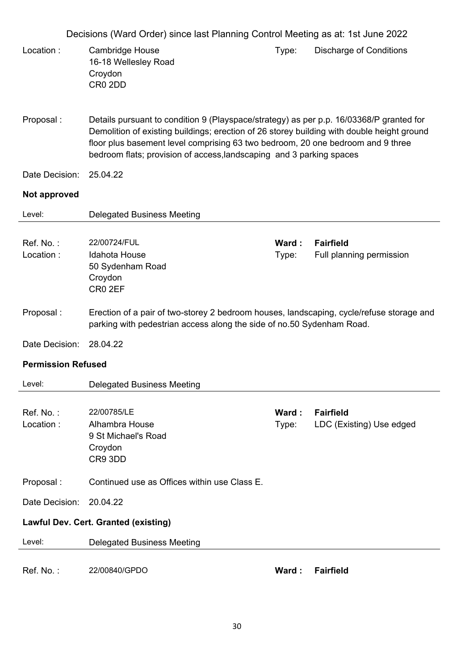|                           | Decisions (Ward Order) since last Planning Control Meeting as at: 1st June 2022                                                                                                                                                                                                                                                                  |                |                                              |
|---------------------------|--------------------------------------------------------------------------------------------------------------------------------------------------------------------------------------------------------------------------------------------------------------------------------------------------------------------------------------------------|----------------|----------------------------------------------|
| Location:                 | <b>Cambridge House</b><br>16-18 Wellesley Road<br>Croydon<br>CR <sub>0</sub> 2DD                                                                                                                                                                                                                                                                 | Type:          | <b>Discharge of Conditions</b>               |
| Proposal:                 | Details pursuant to condition 9 (Playspace/strategy) as per p.p. 16/03368/P granted for<br>Demolition of existing buildings; erection of 26 storey building with double height ground<br>floor plus basement level comprising 63 two bedroom, 20 one bedroom and 9 three<br>bedroom flats; provision of access, landscaping and 3 parking spaces |                |                                              |
| Date Decision:            | 25.04.22                                                                                                                                                                                                                                                                                                                                         |                |                                              |
| Not approved              |                                                                                                                                                                                                                                                                                                                                                  |                |                                              |
| Level:                    | <b>Delegated Business Meeting</b>                                                                                                                                                                                                                                                                                                                |                |                                              |
| Ref. No.:<br>Location:    | 22/00724/FUL<br>Idahota House<br>50 Sydenham Road<br>Croydon<br>CR0 2EF                                                                                                                                                                                                                                                                          | Ward:<br>Type: | <b>Fairfield</b><br>Full planning permission |
| Proposal:                 | Erection of a pair of two-storey 2 bedroom houses, landscaping, cycle/refuse storage and<br>parking with pedestrian access along the side of no.50 Sydenham Road.                                                                                                                                                                                |                |                                              |
| Date Decision:            | 28.04.22                                                                                                                                                                                                                                                                                                                                         |                |                                              |
| <b>Permission Refused</b> |                                                                                                                                                                                                                                                                                                                                                  |                |                                              |
| Level:                    | <b>Delegated Business Meeting</b>                                                                                                                                                                                                                                                                                                                |                |                                              |
| Ref. No.:<br>Location:    | 22/00785/LE<br>Alhambra House<br>9 St Michael's Road<br>Croydon<br>CR9 3DD                                                                                                                                                                                                                                                                       | Ward:<br>Type: | <b>Fairfield</b><br>LDC (Existing) Use edged |
| Proposal:                 | Continued use as Offices within use Class E.                                                                                                                                                                                                                                                                                                     |                |                                              |
| Date Decision:            | 20.04.22                                                                                                                                                                                                                                                                                                                                         |                |                                              |
|                           | <b>Lawful Dev. Cert. Granted (existing)</b>                                                                                                                                                                                                                                                                                                      |                |                                              |
| Level:                    | <b>Delegated Business Meeting</b>                                                                                                                                                                                                                                                                                                                |                |                                              |
| Ref. No.:                 | 22/00840/GPDO                                                                                                                                                                                                                                                                                                                                    | Ward:          | <b>Fairfield</b>                             |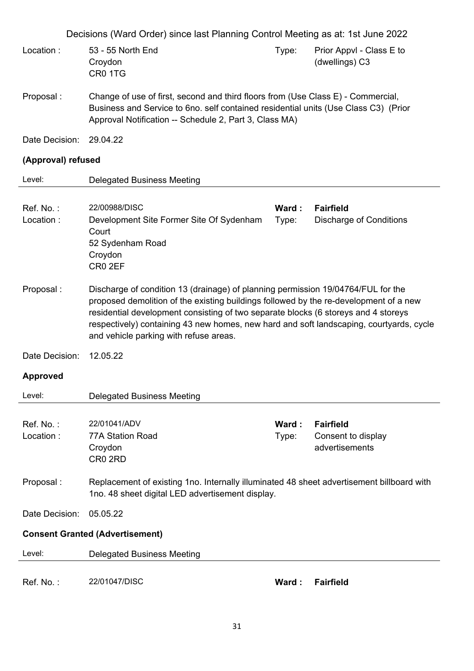| Location: | 53 - 55 North End | Tvpe: | Prior Appyl - Class E to |
|-----------|-------------------|-------|--------------------------|
|           | Crovdon           |       | (dwellings) C3           |
|           | CR0 1TG           |       |                          |

- Proposal : Change of use of first, second and third floors from (Use Class E) Commercial, Business and Service to 6no. self contained residential units (Use Class C3) (Prior Approval Notification -- Schedule 2, Part 3, Class MA)
- Date Decision: 29.04.22

### **(Approval) refused**

| Level:                 | <b>Delegated Business Meeting</b>                                                                                                                                                                                                                                                                                                                                                                    |        |                                        |
|------------------------|------------------------------------------------------------------------------------------------------------------------------------------------------------------------------------------------------------------------------------------------------------------------------------------------------------------------------------------------------------------------------------------------------|--------|----------------------------------------|
|                        |                                                                                                                                                                                                                                                                                                                                                                                                      |        |                                        |
| Ref. No.:              | 22/00988/DISC                                                                                                                                                                                                                                                                                                                                                                                        | Ward : | <b>Fairfield</b>                       |
| Location:              | Development Site Former Site Of Sydenham<br>Court<br>52 Sydenham Road<br>Croydon<br>CR <sub>0</sub> 2EF                                                                                                                                                                                                                                                                                              | Type:  | <b>Discharge of Conditions</b>         |
| Proposal:              | Discharge of condition 13 (drainage) of planning permission 19/04764/FUL for the<br>proposed demolition of the existing buildings followed by the re-development of a new<br>residential development consisting of two separate blocks (6 storeys and 4 storeys<br>respectively) containing 43 new homes, new hard and soft landscaping, courtyards, cycle<br>and vehicle parking with refuse areas. |        |                                        |
| Date Decision:         | 12.05.22                                                                                                                                                                                                                                                                                                                                                                                             |        |                                        |
| <b>Approved</b>        |                                                                                                                                                                                                                                                                                                                                                                                                      |        |                                        |
| Level:                 | <b>Delegated Business Meeting</b>                                                                                                                                                                                                                                                                                                                                                                    |        |                                        |
|                        |                                                                                                                                                                                                                                                                                                                                                                                                      |        |                                        |
| Ref. No.:<br>Location: | 22/01041/ADV                                                                                                                                                                                                                                                                                                                                                                                         | Ward : | <b>Fairfield</b><br>Consent to display |
|                        | 77A Station Road                                                                                                                                                                                                                                                                                                                                                                                     | Type:  |                                        |
|                        |                                                                                                                                                                                                                                                                                                                                                                                                      |        |                                        |
|                        | Croydon<br>CR <sub>0</sub> 2RD                                                                                                                                                                                                                                                                                                                                                                       |        | advertisements                         |
| Proposal:              | Replacement of existing 1no. Internally illuminated 48 sheet advertisement billboard with<br>1no. 48 sheet digital LED advertisement display.                                                                                                                                                                                                                                                        |        |                                        |
| Date Decision:         | 05.05.22                                                                                                                                                                                                                                                                                                                                                                                             |        |                                        |
|                        | <b>Consent Granted (Advertisement)</b>                                                                                                                                                                                                                                                                                                                                                               |        |                                        |
| Level:                 | <b>Delegated Business Meeting</b>                                                                                                                                                                                                                                                                                                                                                                    |        |                                        |

Ref. No. : 22/01047/DISC **Ward : Fairfield**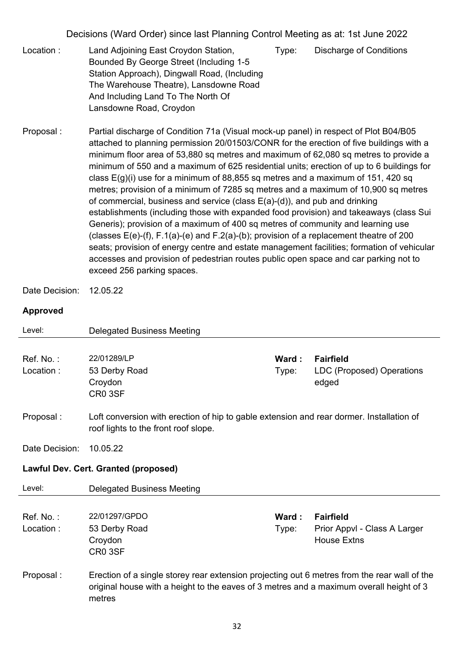- Location : Land Adjoining East Croydon Station, Bounded By George Street (Including 1-5 Station Approach), Dingwall Road, (Including The Warehouse Theatre), Lansdowne Road And Including Land To The North Of Lansdowne Road, Croydon Type: Discharge of Conditions
- Proposal : Partial discharge of Condition 71a (Visual mock-up panel) in respect of Plot B04/B05 attached to planning permission 20/01503/CONR for the erection of five buildings with a minimum floor area of 53,880 sq metres and maximum of 62,080 sq metres to provide a minimum of 550 and a maximum of 625 residential units; erection of up to 6 buildings for class  $E(g)(i)$  use for a minimum of 88,855 sq metres and a maximum of 151, 420 sq metres; provision of a minimum of 7285 sq metres and a maximum of 10,900 sq metres of commercial, business and service (class E(a)-(d)), and pub and drinking establishments (including those with expanded food provision) and takeaways (class Sui Generis); provision of a maximum of 400 sq metres of community and learning use (classes  $E(e)$ -(f), F.1(a)-(e) and F.2(a)-(b); provision of a replacement theatre of 200 seats; provision of energy centre and estate management facilities; formation of vehicular accesses and provision of pedestrian routes public open space and car parking not to exceed 256 parking spaces.

Date Decision: 12.05.22

#### **Approved**

| Level:                 | <b>Delegated Business Meeting</b>                                                                                                                                                                 |                 |                                                                 |
|------------------------|---------------------------------------------------------------------------------------------------------------------------------------------------------------------------------------------------|-----------------|-----------------------------------------------------------------|
| Ref. No.:              | 22/01289/LP                                                                                                                                                                                       | Ward:           | <b>Fairfield</b>                                                |
| Location:              | 53 Derby Road<br>Croydon<br>CR0 3SF                                                                                                                                                               | Type:           | LDC (Proposed) Operations<br>edged                              |
| Proposal :             | Loft conversion with erection of hip to gable extension and rear dormer. Installation of<br>roof lights to the front roof slope.                                                                  |                 |                                                                 |
| Date Decision:         | 10.05.22                                                                                                                                                                                          |                 |                                                                 |
|                        | Lawful Dev. Cert. Granted (proposed)                                                                                                                                                              |                 |                                                                 |
| Level:                 | <b>Delegated Business Meeting</b>                                                                                                                                                                 |                 |                                                                 |
|                        |                                                                                                                                                                                                   |                 |                                                                 |
| Ref. No.:<br>Location: | 22/01297/GPDO<br>53 Derby Road<br>Croydon<br>CR0 3SF                                                                                                                                              | Ward :<br>Type: | Fairfield<br>Prior Appvl - Class A Larger<br><b>House Extns</b> |
| Proposal:              | Erection of a single storey rear extension projecting out 6 metres from the rear wall of the<br>original house with a height to the eaves of 3 metres and a maximum overall height of 3<br>metres |                 |                                                                 |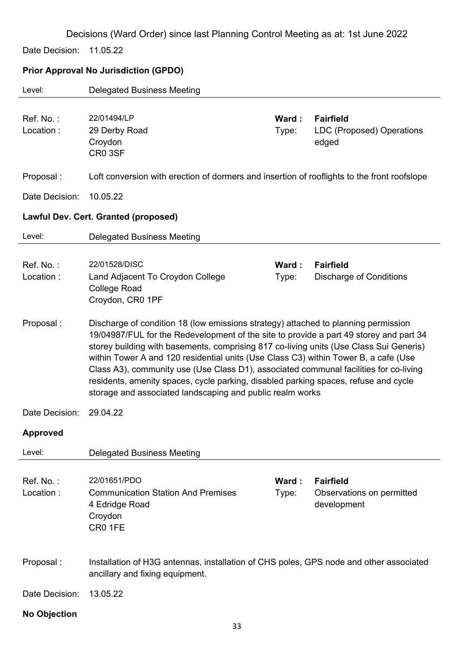Date Decision: 11.05.22

### **Prior Approval No Jurisdiction (GPDO)**

| Level:                 | <b>Delegated Business Meeting</b>                                                                                                                                                                                                                                                                                                                                                                                                                                                                                                                                                                          |                |                                                              |  |  |
|------------------------|------------------------------------------------------------------------------------------------------------------------------------------------------------------------------------------------------------------------------------------------------------------------------------------------------------------------------------------------------------------------------------------------------------------------------------------------------------------------------------------------------------------------------------------------------------------------------------------------------------|----------------|--------------------------------------------------------------|--|--|
| Ref. No.:<br>Location: | 22/01494/LP<br>29 Derby Road<br>Croydon<br>CR0 3SF                                                                                                                                                                                                                                                                                                                                                                                                                                                                                                                                                         | Ward:<br>Type: | <b>Fairfield</b><br>LDC (Proposed) Operations<br>edged       |  |  |
| Proposal:              | Loft conversion with erection of dormers and insertion of rooflights to the front roofslope                                                                                                                                                                                                                                                                                                                                                                                                                                                                                                                |                |                                                              |  |  |
| Date Decision:         | 10.05.22                                                                                                                                                                                                                                                                                                                                                                                                                                                                                                                                                                                                   |                |                                                              |  |  |
|                        | <b>Lawful Dev. Cert. Granted (proposed)</b>                                                                                                                                                                                                                                                                                                                                                                                                                                                                                                                                                                |                |                                                              |  |  |
| Level:                 | <b>Delegated Business Meeting</b>                                                                                                                                                                                                                                                                                                                                                                                                                                                                                                                                                                          |                |                                                              |  |  |
| Ref. No.:<br>Location: | 22/01528/DISC<br>Land Adjacent To Croydon College<br><b>College Road</b><br>Croydon, CR0 1PF                                                                                                                                                                                                                                                                                                                                                                                                                                                                                                               | Ward:<br>Type: | <b>Fairfield</b><br><b>Discharge of Conditions</b>           |  |  |
| Proposal:              | Discharge of condition 18 (low emissions strategy) attached to planning permission<br>19/04987/FUL for the Redevelopment of the site to provide a part 49 storey and part 34<br>storey building with basements, comprising 817 co-living units (Use Class Sui Generis)<br>within Tower A and 120 residential units (Use Class C3) within Tower B, a cafe (Use<br>Class A3), community use (Use Class D1), associated communal facilities for co-living<br>residents, amenity spaces, cycle parking, disabled parking spaces, refuse and cycle<br>storage and associated landscaping and public realm works |                |                                                              |  |  |
| Date Decision:         | 29.04.22                                                                                                                                                                                                                                                                                                                                                                                                                                                                                                                                                                                                   |                |                                                              |  |  |
| <b>Approved</b>        |                                                                                                                                                                                                                                                                                                                                                                                                                                                                                                                                                                                                            |                |                                                              |  |  |
| Level:                 | <b>Delegated Business Meeting</b>                                                                                                                                                                                                                                                                                                                                                                                                                                                                                                                                                                          |                |                                                              |  |  |
| Ref. No.:<br>Location: | 22/01651/PDO<br><b>Communication Station And Premises</b><br>4 Edridge Road<br>Croydon<br>CR0 1FE                                                                                                                                                                                                                                                                                                                                                                                                                                                                                                          | Ward:<br>Type: | <b>Fairfield</b><br>Observations on permitted<br>development |  |  |
| Proposal:              | Installation of H3G antennas, installation of CHS poles, GPS node and other associated<br>ancillary and fixing equipment.                                                                                                                                                                                                                                                                                                                                                                                                                                                                                  |                |                                                              |  |  |
| Date Decision:         | 13.05.22                                                                                                                                                                                                                                                                                                                                                                                                                                                                                                                                                                                                   |                |                                                              |  |  |
| <b>No Objection</b>    |                                                                                                                                                                                                                                                                                                                                                                                                                                                                                                                                                                                                            |                |                                                              |  |  |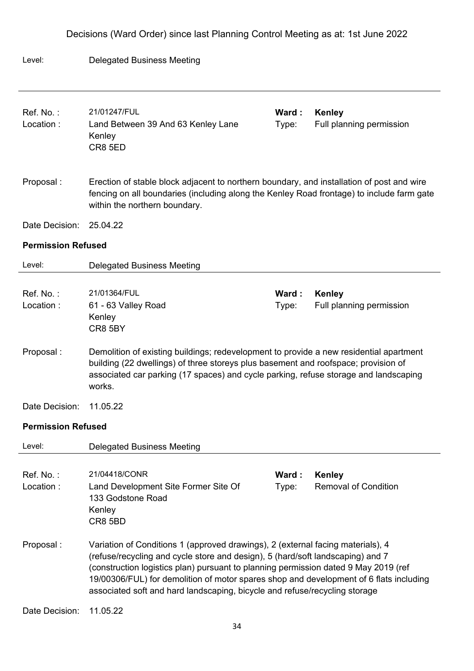# Level: Delegated Business Meeting Ref. No. : 21/01247/FUL **Ward : Kenley** Location : Land Between 39 And 63 Kenley Lane Kenley CR8 5ED Type: Full planning permission Proposal : Erection of stable block adjacent to northern boundary, and installation of post and wire fencing on all boundaries (including along the Kenley Road frontage) to include farm gate within the northern boundary. Date Decision: 25.04.22 **Permission Refused**  Level: Delegated Business Meeting Ref. No. : 21/01364/FUL **Ward : Kenley** Location : 61 - 63 Valley Road Kenley CR8 5BY Type: Full planning permission Proposal : Demolition of existing buildings; redevelopment to provide a new residential apartment building (22 dwellings) of three storeys plus basement and roofspace; provision of associated car parking (17 spaces) and cycle parking, refuse storage and landscaping works. Date Decision: 11.05.22 **Permission Refused**  Level: Delegated Business Meeting Ref. No. : 21/04418/CONR **Ward : Kenley** Location : Land Development Site Former Site Of 133 Godstone Road Kenley CR8 5BD Type: Removal of Condition Proposal : Variation of Conditions 1 (approved drawings), 2 (external facing materials), 4 (refuse/recycling and cycle store and design), 5 (hard/soft landscaping) and 7 (construction logistics plan) pursuant to planning permission dated 9 May 2019 (ref 19/00306/FUL) for demolition of motor spares shop and development of 6 flats including associated soft and hard landscaping, bicycle and refuse/recycling storage Date Decision: 11.05.22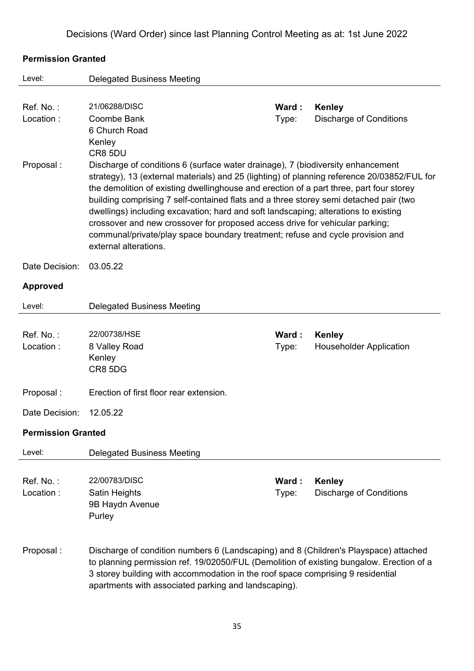#### **Permission Granted**

| Level:                              | <b>Delegated Business Meeting</b>                                                                                                                                                                                                                                                                                                                                                                                                                                                                                                                                                                                                                                                                                          |                |                                                 |  |  |
|-------------------------------------|----------------------------------------------------------------------------------------------------------------------------------------------------------------------------------------------------------------------------------------------------------------------------------------------------------------------------------------------------------------------------------------------------------------------------------------------------------------------------------------------------------------------------------------------------------------------------------------------------------------------------------------------------------------------------------------------------------------------------|----------------|-------------------------------------------------|--|--|
| Ref. No.:<br>Location:<br>Proposal: | 21/06288/DISC<br>Coombe Bank<br>6 Church Road<br>Kenley<br>CR8 5DU<br>Discharge of conditions 6 (surface water drainage), 7 (biodiversity enhancement<br>strategy), 13 (external materials) and 25 (lighting) of planning reference 20/03852/FUL for<br>the demolition of existing dwellinghouse and erection of a part three, part four storey<br>building comprising 7 self-contained flats and a three storey semi detached pair (two<br>dwellings) including excavation; hard and soft landscaping; alterations to existing<br>crossover and new crossover for proposed access drive for vehicular parking;<br>communal/private/play space boundary treatment; refuse and cycle provision and<br>external alterations. | Ward:<br>Type: | <b>Kenley</b><br><b>Discharge of Conditions</b> |  |  |
| Date Decision:                      | 03.05.22                                                                                                                                                                                                                                                                                                                                                                                                                                                                                                                                                                                                                                                                                                                   |                |                                                 |  |  |
| <b>Approved</b>                     |                                                                                                                                                                                                                                                                                                                                                                                                                                                                                                                                                                                                                                                                                                                            |                |                                                 |  |  |
| Level:                              | <b>Delegated Business Meeting</b>                                                                                                                                                                                                                                                                                                                                                                                                                                                                                                                                                                                                                                                                                          |                |                                                 |  |  |
| Ref. No.:<br>Location:              | 22/00738/HSE<br>8 Valley Road<br>Kenley<br>CR8 5DG                                                                                                                                                                                                                                                                                                                                                                                                                                                                                                                                                                                                                                                                         | Ward:<br>Type: | <b>Kenley</b><br><b>Householder Application</b> |  |  |
| Proposal:                           | Erection of first floor rear extension.                                                                                                                                                                                                                                                                                                                                                                                                                                                                                                                                                                                                                                                                                    |                |                                                 |  |  |
| Date Decision:                      | 12.05.22                                                                                                                                                                                                                                                                                                                                                                                                                                                                                                                                                                                                                                                                                                                   |                |                                                 |  |  |
| <b>Permission Granted</b>           |                                                                                                                                                                                                                                                                                                                                                                                                                                                                                                                                                                                                                                                                                                                            |                |                                                 |  |  |
| Level:                              | <b>Delegated Business Meeting</b>                                                                                                                                                                                                                                                                                                                                                                                                                                                                                                                                                                                                                                                                                          |                |                                                 |  |  |
| Ref. No.:<br>Location:              | 22/00783/DISC<br>Satin Heights<br>9B Haydn Avenue<br>Purley                                                                                                                                                                                                                                                                                                                                                                                                                                                                                                                                                                                                                                                                | Ward:<br>Type: | <b>Kenley</b><br><b>Discharge of Conditions</b> |  |  |
| Proposal:                           | Discharge of condition numbers 6 (Landscaping) and 8 (Children's Playspace) attached<br>to planning permission ref. 19/02050/FUL (Demolition of existing bungalow. Erection of a<br>3 storey building with accommodation in the roof space comprising 9 residential<br>apartments with associated parking and landscaping).                                                                                                                                                                                                                                                                                                                                                                                                |                |                                                 |  |  |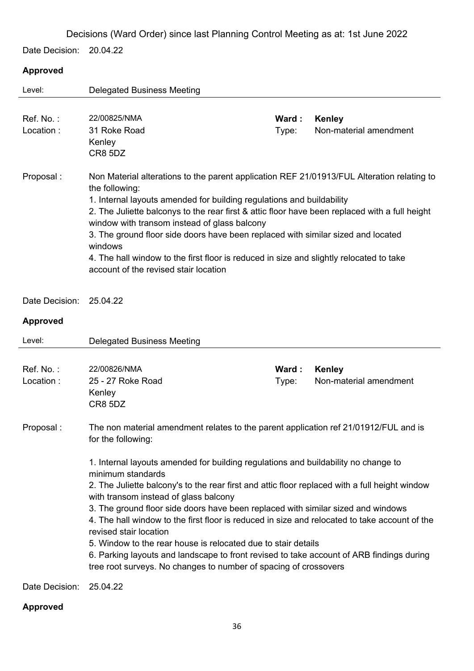Date Decision: 20.04.22

### **Approved**

| Level:          | <b>Delegated Business Meeting</b>                                                                                                                                                                                                                                                                                                                                                                                                                                                                                                                                                                                              |       |                        |  |
|-----------------|--------------------------------------------------------------------------------------------------------------------------------------------------------------------------------------------------------------------------------------------------------------------------------------------------------------------------------------------------------------------------------------------------------------------------------------------------------------------------------------------------------------------------------------------------------------------------------------------------------------------------------|-------|------------------------|--|
|                 |                                                                                                                                                                                                                                                                                                                                                                                                                                                                                                                                                                                                                                |       |                        |  |
| Ref. No.:       | 22/00825/NMA                                                                                                                                                                                                                                                                                                                                                                                                                                                                                                                                                                                                                   | Ward: | <b>Kenley</b>          |  |
| Location:       | 31 Roke Road                                                                                                                                                                                                                                                                                                                                                                                                                                                                                                                                                                                                                   | Type: | Non-material amendment |  |
|                 | Kenley<br>CR8 5DZ                                                                                                                                                                                                                                                                                                                                                                                                                                                                                                                                                                                                              |       |                        |  |
|                 |                                                                                                                                                                                                                                                                                                                                                                                                                                                                                                                                                                                                                                |       |                        |  |
| Proposal:       | Non Material alterations to the parent application REF 21/01913/FUL Alteration relating to<br>the following:                                                                                                                                                                                                                                                                                                                                                                                                                                                                                                                   |       |                        |  |
|                 | 1. Internal layouts amended for building regulations and buildability<br>2. The Juliette balconys to the rear first & attic floor have been replaced with a full height<br>window with transom instead of glass balcony<br>3. The ground floor side doors have been replaced with similar sized and located<br>windows                                                                                                                                                                                                                                                                                                         |       |                        |  |
|                 |                                                                                                                                                                                                                                                                                                                                                                                                                                                                                                                                                                                                                                |       |                        |  |
|                 |                                                                                                                                                                                                                                                                                                                                                                                                                                                                                                                                                                                                                                |       |                        |  |
|                 |                                                                                                                                                                                                                                                                                                                                                                                                                                                                                                                                                                                                                                |       |                        |  |
|                 | 4. The hall window to the first floor is reduced in size and slightly relocated to take                                                                                                                                                                                                                                                                                                                                                                                                                                                                                                                                        |       |                        |  |
|                 | account of the revised stair location                                                                                                                                                                                                                                                                                                                                                                                                                                                                                                                                                                                          |       |                        |  |
|                 |                                                                                                                                                                                                                                                                                                                                                                                                                                                                                                                                                                                                                                |       |                        |  |
| Date Decision:  | 25.04.22                                                                                                                                                                                                                                                                                                                                                                                                                                                                                                                                                                                                                       |       |                        |  |
| <b>Approved</b> |                                                                                                                                                                                                                                                                                                                                                                                                                                                                                                                                                                                                                                |       |                        |  |
| Level:          | <b>Delegated Business Meeting</b>                                                                                                                                                                                                                                                                                                                                                                                                                                                                                                                                                                                              |       |                        |  |
|                 |                                                                                                                                                                                                                                                                                                                                                                                                                                                                                                                                                                                                                                |       |                        |  |
| Ref. No.:       | 22/00826/NMA                                                                                                                                                                                                                                                                                                                                                                                                                                                                                                                                                                                                                   | Ward: | <b>Kenley</b>          |  |
| Location:       | 25 - 27 Roke Road<br>Kenley                                                                                                                                                                                                                                                                                                                                                                                                                                                                                                                                                                                                    | Type: | Non-material amendment |  |
|                 | CR8 5DZ                                                                                                                                                                                                                                                                                                                                                                                                                                                                                                                                                                                                                        |       |                        |  |
|                 |                                                                                                                                                                                                                                                                                                                                                                                                                                                                                                                                                                                                                                |       |                        |  |
| Proposal:       | The non material amendment relates to the parent application ref 21/01912/FUL and is<br>for the following:                                                                                                                                                                                                                                                                                                                                                                                                                                                                                                                     |       |                        |  |
|                 | 1. Internal layouts amended for building regulations and buildability no change to<br>minimum standards<br>2. The Juliette balcony's to the rear first and attic floor replaced with a full height window<br>with transom instead of glass balcony<br>3. The ground floor side doors have been replaced with similar sized and windows<br>4. The hall window to the first floor is reduced in size and relocated to take account of the<br>revised stair location<br>5. Window to the rear house is relocated due to stair details<br>6. Parking layouts and landscape to front revised to take account of ARB findings during |       |                        |  |
|                 |                                                                                                                                                                                                                                                                                                                                                                                                                                                                                                                                                                                                                                |       |                        |  |
|                 |                                                                                                                                                                                                                                                                                                                                                                                                                                                                                                                                                                                                                                |       |                        |  |
|                 |                                                                                                                                                                                                                                                                                                                                                                                                                                                                                                                                                                                                                                |       |                        |  |
|                 |                                                                                                                                                                                                                                                                                                                                                                                                                                                                                                                                                                                                                                |       |                        |  |
|                 |                                                                                                                                                                                                                                                                                                                                                                                                                                                                                                                                                                                                                                |       |                        |  |
|                 |                                                                                                                                                                                                                                                                                                                                                                                                                                                                                                                                                                                                                                |       |                        |  |
|                 | tree root surveys. No changes to number of spacing of crossovers                                                                                                                                                                                                                                                                                                                                                                                                                                                                                                                                                               |       |                        |  |
| Date Decision:  | 25.04.22                                                                                                                                                                                                                                                                                                                                                                                                                                                                                                                                                                                                                       |       |                        |  |

**Approved**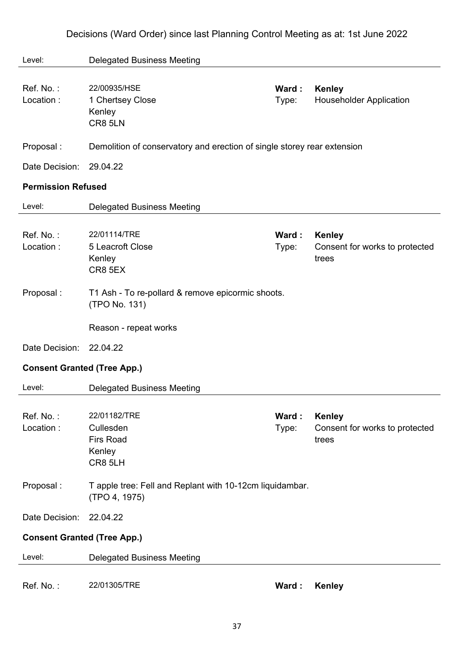|  |  | Decisions (Ward Order) since last Planning Control Meeting as at: 1st June 2022 |  |
|--|--|---------------------------------------------------------------------------------|--|
|--|--|---------------------------------------------------------------------------------|--|

| Level:                             | <b>Delegated Business Meeting</b>                                                           |                |                                                          |
|------------------------------------|---------------------------------------------------------------------------------------------|----------------|----------------------------------------------------------|
| Ref. No.:<br>Location:             | 22/00935/HSE<br>1 Chertsey Close<br>Kenley<br>CR8 5LN                                       | Ward:<br>Type: | Kenley<br><b>Householder Application</b>                 |
| Proposal:                          | Demolition of conservatory and erection of single storey rear extension                     |                |                                                          |
| Date Decision:                     | 29.04.22                                                                                    |                |                                                          |
| <b>Permission Refused</b>          |                                                                                             |                |                                                          |
| Level:                             | <b>Delegated Business Meeting</b>                                                           |                |                                                          |
| Ref. No.:<br>Location:             | 22/01114/TRE<br>5 Leacroft Close<br>Kenley<br>CR8 5EX                                       | Ward:<br>Type: | <b>Kenley</b><br>Consent for works to protected<br>trees |
| Proposal:                          | T1 Ash - To re-pollard & remove epicormic shoots.<br>(TPO No. 131)<br>Reason - repeat works |                |                                                          |
| Date Decision:                     | 22.04.22                                                                                    |                |                                                          |
| <b>Consent Granted (Tree App.)</b> |                                                                                             |                |                                                          |
| Level:                             | <b>Delegated Business Meeting</b>                                                           |                |                                                          |
| Ref. No.:<br>Location:             | 22/01182/TRE<br>Cullesden<br><b>Firs Road</b><br>Kenley<br>CR8 5LH                          | Ward:<br>Type: | <b>Kenley</b><br>Consent for works to protected<br>trees |
| Proposal:                          | T apple tree: Fell and Replant with 10-12cm liquidambar.<br>(TPO 4, 1975)                   |                |                                                          |
| Date Decision:                     | 22.04.22                                                                                    |                |                                                          |
| <b>Consent Granted (Tree App.)</b> |                                                                                             |                |                                                          |
| Level:                             | <b>Delegated Business Meeting</b>                                                           |                |                                                          |
| Ref. No.:                          | 22/01305/TRE                                                                                | Ward:          | <b>Kenley</b>                                            |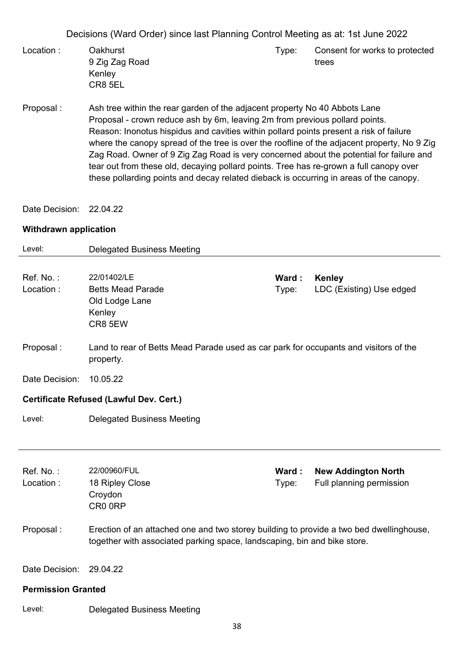- Location : Oakhurst 9 Zig Zag Road Kenley CR8 5EL Type: Consent for works to protected trees
- Proposal : Ash tree within the rear garden of the adjacent property No 40 Abbots Lane Proposal - crown reduce ash by 6m, leaving 2m from previous pollard points. Reason: Inonotus hispidus and cavities within pollard points present a risk of failure where the canopy spread of the tree is over the roofline of the adjacent property, No 9 Zig Zag Road. Owner of 9 Zig Zag Road is very concerned about the potential for failure and tear out from these old, decaying pollard points. Tree has re-grown a full canopy over these pollarding points and decay related dieback is occurring in areas of the canopy.

Date Decision: 22.04.22

#### **Withdrawn application**

| Level:                    | <b>Delegated Business Meeting</b>                                                                                                                                   |                |                                                        |
|---------------------------|---------------------------------------------------------------------------------------------------------------------------------------------------------------------|----------------|--------------------------------------------------------|
| Ref. No.:<br>Location:    | 22/01402/LE<br><b>Betts Mead Parade</b><br>Old Lodge Lane<br>Kenley<br>CR8 5EW                                                                                      | Ward:<br>Type: | Kenley<br>LDC (Existing) Use edged                     |
| Proposal:                 | Land to rear of Betts Mead Parade used as car park for occupants and visitors of the<br>property.                                                                   |                |                                                        |
| Date Decision:            | 10.05.22                                                                                                                                                            |                |                                                        |
|                           | Certificate Refused (Lawful Dev. Cert.)                                                                                                                             |                |                                                        |
| Level:                    | <b>Delegated Business Meeting</b>                                                                                                                                   |                |                                                        |
| Ref. No.:<br>Location:    | 22/00960/FUL<br>18 Ripley Close<br>Croydon<br>CR00RP                                                                                                                | Ward:<br>Type: | <b>New Addington North</b><br>Full planning permission |
| Proposal:                 | Erection of an attached one and two storey building to provide a two bed dwellinghouse,<br>together with associated parking space, landscaping, bin and bike store. |                |                                                        |
| Date Decision:            | 29.04.22                                                                                                                                                            |                |                                                        |
| <b>Permission Granted</b> |                                                                                                                                                                     |                |                                                        |
| Level:                    | <b>Delegated Business Meeting</b>                                                                                                                                   |                |                                                        |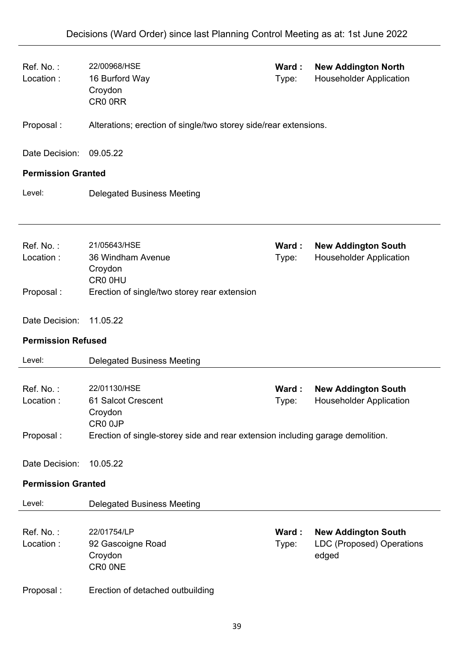| Ref. No.:<br>Location:    | 22/00968/HSE<br>16 Burford Way<br>Croydon<br>CR0 0RR                           | Ward:<br>Type: | <b>New Addington North</b><br><b>Householder Application</b>            |
|---------------------------|--------------------------------------------------------------------------------|----------------|-------------------------------------------------------------------------|
| Proposal:                 | Alterations; erection of single/two storey side/rear extensions.               |                |                                                                         |
| Date Decision:            | 09.05.22                                                                       |                |                                                                         |
| <b>Permission Granted</b> |                                                                                |                |                                                                         |
| Level:                    | <b>Delegated Business Meeting</b>                                              |                |                                                                         |
| Ref. No.:<br>Location:    | 21/05643/HSE<br>36 Windham Avenue<br>Croydon<br>CR0 0HU                        | Ward:<br>Type: | <b>New Addington South</b><br><b>Householder Application</b>            |
| Proposal:                 | Erection of single/two storey rear extension                                   |                |                                                                         |
| Date Decision:            | 11.05.22                                                                       |                |                                                                         |
| <b>Permission Refused</b> |                                                                                |                |                                                                         |
| Level:                    | <b>Delegated Business Meeting</b>                                              |                |                                                                         |
| Ref. No.:<br>Location:    | 22/01130/HSE<br>61 Salcot Crescent<br>Croydon<br>CR0 0JP                       | Ward:<br>Type: | <b>New Addington South</b><br><b>Householder Application</b>            |
| Proposal:                 | Erection of single-storey side and rear extension including garage demolition. |                |                                                                         |
| Date Decision:            | 10.05.22                                                                       |                |                                                                         |
| <b>Permission Granted</b> |                                                                                |                |                                                                         |
| Level:                    | <b>Delegated Business Meeting</b>                                              |                |                                                                         |
| Ref. No.:<br>Location:    | 22/01754/LP<br>92 Gascoigne Road<br>Croydon<br>CR0 ONE                         | Ward:<br>Type: | <b>New Addington South</b><br><b>LDC (Proposed) Operations</b><br>edged |
|                           |                                                                                |                |                                                                         |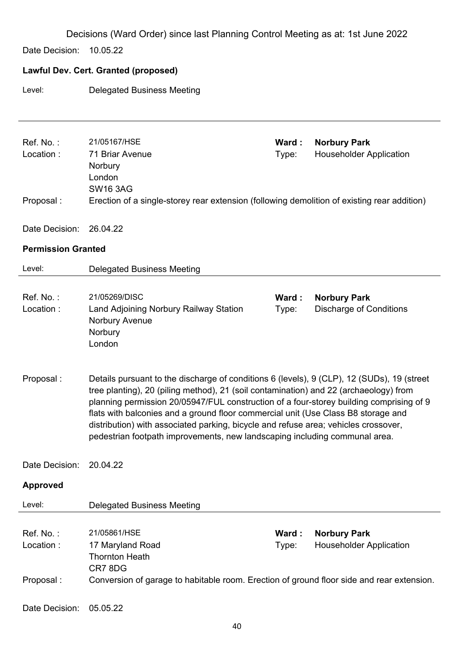Date Decision: 10.05.22

# **Lawful Dev. Cert. Granted (proposed)**

Level: Delegated Business Meeting

| Ref. No.:                 | 21/05167/HSE                                                                                                                                                                 | Ward: | <b>Norbury Park</b>            |
|---------------------------|------------------------------------------------------------------------------------------------------------------------------------------------------------------------------|-------|--------------------------------|
| Location:                 | 71 Briar Avenue                                                                                                                                                              | Type: | <b>Householder Application</b> |
|                           | Norbury                                                                                                                                                                      |       |                                |
|                           | London<br><b>SW16 3AG</b>                                                                                                                                                    |       |                                |
| Proposal:                 | Erection of a single-storey rear extension (following demolition of existing rear addition)                                                                                  |       |                                |
|                           |                                                                                                                                                                              |       |                                |
| Date Decision:            | 26.04.22                                                                                                                                                                     |       |                                |
| <b>Permission Granted</b> |                                                                                                                                                                              |       |                                |
| Level:                    | <b>Delegated Business Meeting</b>                                                                                                                                            |       |                                |
|                           |                                                                                                                                                                              |       |                                |
| Ref. No.:                 | 21/05269/DISC                                                                                                                                                                | Ward: | <b>Norbury Park</b>            |
| Location:                 | Land Adjoining Norbury Railway Station                                                                                                                                       | Type: | <b>Discharge of Conditions</b> |
|                           | Norbury Avenue<br>Norbury                                                                                                                                                    |       |                                |
|                           | London                                                                                                                                                                       |       |                                |
|                           |                                                                                                                                                                              |       |                                |
| Proposal:                 | Details pursuant to the discharge of conditions 6 (levels), 9 (CLP), 12 (SUDs), 19 (street                                                                                   |       |                                |
|                           | tree planting), 20 (piling method), 21 (soil contamination) and 22 (archaeology) from                                                                                        |       |                                |
|                           | planning permission 20/05947/FUL construction of a four-storey building comprising of 9<br>flats with balconies and a ground floor commercial unit (Use Class B8 storage and |       |                                |
|                           | distribution) with associated parking, bicycle and refuse area; vehicles crossover,                                                                                          |       |                                |
|                           | pedestrian footpath improvements, new landscaping including communal area.                                                                                                   |       |                                |
|                           |                                                                                                                                                                              |       |                                |
| Date Decision:            | 20.04.22                                                                                                                                                                     |       |                                |
| <b>Approved</b>           |                                                                                                                                                                              |       |                                |
| Level:                    | <b>Delegated Business Meeting</b>                                                                                                                                            |       |                                |
|                           |                                                                                                                                                                              |       |                                |
| Ref. No.:                 | 21/05861/HSE                                                                                                                                                                 | Ward: | <b>Norbury Park</b>            |
| Location:                 | 17 Maryland Road<br><b>Thornton Heath</b>                                                                                                                                    | Type: | <b>Householder Application</b> |
|                           | CR78DG                                                                                                                                                                       |       |                                |
| Proposal:                 | Conversion of garage to habitable room. Erection of ground floor side and rear extension.                                                                                    |       |                                |
|                           |                                                                                                                                                                              |       |                                |
| Date Decision:            | 05.05.22                                                                                                                                                                     |       |                                |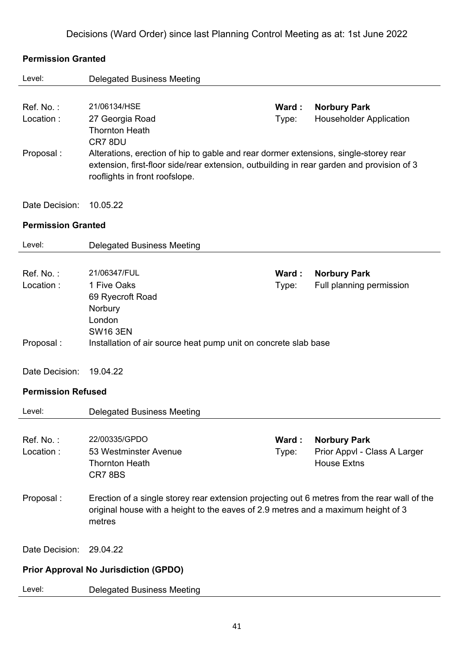| <b>Permission Granted</b> |  |
|---------------------------|--|
|                           |  |

| Level:                    | <b>Delegated Business Meeting</b>                                                            |        |                                |
|---------------------------|----------------------------------------------------------------------------------------------|--------|--------------------------------|
|                           |                                                                                              |        |                                |
| Ref. No.:                 | 21/06134/HSE                                                                                 | Ward:  | <b>Norbury Park</b>            |
| Location:                 | 27 Georgia Road                                                                              | Type:  | <b>Householder Application</b> |
|                           | <b>Thornton Heath</b><br>CR7 8DU                                                             |        |                                |
| Proposal:                 | Alterations, erection of hip to gable and rear dormer extensions, single-storey rear         |        |                                |
|                           | extension, first-floor side/rear extension, outbuilding in rear garden and provision of 3    |        |                                |
|                           | rooflights in front roofslope.                                                               |        |                                |
|                           |                                                                                              |        |                                |
| Date Decision:            | 10.05.22                                                                                     |        |                                |
| <b>Permission Granted</b> |                                                                                              |        |                                |
| Level:                    | <b>Delegated Business Meeting</b>                                                            |        |                                |
|                           |                                                                                              |        |                                |
| Ref. No.:                 | 21/06347/FUL                                                                                 | Ward : | <b>Norbury Park</b>            |
| Location:                 | 1 Five Oaks                                                                                  | Type:  | Full planning permission       |
|                           | 69 Ryecroft Road                                                                             |        |                                |
|                           | Norbury<br>London                                                                            |        |                                |
|                           | <b>SW16 3EN</b>                                                                              |        |                                |
| Proposal:                 | Installation of air source heat pump unit on concrete slab base                              |        |                                |
|                           |                                                                                              |        |                                |
| Date Decision:            | 19.04.22                                                                                     |        |                                |
| <b>Permission Refused</b> |                                                                                              |        |                                |
| Level:                    | <b>Delegated Business Meeting</b>                                                            |        |                                |
|                           |                                                                                              |        |                                |
| Ref. No.:                 | 22/00335/GPDO                                                                                | Ward:  | <b>Norbury Park</b>            |
| Location:                 | 53 Westminster Avenue                                                                        | Type:  | Prior Appvl - Class A Larger   |
|                           | <b>Thornton Heath</b>                                                                        |        | <b>House Extns</b>             |
|                           | CR78BS                                                                                       |        |                                |
| Proposal:                 | Erection of a single storey rear extension projecting out 6 metres from the rear wall of the |        |                                |
|                           | original house with a height to the eaves of 2.9 metres and a maximum height of 3            |        |                                |
|                           | metres                                                                                       |        |                                |
|                           |                                                                                              |        |                                |
| Date Decision:            | 29.04.22                                                                                     |        |                                |
|                           | <b>Prior Approval No Jurisdiction (GPDO)</b>                                                 |        |                                |
| Level:                    | <b>Delegated Business Meeting</b>                                                            |        |                                |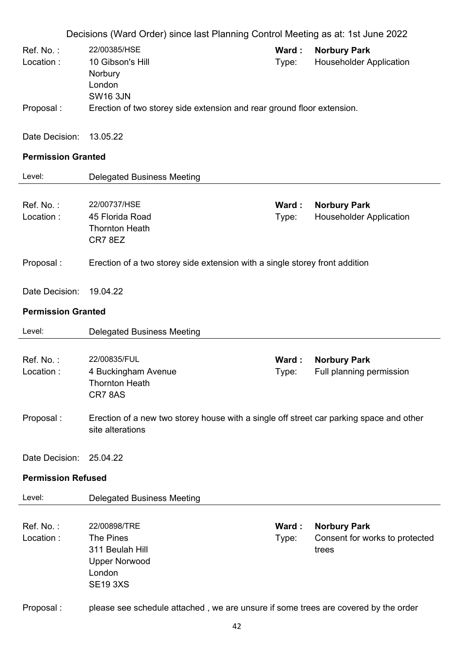|                           | Decisions (Ward Order) since last Planning Control Meeting as at: 1st June 2022                             |                |                                                                |
|---------------------------|-------------------------------------------------------------------------------------------------------------|----------------|----------------------------------------------------------------|
| Ref. No.:<br>Location:    | 22/00385/HSE<br>10 Gibson's Hill<br>Norbury<br>London<br><b>SW16 3JN</b>                                    | Ward:<br>Type: | <b>Norbury Park</b><br><b>Householder Application</b>          |
| Proposal:                 | Erection of two storey side extension and rear ground floor extension.                                      |                |                                                                |
| Date Decision:            | 13.05.22                                                                                                    |                |                                                                |
| <b>Permission Granted</b> |                                                                                                             |                |                                                                |
| Level:                    | <b>Delegated Business Meeting</b>                                                                           |                |                                                                |
| Ref. No.:<br>Location:    | 22/00737/HSE<br>45 Florida Road<br><b>Thornton Heath</b><br>CR78EZ                                          | Ward:<br>Type: | <b>Norbury Park</b><br><b>Householder Application</b>          |
| Proposal:                 | Erection of a two storey side extension with a single storey front addition                                 |                |                                                                |
| Date Decision:            | 19.04.22                                                                                                    |                |                                                                |
| <b>Permission Granted</b> |                                                                                                             |                |                                                                |
| Level:                    | <b>Delegated Business Meeting</b>                                                                           |                |                                                                |
| Ref. No.:<br>Location:    | 22/00835/FUL<br>4 Buckingham Avenue<br><b>Thornton Heath</b><br>CR78AS                                      | Ward:<br>Type: | <b>Norbury Park</b><br>Full planning permission                |
| Proposal:                 | Erection of a new two storey house with a single off street car parking space and other<br>site alterations |                |                                                                |
| Date Decision: 25.04.22   |                                                                                                             |                |                                                                |
| <b>Permission Refused</b> |                                                                                                             |                |                                                                |
| Level:                    | <b>Delegated Business Meeting</b>                                                                           |                |                                                                |
| Ref. No.:<br>Location:    | 22/00898/TRE<br>The Pines<br>311 Beulah Hill<br><b>Upper Norwood</b><br>London<br><b>SE19 3XS</b>           | Ward:<br>Type: | <b>Norbury Park</b><br>Consent for works to protected<br>trees |
| Proposal:                 | please see schedule attached, we are unsure if some trees are covered by the order                          |                |                                                                |
|                           | 42                                                                                                          |                |                                                                |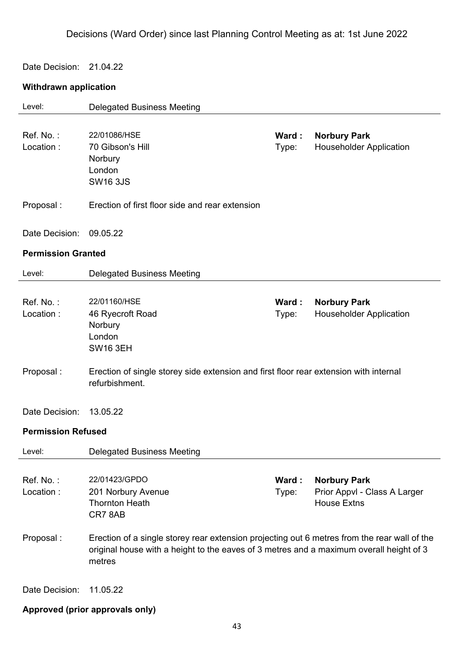Date Decision: 21.04.22

# **Withdrawn application**

| Level:                    | <b>Delegated Business Meeting</b>                                                                                                                                                                 |                |                                                                           |
|---------------------------|---------------------------------------------------------------------------------------------------------------------------------------------------------------------------------------------------|----------------|---------------------------------------------------------------------------|
| Ref. No.:<br>Location:    | 22/01086/HSE<br>70 Gibson's Hill<br>Norbury<br>London<br><b>SW16 3JS</b>                                                                                                                          | Ward:<br>Type: | <b>Norbury Park</b><br><b>Householder Application</b>                     |
| Proposal:                 | Erection of first floor side and rear extension                                                                                                                                                   |                |                                                                           |
| Date Decision:            | 09.05.22                                                                                                                                                                                          |                |                                                                           |
| <b>Permission Granted</b> |                                                                                                                                                                                                   |                |                                                                           |
| Level:                    | <b>Delegated Business Meeting</b>                                                                                                                                                                 |                |                                                                           |
| Ref. No.:<br>Location:    | 22/01160/HSE<br>46 Ryecroft Road<br>Norbury<br>London<br><b>SW16 3EH</b>                                                                                                                          | Ward:<br>Type: | <b>Norbury Park</b><br><b>Householder Application</b>                     |
| Proposal:                 | Erection of single storey side extension and first floor rear extension with internal<br>refurbishment.                                                                                           |                |                                                                           |
| Date Decision:            | 13.05.22                                                                                                                                                                                          |                |                                                                           |
| <b>Permission Refused</b> |                                                                                                                                                                                                   |                |                                                                           |
| Level:                    | <b>Delegated Business Meeting</b>                                                                                                                                                                 |                |                                                                           |
| Ref. No.:<br>Location:    | 22/01423/GPDO<br>201 Norbury Avenue<br><b>Thornton Heath</b><br>CR78AB                                                                                                                            | Ward:<br>Type: | <b>Norbury Park</b><br>Prior Appvl - Class A Larger<br><b>House Extns</b> |
| Proposal:                 | Erection of a single storey rear extension projecting out 6 metres from the rear wall of the<br>original house with a height to the eaves of 3 metres and a maximum overall height of 3<br>metres |                |                                                                           |
| Date Decision:            | 11.05.22                                                                                                                                                                                          |                |                                                                           |

# **Approved (prior approvals only)**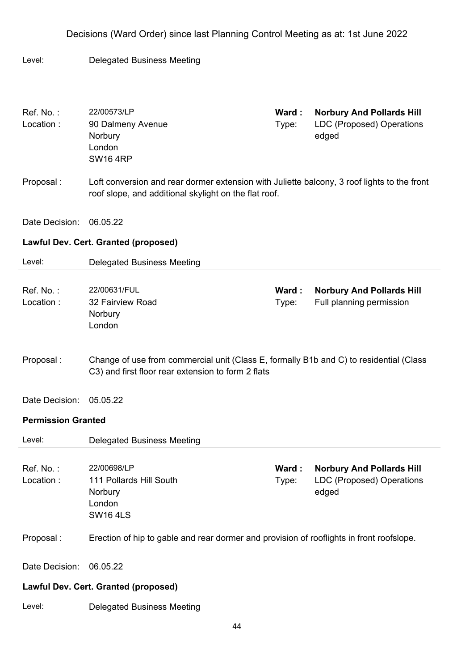#### Level: Delegated Business Meeting

| Ref. No.:<br>Location:    | 22/00573/LP<br>90 Dalmeny Avenue<br>Norbury<br>London<br><b>SW16 4RP</b>                                                                             | Ward:<br>Type: | <b>Norbury And Pollards Hill</b><br><b>LDC (Proposed) Operations</b><br>edged |
|---------------------------|------------------------------------------------------------------------------------------------------------------------------------------------------|----------------|-------------------------------------------------------------------------------|
| Proposal:                 | Loft conversion and rear dormer extension with Juliette balcony, 3 roof lights to the front<br>roof slope, and additional skylight on the flat roof. |                |                                                                               |
| Date Decision:            | 06.05.22                                                                                                                                             |                |                                                                               |
|                           | Lawful Dev. Cert. Granted (proposed)                                                                                                                 |                |                                                                               |
| Level:                    | <b>Delegated Business Meeting</b>                                                                                                                    |                |                                                                               |
| Ref. No.:<br>Location:    | 22/00631/FUL<br>32 Fairview Road<br>Norbury<br>London                                                                                                | Ward:<br>Type: | <b>Norbury And Pollards Hill</b><br>Full planning permission                  |
| Proposal:                 | Change of use from commercial unit (Class E, formally B1b and C) to residential (Class<br>C3) and first floor rear extension to form 2 flats         |                |                                                                               |
| Date Decision:            | 05.05.22                                                                                                                                             |                |                                                                               |
| <b>Permission Granted</b> |                                                                                                                                                      |                |                                                                               |
| Level:                    | <b>Delegated Business Meeting</b>                                                                                                                    |                |                                                                               |
| Ref. No.:<br>Location:    | 22/00698/LP<br>111 Pollards Hill South<br>Norbury<br>London<br><b>SW164LS</b>                                                                        | Ward:<br>Type: | <b>Norbury And Pollards Hill</b><br><b>LDC (Proposed) Operations</b><br>edged |
| Proposal:                 | Erection of hip to gable and rear dormer and provision of rooflights in front roofslope.                                                             |                |                                                                               |
| Date Decision:            | 06.05.22                                                                                                                                             |                |                                                                               |
|                           | Lawful Dev. Cert. Granted (proposed)                                                                                                                 |                |                                                                               |
| Level:                    | <b>Delegated Business Meeting</b>                                                                                                                    |                |                                                                               |
|                           | ΛΛ                                                                                                                                                   |                |                                                                               |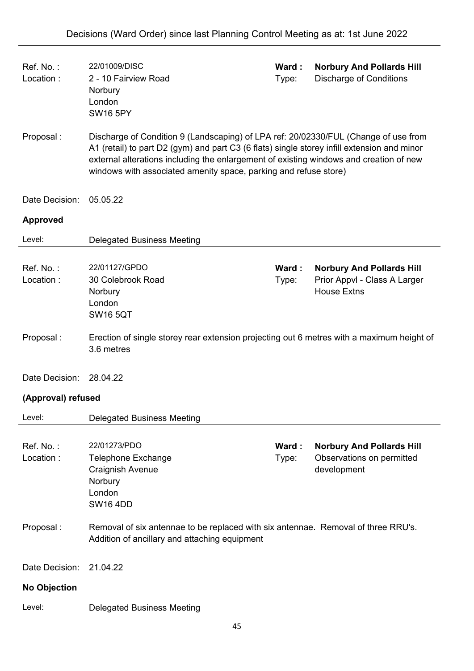| Ref. No.:<br>Location: | 22/01009/DISC<br>2 - 10 Fairview Road<br>Norbury<br>London<br><b>SW16 5PY</b>                                                                                                                                                                                                                                                                    | Ward:<br>Type: | <b>Norbury And Pollards Hill</b><br><b>Discharge of Conditions</b>                     |
|------------------------|--------------------------------------------------------------------------------------------------------------------------------------------------------------------------------------------------------------------------------------------------------------------------------------------------------------------------------------------------|----------------|----------------------------------------------------------------------------------------|
| Proposal:              | Discharge of Condition 9 (Landscaping) of LPA ref: 20/02330/FUL (Change of use from<br>A1 (retail) to part D2 (gym) and part C3 (6 flats) single storey infill extension and minor<br>external alterations including the enlargement of existing windows and creation of new<br>windows with associated amenity space, parking and refuse store) |                |                                                                                        |
| Date Decision:         | 05.05.22                                                                                                                                                                                                                                                                                                                                         |                |                                                                                        |
| <b>Approved</b>        |                                                                                                                                                                                                                                                                                                                                                  |                |                                                                                        |
| Level:                 | <b>Delegated Business Meeting</b>                                                                                                                                                                                                                                                                                                                |                |                                                                                        |
| Ref. No.:<br>Location: | 22/01127/GPDO<br>30 Colebrook Road<br>Norbury<br>London<br><b>SW16 5QT</b>                                                                                                                                                                                                                                                                       | Ward:<br>Type: | <b>Norbury And Pollards Hill</b><br>Prior Appvl - Class A Larger<br><b>House Extns</b> |
| Proposal:              | Erection of single storey rear extension projecting out 6 metres with a maximum height of<br>3.6 metres                                                                                                                                                                                                                                          |                |                                                                                        |
| Date Decision:         | 28.04.22                                                                                                                                                                                                                                                                                                                                         |                |                                                                                        |
| (Approval) refused     |                                                                                                                                                                                                                                                                                                                                                  |                |                                                                                        |
| Level:                 | <b>Delegated Business Meeting</b>                                                                                                                                                                                                                                                                                                                |                |                                                                                        |
| Ref. No.:<br>Location: | 22/01273/PDO<br><b>Telephone Exchange</b><br><b>Craignish Avenue</b><br>Norbury<br>London<br><b>SW16 4DD</b>                                                                                                                                                                                                                                     | Ward:<br>Type: | <b>Norbury And Pollards Hill</b><br>Observations on permitted<br>development           |
| Proposal:              | Removal of six antennae to be replaced with six antennae. Removal of three RRU's.<br>Addition of ancillary and attaching equipment                                                                                                                                                                                                               |                |                                                                                        |
| Date Decision:         | 21.04.22                                                                                                                                                                                                                                                                                                                                         |                |                                                                                        |
| <b>No Objection</b>    |                                                                                                                                                                                                                                                                                                                                                  |                |                                                                                        |
| Level:                 | <b>Delegated Business Meeting</b>                                                                                                                                                                                                                                                                                                                |                |                                                                                        |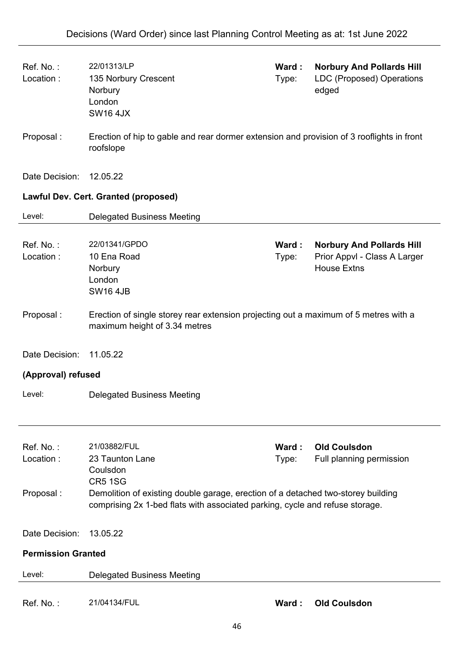| Ref. No.:<br>Location:              | 22/01313/LP<br>135 Norbury Crescent<br>Norbury<br>London<br><b>SW16 4JX</b>                                                                                                                                                       | Ward:<br>Type:  | <b>Norbury And Pollards Hill</b><br>LDC (Proposed) Operations<br>edged                 |
|-------------------------------------|-----------------------------------------------------------------------------------------------------------------------------------------------------------------------------------------------------------------------------------|-----------------|----------------------------------------------------------------------------------------|
| Proposal:                           | Erection of hip to gable and rear dormer extension and provision of 3 rooflights in front<br>roofslope                                                                                                                            |                 |                                                                                        |
| Date Decision:                      | 12.05.22                                                                                                                                                                                                                          |                 |                                                                                        |
|                                     | Lawful Dev. Cert. Granted (proposed)                                                                                                                                                                                              |                 |                                                                                        |
| Level:                              | <b>Delegated Business Meeting</b>                                                                                                                                                                                                 |                 |                                                                                        |
| Ref. No.:<br>Location:              | 22/01341/GPDO<br>10 Ena Road<br>Norbury<br>London<br><b>SW16 4JB</b>                                                                                                                                                              | Ward :<br>Type: | <b>Norbury And Pollards Hill</b><br>Prior Appvl - Class A Larger<br><b>House Extns</b> |
| Proposal:                           | Erection of single storey rear extension projecting out a maximum of 5 metres with a<br>maximum height of 3.34 metres                                                                                                             |                 |                                                                                        |
| Date Decision:                      | 11.05.22                                                                                                                                                                                                                          |                 |                                                                                        |
| (Approval) refused                  |                                                                                                                                                                                                                                   |                 |                                                                                        |
| Level:                              | <b>Delegated Business Meeting</b>                                                                                                                                                                                                 |                 |                                                                                        |
| Ref. No.:<br>Location:<br>Proposal: | 21/03882/FUL<br>23 Taunton Lane<br>Coulsdon<br><b>CR5 1SG</b><br>Demolition of existing double garage, erection of a detached two-storey building<br>comprising 2x 1-bed flats with associated parking, cycle and refuse storage. | Ward :<br>Type: | <b>Old Coulsdon</b><br>Full planning permission                                        |
| Date Decision:                      | 13.05.22                                                                                                                                                                                                                          |                 |                                                                                        |
| <b>Permission Granted</b>           |                                                                                                                                                                                                                                   |                 |                                                                                        |
| Level:                              | <b>Delegated Business Meeting</b>                                                                                                                                                                                                 |                 |                                                                                        |
| Ref. No.:                           | 21/04134/FUL                                                                                                                                                                                                                      | Ward:           | <b>Old Coulsdon</b>                                                                    |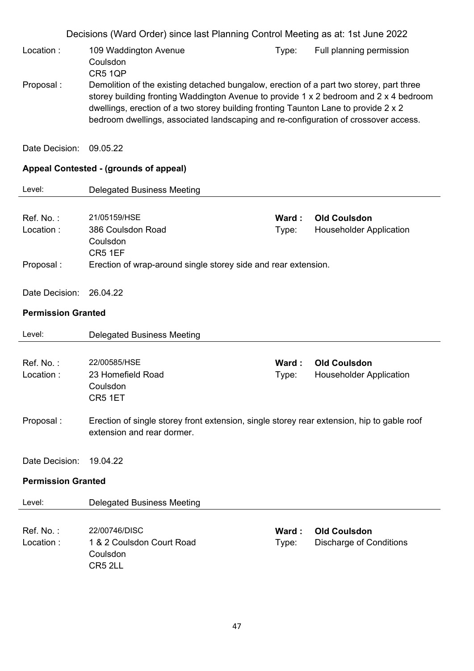Decisions (Ward Order) since last Planning Control Meeting as at: 1st June 2022 Location : 109 Waddington Avenue Coulsdon CR5 1QP Type: Full planning permission Proposal : Demolition of the existing detached bungalow, erection of a part two storey, part three storey building fronting Waddington Avenue to provide 1 x 2 bedroom and 2 x 4 bedroom dwellings, erection of a two storey building fronting Taunton Lane to provide 2 x 2 bedroom dwellings, associated landscaping and re-configuration of crossover access. Date Decision: 09.05.22 **Appeal Contested - (grounds of appeal)** Level: Delegated Business Meeting Ref. No. : 21/05159/HSE **Ward : Old Coulsdon** Location : 386 Coulsdon Road Coulsdon CR5 1EF Type: Householder Application Proposal : Erection of wrap-around single storey side and rear extension. Date Decision: 26.04.22 **Permission Granted** Level: Delegated Business Meeting Ref. No. : 22/00585/HSE **Ward : Old Coulsdon** Location : 23 Homefield Road Coulsdon CR5 1ET Type: Householder Application Proposal : Erection of single storey front extension, single storey rear extension, hip to gable roof extension and rear dormer. Date Decision: 19.04.22 **Permission Granted** Level: Delegated Business Meeting Ref. No. : 22/00746/DISC **Ward : Old Coulsdon** Location : 1 & 2 Coulsdon Court Road Coulsdon Type: Discharge of Conditions

CR5 2LL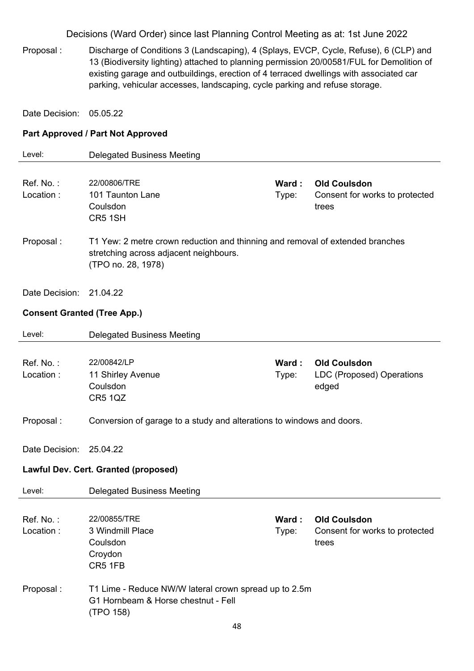Proposal : Discharge of Conditions 3 (Landscaping), 4 (Splays, EVCP, Cycle, Refuse), 6 (CLP) and 13 (Biodiversity lighting) attached to planning permission 20/00581/FUL for Demolition of existing garage and outbuildings, erection of 4 terraced dwellings with associated car parking, vehicular accesses, landscaping, cycle parking and refuse storage.

Date Decision: 05.05.22

#### **Part Approved / Part Not Approved**

| Level:                             | <b>Delegated Business Meeting</b>                                             |       |                                |
|------------------------------------|-------------------------------------------------------------------------------|-------|--------------------------------|
|                                    |                                                                               |       |                                |
| Ref. No.:                          | 22/00806/TRE                                                                  | Ward: | <b>Old Coulsdon</b>            |
| Location:                          | 101 Taunton Lane                                                              | Type: | Consent for works to protected |
|                                    | Coulsdon                                                                      |       | trees                          |
|                                    | CR5 1SH                                                                       |       |                                |
|                                    |                                                                               |       |                                |
| Proposal:                          | T1 Yew: 2 metre crown reduction and thinning and removal of extended branches |       |                                |
|                                    | stretching across adjacent neighbours.                                        |       |                                |
|                                    | (TPO no. 28, 1978)                                                            |       |                                |
|                                    |                                                                               |       |                                |
| Date Decision:                     | 21.04.22                                                                      |       |                                |
|                                    |                                                                               |       |                                |
| <b>Consent Granted (Tree App.)</b> |                                                                               |       |                                |
|                                    |                                                                               |       |                                |
| Level:                             | <b>Delegated Business Meeting</b>                                             |       |                                |
|                                    |                                                                               |       |                                |
| Ref. No.:                          | 22/00842/LP                                                                   | Ward: | <b>Old Coulsdon</b>            |
| Location:                          | 11 Shirley Avenue                                                             | Type: | LDC (Proposed) Operations      |
|                                    | Coulsdon                                                                      |       | edged                          |
|                                    | <b>CR5 1QZ</b>                                                                |       |                                |
|                                    |                                                                               |       |                                |
| Proposal:                          | Conversion of garage to a study and alterations to windows and doors.         |       |                                |
|                                    |                                                                               |       |                                |
| Date Decision:                     | 25.04.22                                                                      |       |                                |
|                                    |                                                                               |       |                                |
|                                    | Lawful Dev. Cert. Granted (proposed)                                          |       |                                |
| Level:                             | <b>Delegated Business Meeting</b>                                             |       |                                |
|                                    |                                                                               |       |                                |
| Ref. No.:                          | 22/00855/TRE                                                                  | Ward: | <b>Old Coulsdon</b>            |
| Location:                          | 3 Windmill Place                                                              | Type: | Consent for works to protected |
|                                    | Coulsdon                                                                      |       | trees                          |
|                                    | Croydon                                                                       |       |                                |
|                                    | CR5 1FB                                                                       |       |                                |
|                                    |                                                                               |       |                                |
| Proposal:                          | T1 Lime - Reduce NW/W lateral crown spread up to 2.5m                         |       |                                |
|                                    | G1 Hornbeam & Horse chestnut - Fell                                           |       |                                |
|                                    | (TPO 158)                                                                     |       |                                |
|                                    | ΛQ                                                                            |       |                                |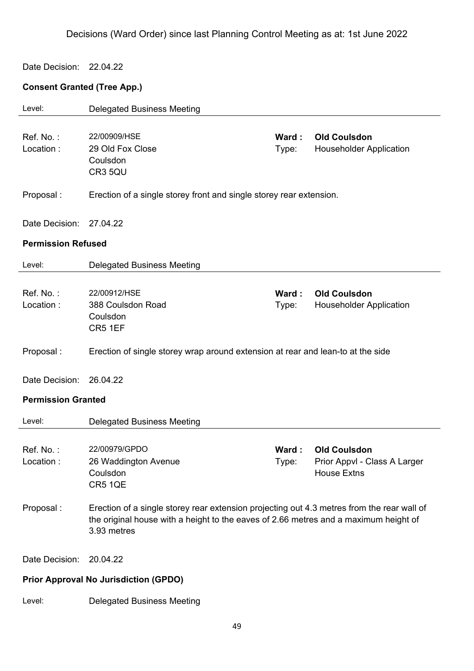#### Date Decision: 22.04.22

# **Consent Granted (Tree App.)**

| Level:                                       | <b>Delegated Business Meeting</b>                                                                                                                                                                 |                 |                                                                           |
|----------------------------------------------|---------------------------------------------------------------------------------------------------------------------------------------------------------------------------------------------------|-----------------|---------------------------------------------------------------------------|
| Ref. No.:<br>Location:                       | 22/00909/HSE<br>29 Old Fox Close<br>Coulsdon<br>CR3 5QU                                                                                                                                           | Ward:<br>Type:  | <b>Old Coulsdon</b><br><b>Householder Application</b>                     |
| Proposal:                                    | Erection of a single storey front and single storey rear extension.                                                                                                                               |                 |                                                                           |
| Date Decision:                               | 27.04.22                                                                                                                                                                                          |                 |                                                                           |
| <b>Permission Refused</b>                    |                                                                                                                                                                                                   |                 |                                                                           |
| Level:                                       | <b>Delegated Business Meeting</b>                                                                                                                                                                 |                 |                                                                           |
| Ref. No.:<br>Location:                       | 22/00912/HSE<br>388 Coulsdon Road<br>Coulsdon<br>CR5 1EF                                                                                                                                          | Ward :<br>Type: | <b>Old Coulsdon</b><br><b>Householder Application</b>                     |
| Proposal:                                    | Erection of single storey wrap around extension at rear and lean-to at the side                                                                                                                   |                 |                                                                           |
| Date Decision:                               | 26.04.22                                                                                                                                                                                          |                 |                                                                           |
| <b>Permission Granted</b>                    |                                                                                                                                                                                                   |                 |                                                                           |
| Level:                                       | <b>Delegated Business Meeting</b>                                                                                                                                                                 |                 |                                                                           |
| Ref. No.:<br>Location:                       | 22/00979/GPDO<br>26 Waddington Avenue<br>Coulsdon<br>CR5 1QE                                                                                                                                      | Ward:<br>Type:  | <b>Old Coulsdon</b><br>Prior Appvl - Class A Larger<br><b>House Extns</b> |
| Proposal:                                    | Erection of a single storey rear extension projecting out 4.3 metres from the rear wall of<br>the original house with a height to the eaves of 2.66 metres and a maximum height of<br>3.93 metres |                 |                                                                           |
| Date Decision:                               | 20.04.22                                                                                                                                                                                          |                 |                                                                           |
| <b>Prior Approval No Jurisdiction (GPDO)</b> |                                                                                                                                                                                                   |                 |                                                                           |
| Level:                                       | <b>Delegated Business Meeting</b>                                                                                                                                                                 |                 |                                                                           |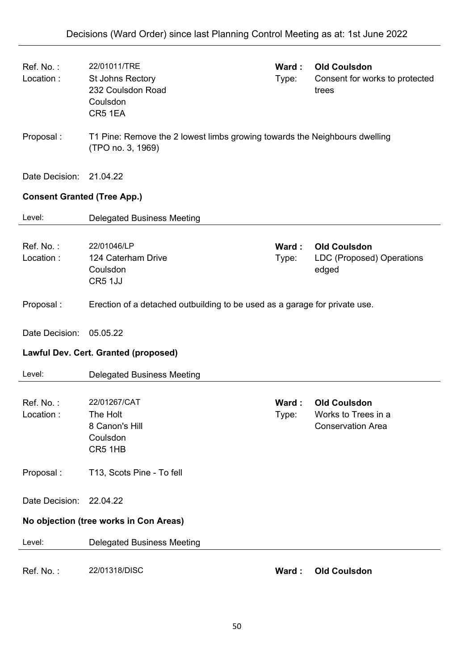| Ref. No.:<br>Location:               | 22/01011/TRE<br>St Johns Rectory<br>232 Coulsdon Road<br>Coulsdon<br>CR5 1EA                    | Ward:<br>Type: | <b>Old Coulsdon</b><br>Consent for works to protected<br>trees         |
|--------------------------------------|-------------------------------------------------------------------------------------------------|----------------|------------------------------------------------------------------------|
| Proposal :                           | T1 Pine: Remove the 2 lowest limbs growing towards the Neighbours dwelling<br>(TPO no. 3, 1969) |                |                                                                        |
| Date Decision: 21.04.22              |                                                                                                 |                |                                                                        |
| <b>Consent Granted (Tree App.)</b>   |                                                                                                 |                |                                                                        |
| Level:                               | <b>Delegated Business Meeting</b>                                                               |                |                                                                        |
| Ref. No.:<br>Location:               | 22/01046/LP<br>124 Caterham Drive<br>Coulsdon<br>CR5 1JJ                                        | Ward:<br>Type: | <b>Old Coulsdon</b><br>LDC (Proposed) Operations<br>edged              |
| Proposal:                            | Erection of a detached outbuilding to be used as a garage for private use.                      |                |                                                                        |
| Date Decision:                       | 05.05.22                                                                                        |                |                                                                        |
| Lawful Dev. Cert. Granted (proposed) |                                                                                                 |                |                                                                        |
| Level:                               | <b>Delegated Business Meeting</b>                                                               |                |                                                                        |
| Ref. No.:<br>Location:               | 22/01267/CAT<br>The Holt<br>8 Canon's Hill<br>Coulsdon<br>CR5 1HB                               | Ward:<br>Type: | <b>Old Coulsdon</b><br>Works to Trees in a<br><b>Conservation Area</b> |
| Proposal:                            | T13, Scots Pine - To fell                                                                       |                |                                                                        |
| Date Decision:                       | 22.04.22                                                                                        |                |                                                                        |
|                                      | No objection (tree works in Con Areas)                                                          |                |                                                                        |
| Level:                               | <b>Delegated Business Meeting</b>                                                               |                |                                                                        |
| Ref. No.:                            | 22/01318/DISC                                                                                   | Ward:          | <b>Old Coulsdon</b>                                                    |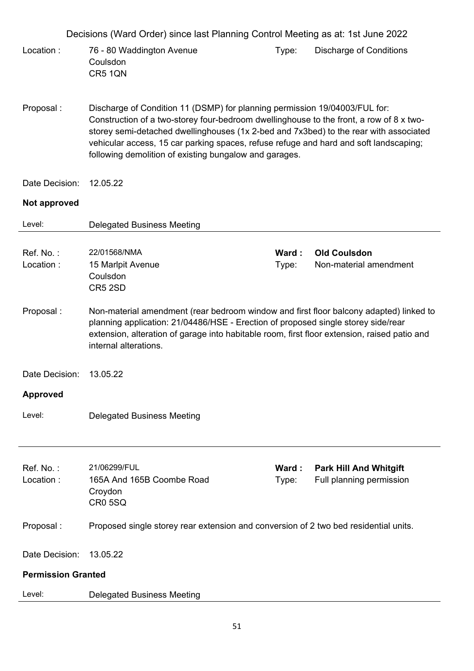|                           | Decisions (Ward Order) since last Planning Control Meeting as at: 1st June 2022                                                                                                                                                                                                                                                                                                                                   |                 |                                                           |
|---------------------------|-------------------------------------------------------------------------------------------------------------------------------------------------------------------------------------------------------------------------------------------------------------------------------------------------------------------------------------------------------------------------------------------------------------------|-----------------|-----------------------------------------------------------|
| Location:                 | 76 - 80 Waddington Avenue<br>Coulsdon<br>CR5 1QN                                                                                                                                                                                                                                                                                                                                                                  | Type:           | <b>Discharge of Conditions</b>                            |
| Proposal:                 | Discharge of Condition 11 (DSMP) for planning permission 19/04003/FUL for:<br>Construction of a two-storey four-bedroom dwellinghouse to the front, a row of 8 x two-<br>storey semi-detached dwellinghouses (1x 2-bed and 7x3bed) to the rear with associated<br>vehicular access, 15 car parking spaces, refuse refuge and hard and soft landscaping;<br>following demolition of existing bungalow and garages. |                 |                                                           |
| Date Decision:            | 12.05.22                                                                                                                                                                                                                                                                                                                                                                                                          |                 |                                                           |
| Not approved              |                                                                                                                                                                                                                                                                                                                                                                                                                   |                 |                                                           |
| Level:                    | <b>Delegated Business Meeting</b>                                                                                                                                                                                                                                                                                                                                                                                 |                 |                                                           |
| Ref. No.:<br>Location:    | 22/01568/NMA<br>15 Marlpit Avenue<br>Coulsdon<br>CR5 2SD                                                                                                                                                                                                                                                                                                                                                          | Ward:<br>Type:  | <b>Old Coulsdon</b><br>Non-material amendment             |
| Proposal:                 | Non-material amendment (rear bedroom window and first floor balcony adapted) linked to<br>planning application: 21/04486/HSE - Erection of proposed single storey side/rear<br>extension, alteration of garage into habitable room, first floor extension, raised patio and<br>internal alterations.                                                                                                              |                 |                                                           |
| Date Decision:            | 13.05.22                                                                                                                                                                                                                                                                                                                                                                                                          |                 |                                                           |
| <b>Approved</b>           |                                                                                                                                                                                                                                                                                                                                                                                                                   |                 |                                                           |
| Level:                    | <b>Delegated Business Meeting</b>                                                                                                                                                                                                                                                                                                                                                                                 |                 |                                                           |
| Ref. No.:<br>Location:    | 21/06299/FUL<br>165A And 165B Coombe Road<br>Croydon<br><b>CR0 5SQ</b>                                                                                                                                                                                                                                                                                                                                            | Ward :<br>Type: | <b>Park Hill And Whitgift</b><br>Full planning permission |
| Proposal:                 | Proposed single storey rear extension and conversion of 2 two bed residential units.                                                                                                                                                                                                                                                                                                                              |                 |                                                           |
| Date Decision:            | 13.05.22                                                                                                                                                                                                                                                                                                                                                                                                          |                 |                                                           |
| <b>Permission Granted</b> |                                                                                                                                                                                                                                                                                                                                                                                                                   |                 |                                                           |
| Level:                    | <b>Delegated Business Meeting</b>                                                                                                                                                                                                                                                                                                                                                                                 |                 |                                                           |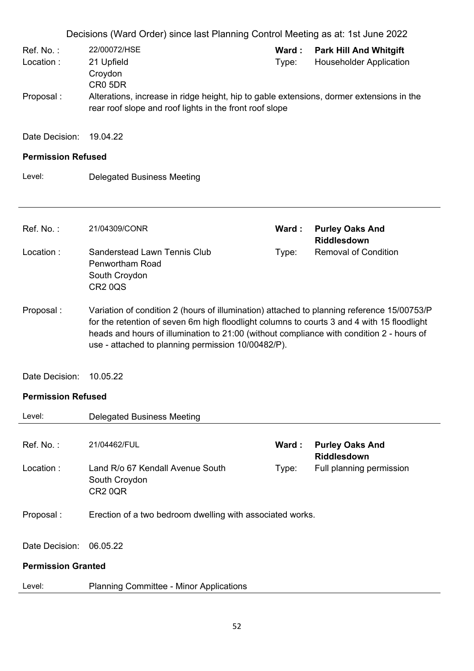|                                                                                                                                                                                                                                                                                                                                                         | Decisions (Ward Order) since last Planning Control Meeting as at: 1st June 2022                                                                     |                |                                                                 |
|---------------------------------------------------------------------------------------------------------------------------------------------------------------------------------------------------------------------------------------------------------------------------------------------------------------------------------------------------------|-----------------------------------------------------------------------------------------------------------------------------------------------------|----------------|-----------------------------------------------------------------|
| Ref. No.:<br>Location:                                                                                                                                                                                                                                                                                                                                  | 22/00072/HSE<br>21 Upfield<br>Croydon<br>CR0 5DR                                                                                                    | Ward:<br>Type: | <b>Park Hill And Whitgift</b><br><b>Householder Application</b> |
| Proposal:                                                                                                                                                                                                                                                                                                                                               | Alterations, increase in ridge height, hip to gable extensions, dormer extensions in the<br>rear roof slope and roof lights in the front roof slope |                |                                                                 |
| Date Decision:                                                                                                                                                                                                                                                                                                                                          | 19.04.22                                                                                                                                            |                |                                                                 |
| <b>Permission Refused</b>                                                                                                                                                                                                                                                                                                                               |                                                                                                                                                     |                |                                                                 |
| Level:                                                                                                                                                                                                                                                                                                                                                  | <b>Delegated Business Meeting</b>                                                                                                                   |                |                                                                 |
| Ref. No.:                                                                                                                                                                                                                                                                                                                                               | 21/04309/CONR                                                                                                                                       | Ward:          | <b>Purley Oaks And</b><br><b>Riddlesdown</b>                    |
| Location:                                                                                                                                                                                                                                                                                                                                               | <b>Sanderstead Lawn Tennis Club</b><br><b>Penwortham Road</b><br>South Croydon<br><b>CR2 0QS</b>                                                    | Type:          | <b>Removal of Condition</b>                                     |
| Proposal:<br>Variation of condition 2 (hours of illumination) attached to planning reference 15/00753/P<br>for the retention of seven 6m high floodlight columns to courts 3 and 4 with 15 floodlight<br>heads and hours of illumination to 21:00 (without compliance with condition 2 - hours of<br>use - attached to planning permission 10/00482/P). |                                                                                                                                                     |                |                                                                 |
| Date Decision:                                                                                                                                                                                                                                                                                                                                          | 10.05.22                                                                                                                                            |                |                                                                 |
| <b>Permission Refused</b>                                                                                                                                                                                                                                                                                                                               |                                                                                                                                                     |                |                                                                 |
| Level:                                                                                                                                                                                                                                                                                                                                                  | <b>Delegated Business Meeting</b>                                                                                                                   |                |                                                                 |
| Ref. No.:                                                                                                                                                                                                                                                                                                                                               | 21/04462/FUL                                                                                                                                        | Ward:          | <b>Purley Oaks And</b><br>Riddlesdown                           |
| Location:                                                                                                                                                                                                                                                                                                                                               | Land R/o 67 Kendall Avenue South<br>South Croydon<br>CR <sub>2</sub> 0QR                                                                            | Type:          | Full planning permission                                        |
| Proposal:                                                                                                                                                                                                                                                                                                                                               | Erection of a two bedroom dwelling with associated works.                                                                                           |                |                                                                 |
| Date Decision:                                                                                                                                                                                                                                                                                                                                          | 06.05.22                                                                                                                                            |                |                                                                 |
| <b>Permission Granted</b>                                                                                                                                                                                                                                                                                                                               |                                                                                                                                                     |                |                                                                 |
| Level:                                                                                                                                                                                                                                                                                                                                                  | <b>Planning Committee - Minor Applications</b>                                                                                                      |                |                                                                 |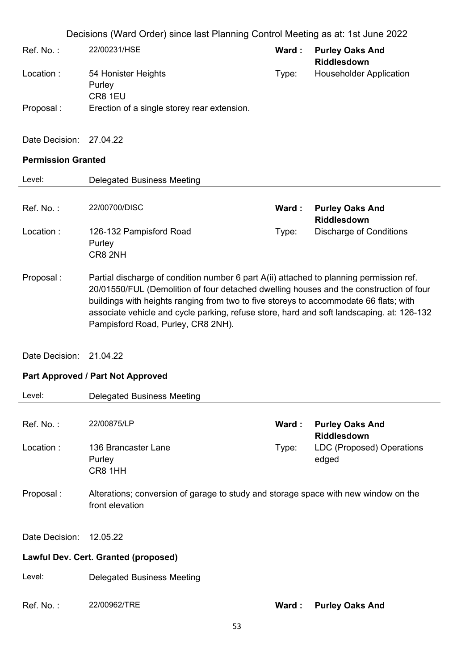| Ref. No. : | 22/00231/HSE                                | Ward : | <b>Purley Oaks And</b><br><b>Riddlesdown</b> |
|------------|---------------------------------------------|--------|----------------------------------------------|
| Location : | 54 Honister Heights<br>Purley<br>CR8 1EU    | Type:  | <b>Householder Application</b>               |
| Proposal : | Erection of a single storey rear extension. |        |                                              |

Date Decision: 27.04.22

# **Permission Granted**

| Permission Granteu                   |                                                                                                                                                                                                                                                                                                                                                                                                               |       |                                              |
|--------------------------------------|---------------------------------------------------------------------------------------------------------------------------------------------------------------------------------------------------------------------------------------------------------------------------------------------------------------------------------------------------------------------------------------------------------------|-------|----------------------------------------------|
| Level:                               | <b>Delegated Business Meeting</b>                                                                                                                                                                                                                                                                                                                                                                             |       |                                              |
|                                      |                                                                                                                                                                                                                                                                                                                                                                                                               |       |                                              |
| Ref. No.:                            | 22/00700/DISC                                                                                                                                                                                                                                                                                                                                                                                                 | Ward: | <b>Purley Oaks And</b><br><b>Riddlesdown</b> |
| Location:                            | 126-132 Pampisford Road<br>Purley<br>CR8 2NH                                                                                                                                                                                                                                                                                                                                                                  | Type: | <b>Discharge of Conditions</b>               |
| Proposal:                            | Partial discharge of condition number 6 part A(ii) attached to planning permission ref.<br>20/01550/FUL (Demolition of four detached dwelling houses and the construction of four<br>buildings with heights ranging from two to five storeys to accommodate 66 flats; with<br>associate vehicle and cycle parking, refuse store, hard and soft landscaping. at: 126-132<br>Pampisford Road, Purley, CR8 2NH). |       |                                              |
| Date Decision:                       | 21.04.22                                                                                                                                                                                                                                                                                                                                                                                                      |       |                                              |
|                                      | <b>Part Approved / Part Not Approved</b>                                                                                                                                                                                                                                                                                                                                                                      |       |                                              |
| Level:                               | <b>Delegated Business Meeting</b>                                                                                                                                                                                                                                                                                                                                                                             |       |                                              |
| Ref. No.:                            | 22/00875/LP                                                                                                                                                                                                                                                                                                                                                                                                   | Ward: | <b>Purley Oaks And</b><br><b>Riddlesdown</b> |
| Location:                            | 136 Brancaster Lane<br>Purley<br>CR8 1HH                                                                                                                                                                                                                                                                                                                                                                      | Type: | <b>LDC (Proposed) Operations</b><br>edged    |
| Proposal:                            | Alterations; conversion of garage to study and storage space with new window on the<br>front elevation                                                                                                                                                                                                                                                                                                        |       |                                              |
| Date Decision:                       | 12.05.22                                                                                                                                                                                                                                                                                                                                                                                                      |       |                                              |
| Lawful Dev. Cert. Granted (proposed) |                                                                                                                                                                                                                                                                                                                                                                                                               |       |                                              |

| Level: | <b>Delegated Business Meeting</b> |
|--------|-----------------------------------|
|        |                                   |

Ref. No. : 22/00962/TRE **Ward : Purley Oaks And**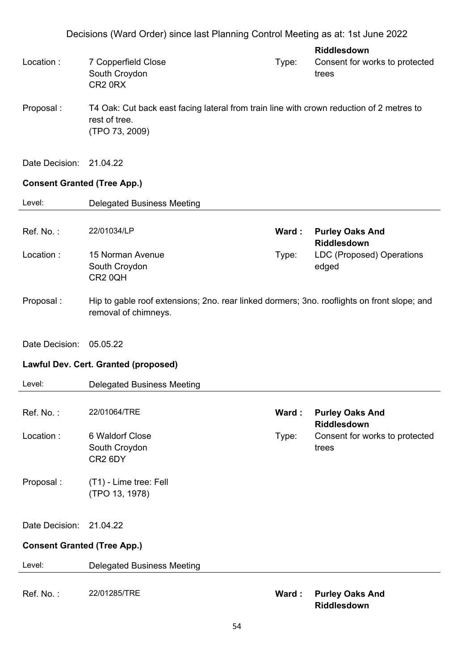**Riddlesdown** Location : 7 Copperfield Close South Croydon CR2 0RX Type: Consent for works to protected trees

Proposal : T4 Oak: Cut back east facing lateral from train line with crown reduction of 2 metres to rest of tree. (TPO 73, 2009)

Date Decision: 21.04.22

### **Consent Granted (Tree App.)**

| Level:                             | <b>Delegated Business Meeting</b>                                                                                   |       |                                           |
|------------------------------------|---------------------------------------------------------------------------------------------------------------------|-------|-------------------------------------------|
|                                    |                                                                                                                     |       |                                           |
| Ref. No.:                          | 22/01034/LP                                                                                                         | Ward: | <b>Purley Oaks And</b><br>Riddlesdown     |
| Location:                          | 15 Norman Avenue<br>South Croydon<br>CR2 0QH                                                                        | Type: | <b>LDC (Proposed) Operations</b><br>edged |
| Proposal:                          | Hip to gable roof extensions; 2no. rear linked dormers; 3no. rooflights on front slope; and<br>removal of chimneys. |       |                                           |
| Date Decision:                     | 05.05.22                                                                                                            |       |                                           |
|                                    | Lawful Dev. Cert. Granted (proposed)                                                                                |       |                                           |
| Level:                             | <b>Delegated Business Meeting</b>                                                                                   |       |                                           |
| Ref. No.:                          | 22/01064/TRE                                                                                                        | Ward: | <b>Purley Oaks And</b><br>Riddlesdown     |
| Location:                          | 6 Waldorf Close<br>South Croydon<br>CR <sub>2</sub> 6DY                                                             | Type: | Consent for works to protected<br>trees   |
| Proposal:                          | (T1) - Lime tree: Fell<br>(TPO 13, 1978)                                                                            |       |                                           |
| Date Decision:                     | 21.04.22                                                                                                            |       |                                           |
| <b>Consent Granted (Tree App.)</b> |                                                                                                                     |       |                                           |
| Level:                             | <b>Delegated Business Meeting</b>                                                                                   |       |                                           |
| Ref. No.:                          | 22/01285/TRE                                                                                                        | Ward: | <b>Purley Oaks And</b>                    |

**Riddlesdown**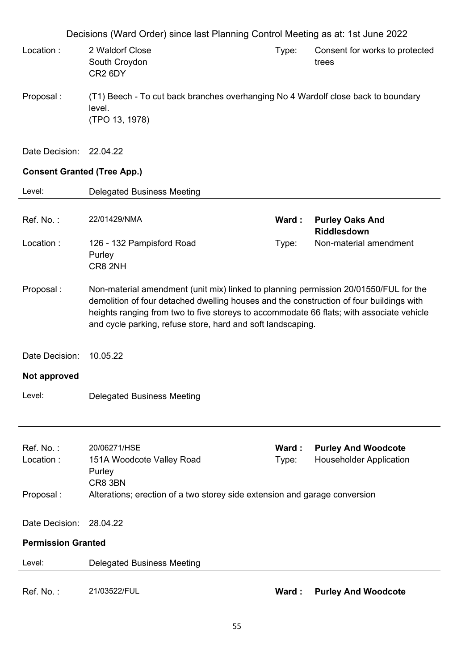Decisions (Ward Order) since last Planning Control Meeting as at: 1st June 2022 Location : 2 Waldorf Close South Croydon CR2 6DY Type: Consent for works to protected trees Proposal : (T1) Beech - To cut back branches overhanging No 4 Wardolf close back to boundary level. (TPO 13, 1978) Date Decision: 22.04.22 **Consent Granted (Tree App.)**  Level: Delegated Business Meeting Ref. No. : 22/01429/NMA **Ward : Purley Oaks And Riddlesdown** Location : 126 - 132 Pampisford Road Purley CR8 2NH Type: Non-material amendment Proposal : Non-material amendment (unit mix) linked to planning permission 20/01550/FUL for the demolition of four detached dwelling houses and the construction of four buildings with heights ranging from two to five storeys to accommodate 66 flats; with associate vehicle and cycle parking, refuse store, hard and soft landscaping. Date Decision: 10.05.22 **Not approved**  Level: Delegated Business Meeting Ref. No. : 20/06271/HSE **Ward : Purley And Woodcote** Location : 151A Woodcote Valley Road Purley CR8 3BN Type: Householder Application Proposal : Alterations; erection of a two storey side extension and garage conversion Date Decision: 28.04.22 **Permission Granted**  Level: Delegated Business Meeting Ref. No. : 21/03522/FUL **Ward : Purley And Woodcote**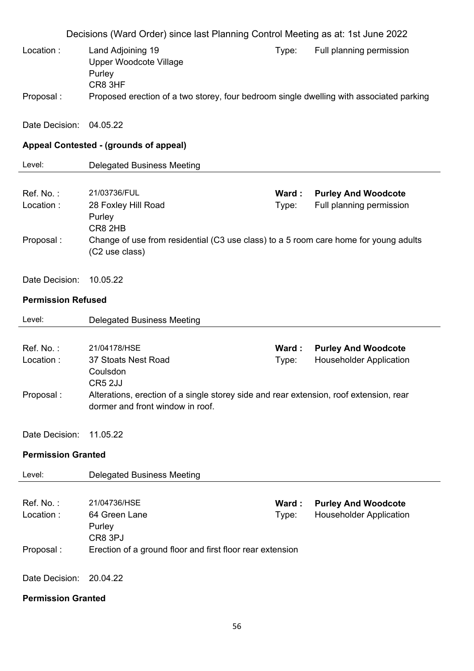Decisions (Ward Order) since last Planning Control Meeting as at: 1st June 2022 Location : Land Adjoining 19 Upper Woodcote Village Purley CR8 3HF Type: Full planning permission Proposal : Proposed erection of a two storey, four bedroom single dwelling with associated parking Date Decision: 04.05.22 **Appeal Contested - (grounds of appeal)**  Level: Delegated Business Meeting Ref. No. : 21/03736/FUL **Ward : Purley And Woodcote** Location : 28 Foxley Hill Road Purley CR8 2HB Type: Full planning permission Proposal : Change of use from residential (C3 use class) to a 5 room care home for young adults (C2 use class) Date Decision: 10.05.22 **Permission Refused**  Level: Delegated Business Meeting Ref. No. : 21/04178/HSE **Ward : Purley And Woodcote** Location : 37 Stoats Nest Road Coulsdon CR5 2JJ Type: Householder Application Proposal : Alterations, erection of a single storey side and rear extension, roof extension, rear dormer and front window in roof. Date Decision: 11.05.22 **Permission Granted**  Level: Delegated Business Meeting Ref. No. : 21/04736/HSE **Ward : Purley And Woodcote** Location : 64 Green Lane **Purley** CR8 3PJ Type: Householder Application Proposal : Erection of a ground floor and first floor rear extension Date Decision: 20.04.22

**Permission Granted**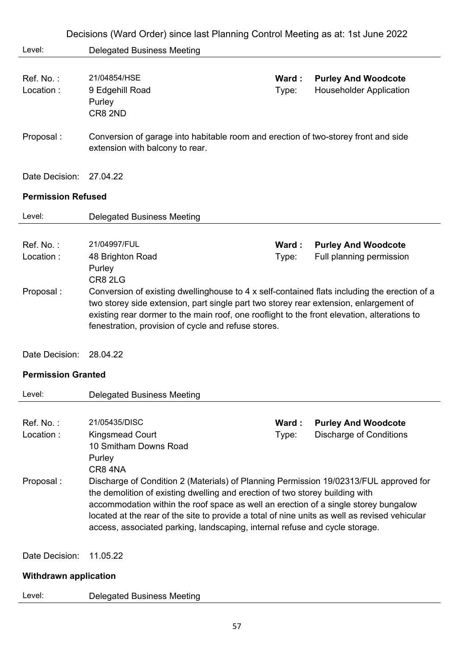| Level:<br><b>Delegated Business Meeting</b><br>Ref. No.:<br>21/04854/HSE<br><b>Purley And Woodcote</b><br>Ward:<br>Location:<br><b>Householder Application</b><br>9 Edgehill Road<br>Type:<br>Purley<br>CR8 2ND<br>Proposal:<br>Conversion of garage into habitable room and erection of two-storey front and side<br>extension with balcony to rear.<br>Date Decision:<br>27.04.22<br><b>Permission Refused</b><br>Level:<br><b>Delegated Business Meeting</b><br>21/04997/FUL<br>Ref. No.:<br><b>Purley And Woodcote</b><br>Ward :<br>Location:<br>Full planning permission<br>48 Brighton Road<br>Type:<br>Purley<br>CR8 2LG<br>Proposal:<br>Conversion of existing dwellinghouse to 4 x self-contained flats including the erection of a<br>two storey side extension, part single part two storey rear extension, enlargement of<br>existing rear dormer to the main roof, one rooflight to the front elevation, alterations to<br>fenestration, provision of cycle and refuse stores.<br>Date Decision:<br>28.04.22<br><b>Permission Granted</b><br>Level:<br><b>Delegated Business Meeting</b><br>Ref. No.:<br>21/05435/DISC<br><b>Purley And Woodcote</b><br>Ward:<br>Location:<br><b>Discharge of Conditions</b><br><b>Kingsmead Court</b><br>Type:<br>10 Smitham Downs Road<br>Purley<br>CR84NA<br>Proposal:<br>Discharge of Condition 2 (Materials) of Planning Permission 19/02313/FUL approved for<br>the demolition of existing dwelling and erection of two storey building with<br>accommodation within the roof space as well an erection of a single storey bungalow<br>located at the rear of the site to provide a total of nine units as well as revised vehicular<br>access, associated parking, landscaping, internal refuse and cycle storage.<br>Date Decision:<br>11.05.22<br><b>Withdrawn application</b> | Decisions (Ward Order) since last Planning Control Meeting as at: 1st June 2022 |  |  |  |
|--------------------------------------------------------------------------------------------------------------------------------------------------------------------------------------------------------------------------------------------------------------------------------------------------------------------------------------------------------------------------------------------------------------------------------------------------------------------------------------------------------------------------------------------------------------------------------------------------------------------------------------------------------------------------------------------------------------------------------------------------------------------------------------------------------------------------------------------------------------------------------------------------------------------------------------------------------------------------------------------------------------------------------------------------------------------------------------------------------------------------------------------------------------------------------------------------------------------------------------------------------------------------------------------------------------------------------------------------------------------------------------------------------------------------------------------------------------------------------------------------------------------------------------------------------------------------------------------------------------------------------------------------------------------------------------------------------------------------------------------------------------------------------------------------------------------------------------|---------------------------------------------------------------------------------|--|--|--|
|                                                                                                                                                                                                                                                                                                                                                                                                                                                                                                                                                                                                                                                                                                                                                                                                                                                                                                                                                                                                                                                                                                                                                                                                                                                                                                                                                                                                                                                                                                                                                                                                                                                                                                                                                                                                                                      |                                                                                 |  |  |  |
|                                                                                                                                                                                                                                                                                                                                                                                                                                                                                                                                                                                                                                                                                                                                                                                                                                                                                                                                                                                                                                                                                                                                                                                                                                                                                                                                                                                                                                                                                                                                                                                                                                                                                                                                                                                                                                      |                                                                                 |  |  |  |
|                                                                                                                                                                                                                                                                                                                                                                                                                                                                                                                                                                                                                                                                                                                                                                                                                                                                                                                                                                                                                                                                                                                                                                                                                                                                                                                                                                                                                                                                                                                                                                                                                                                                                                                                                                                                                                      |                                                                                 |  |  |  |
|                                                                                                                                                                                                                                                                                                                                                                                                                                                                                                                                                                                                                                                                                                                                                                                                                                                                                                                                                                                                                                                                                                                                                                                                                                                                                                                                                                                                                                                                                                                                                                                                                                                                                                                                                                                                                                      |                                                                                 |  |  |  |
|                                                                                                                                                                                                                                                                                                                                                                                                                                                                                                                                                                                                                                                                                                                                                                                                                                                                                                                                                                                                                                                                                                                                                                                                                                                                                                                                                                                                                                                                                                                                                                                                                                                                                                                                                                                                                                      |                                                                                 |  |  |  |
|                                                                                                                                                                                                                                                                                                                                                                                                                                                                                                                                                                                                                                                                                                                                                                                                                                                                                                                                                                                                                                                                                                                                                                                                                                                                                                                                                                                                                                                                                                                                                                                                                                                                                                                                                                                                                                      |                                                                                 |  |  |  |
|                                                                                                                                                                                                                                                                                                                                                                                                                                                                                                                                                                                                                                                                                                                                                                                                                                                                                                                                                                                                                                                                                                                                                                                                                                                                                                                                                                                                                                                                                                                                                                                                                                                                                                                                                                                                                                      |                                                                                 |  |  |  |
|                                                                                                                                                                                                                                                                                                                                                                                                                                                                                                                                                                                                                                                                                                                                                                                                                                                                                                                                                                                                                                                                                                                                                                                                                                                                                                                                                                                                                                                                                                                                                                                                                                                                                                                                                                                                                                      |                                                                                 |  |  |  |
|                                                                                                                                                                                                                                                                                                                                                                                                                                                                                                                                                                                                                                                                                                                                                                                                                                                                                                                                                                                                                                                                                                                                                                                                                                                                                                                                                                                                                                                                                                                                                                                                                                                                                                                                                                                                                                      |                                                                                 |  |  |  |
|                                                                                                                                                                                                                                                                                                                                                                                                                                                                                                                                                                                                                                                                                                                                                                                                                                                                                                                                                                                                                                                                                                                                                                                                                                                                                                                                                                                                                                                                                                                                                                                                                                                                                                                                                                                                                                      |                                                                                 |  |  |  |
|                                                                                                                                                                                                                                                                                                                                                                                                                                                                                                                                                                                                                                                                                                                                                                                                                                                                                                                                                                                                                                                                                                                                                                                                                                                                                                                                                                                                                                                                                                                                                                                                                                                                                                                                                                                                                                      |                                                                                 |  |  |  |
|                                                                                                                                                                                                                                                                                                                                                                                                                                                                                                                                                                                                                                                                                                                                                                                                                                                                                                                                                                                                                                                                                                                                                                                                                                                                                                                                                                                                                                                                                                                                                                                                                                                                                                                                                                                                                                      |                                                                                 |  |  |  |
|                                                                                                                                                                                                                                                                                                                                                                                                                                                                                                                                                                                                                                                                                                                                                                                                                                                                                                                                                                                                                                                                                                                                                                                                                                                                                                                                                                                                                                                                                                                                                                                                                                                                                                                                                                                                                                      |                                                                                 |  |  |  |
|                                                                                                                                                                                                                                                                                                                                                                                                                                                                                                                                                                                                                                                                                                                                                                                                                                                                                                                                                                                                                                                                                                                                                                                                                                                                                                                                                                                                                                                                                                                                                                                                                                                                                                                                                                                                                                      |                                                                                 |  |  |  |
| Level:<br><b>Delegated Business Meeting</b>                                                                                                                                                                                                                                                                                                                                                                                                                                                                                                                                                                                                                                                                                                                                                                                                                                                                                                                                                                                                                                                                                                                                                                                                                                                                                                                                                                                                                                                                                                                                                                                                                                                                                                                                                                                          |                                                                                 |  |  |  |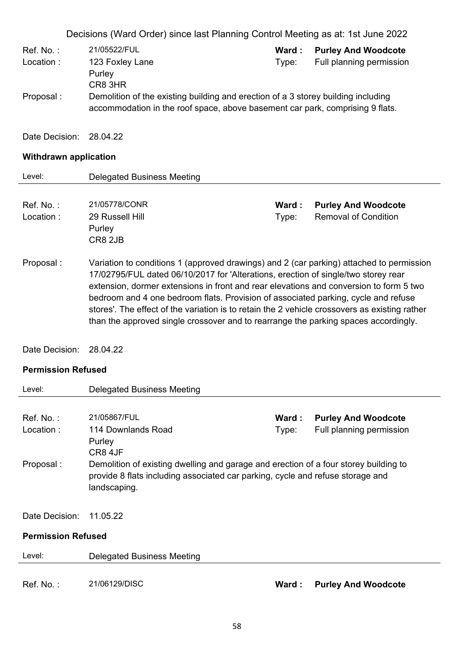Decisions (Ward Order) since last Planning Control Meeting as at: 1st June 2022 Ref. No. : 21/05522/FUL **Ward : Purley And Woodcote** Location : 123 Foxley Lane Purley CR8 3HR Type: Full planning permission Proposal : Demolition of the existing building and erection of a 3 storey building including accommodation in the roof space, above basement car park, comprising 9 flats. Date Decision: 28.04.22

# **Withdrawn application**

| Level:       | Delegated Business Meeting                                                                                                                                                                                                                                                                                                                                                                                                                                                                                                                             |        |                             |
|--------------|--------------------------------------------------------------------------------------------------------------------------------------------------------------------------------------------------------------------------------------------------------------------------------------------------------------------------------------------------------------------------------------------------------------------------------------------------------------------------------------------------------------------------------------------------------|--------|-----------------------------|
|              |                                                                                                                                                                                                                                                                                                                                                                                                                                                                                                                                                        |        |                             |
| $Ref. No.$ : | 21/05778/CONR                                                                                                                                                                                                                                                                                                                                                                                                                                                                                                                                          | Ward : | <b>Purley And Woodcote</b>  |
| Location:    | 29 Russell Hill<br>Purley<br>CR8 2JB                                                                                                                                                                                                                                                                                                                                                                                                                                                                                                                   | Type:  | <b>Removal of Condition</b> |
| Proposal :   | Variation to conditions 1 (approved drawings) and 2 (car parking) attached to permission<br>17/02795/FUL dated 06/10/2017 for 'Alterations, erection of single/two storey rear<br>extension, dormer extensions in front and rear elevations and conversion to form 5 two<br>bedroom and 4 one bedroom flats. Provision of associated parking, cycle and refuse<br>stores'. The effect of the variation is to retain the 2 vehicle crossovers as existing rather<br>than the approved single crossover and to rearrange the parking spaces accordingly. |        |                             |

Date Decision: 28.04.22

#### **Permission Refused**

| Level:                    | Delegated Business Meeting                                                           |        |                            |
|---------------------------|--------------------------------------------------------------------------------------|--------|----------------------------|
|                           |                                                                                      |        |                            |
| $Ref. No.$ :              | 21/05867/FUL                                                                         | Ward:  | <b>Purley And Woodcote</b> |
| Location:                 | 114 Downlands Road                                                                   | Type:  | Full planning permission   |
|                           | Purley                                                                               |        |                            |
|                           | CR8 4JF                                                                              |        |                            |
| Proposal:                 | Demolition of existing dwelling and garage and erection of a four storey building to |        |                            |
|                           | provide 8 flats including associated car parking, cycle and refuse storage and       |        |                            |
|                           | landscaping.                                                                         |        |                            |
|                           |                                                                                      |        |                            |
| Date Decision:            | 11.05.22                                                                             |        |                            |
|                           |                                                                                      |        |                            |
| <b>Permission Refused</b> |                                                                                      |        |                            |
| Level:                    | Delegated Business Meeting                                                           |        |                            |
|                           |                                                                                      |        |                            |
| Ref. No.:                 | 21/06129/DISC                                                                        | Ward : | <b>Purley And Woodcote</b> |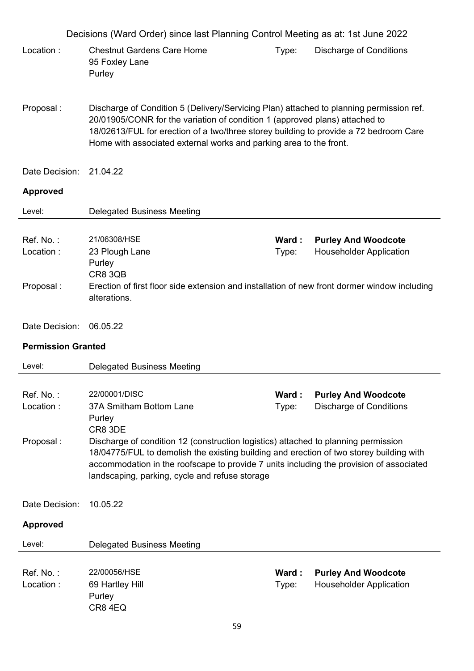|                                     | Decisions (Ward Order) since last Planning Control Meeting as at: 1st June 2022                                                                                                                                                                                                                                                                                                             |                |                                                              |
|-------------------------------------|---------------------------------------------------------------------------------------------------------------------------------------------------------------------------------------------------------------------------------------------------------------------------------------------------------------------------------------------------------------------------------------------|----------------|--------------------------------------------------------------|
| Location:                           | <b>Chestnut Gardens Care Home</b><br>95 Foxley Lane<br>Purley                                                                                                                                                                                                                                                                                                                               | Type:          | <b>Discharge of Conditions</b>                               |
| Proposal:                           | Discharge of Condition 5 (Delivery/Servicing Plan) attached to planning permission ref.<br>20/01905/CONR for the variation of condition 1 (approved plans) attached to<br>18/02613/FUL for erection of a two/three storey building to provide a 72 bedroom Care<br>Home with associated external works and parking area to the front.                                                       |                |                                                              |
| Date Decision:                      | 21.04.22                                                                                                                                                                                                                                                                                                                                                                                    |                |                                                              |
| <b>Approved</b>                     |                                                                                                                                                                                                                                                                                                                                                                                             |                |                                                              |
| Level:                              | <b>Delegated Business Meeting</b>                                                                                                                                                                                                                                                                                                                                                           |                |                                                              |
| Ref. No.:<br>Location:<br>Proposal: | 21/06308/HSE<br>23 Plough Lane<br>Purley<br><b>CR8 3QB</b><br>Erection of first floor side extension and installation of new front dormer window including                                                                                                                                                                                                                                  | Ward:<br>Type: | <b>Purley And Woodcote</b><br><b>Householder Application</b> |
|                                     | alterations.                                                                                                                                                                                                                                                                                                                                                                                |                |                                                              |
| Date Decision:                      | 06.05.22                                                                                                                                                                                                                                                                                                                                                                                    |                |                                                              |
| <b>Permission Granted</b>           |                                                                                                                                                                                                                                                                                                                                                                                             |                |                                                              |
| Level:                              | <b>Delegated Business Meeting</b>                                                                                                                                                                                                                                                                                                                                                           |                |                                                              |
| Ref. No.:<br>Location:<br>Proposal: | 22/00001/DISC<br>37A Smitham Bottom Lane<br>Purley<br>CR8 3DE<br>Discharge of condition 12 (construction logistics) attached to planning permission<br>18/04775/FUL to demolish the existing building and erection of two storey building with<br>accommodation in the roofscape to provide 7 units including the provision of associated<br>landscaping, parking, cycle and refuse storage | Ward:<br>Type: | <b>Purley And Woodcote</b><br><b>Discharge of Conditions</b> |
| Date Decision:                      | 10.05.22                                                                                                                                                                                                                                                                                                                                                                                    |                |                                                              |
| <b>Approved</b>                     |                                                                                                                                                                                                                                                                                                                                                                                             |                |                                                              |
| Level:                              | <b>Delegated Business Meeting</b>                                                                                                                                                                                                                                                                                                                                                           |                |                                                              |
| Ref. No.:<br>Location:              | 22/00056/HSE<br>69 Hartley Hill<br>Purley<br>CR84EQ                                                                                                                                                                                                                                                                                                                                         | Ward:<br>Type: | <b>Purley And Woodcote</b><br><b>Householder Application</b> |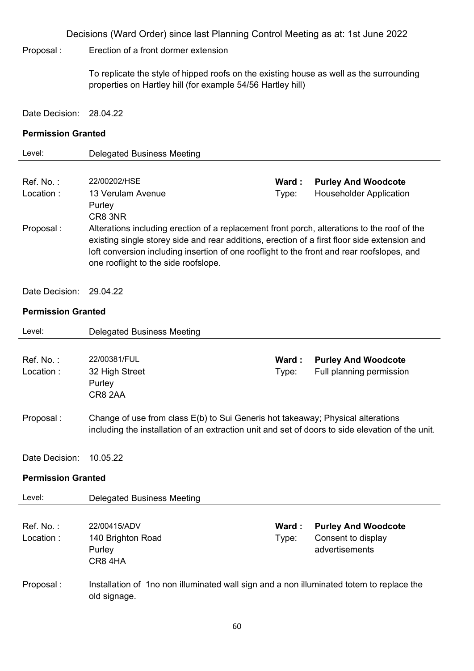Proposal : Erection of a front dormer extension

To replicate the style of hipped roofs on the existing house as well as the surrounding properties on Hartley hill (for example 54/56 Hartley hill)

Date Decision: 28.04.22

#### **Permission Granted**

| Level:     | Delegated Business Meeting                                                                                                                                                                                                                                                                                                        |        |                                |
|------------|-----------------------------------------------------------------------------------------------------------------------------------------------------------------------------------------------------------------------------------------------------------------------------------------------------------------------------------|--------|--------------------------------|
| Ref. No.:  | 22/00202/HSE                                                                                                                                                                                                                                                                                                                      | Ward : | <b>Purley And Woodcote</b>     |
| Location:  | 13 Verulam Avenue<br>Purley<br>CR8 3NR                                                                                                                                                                                                                                                                                            | Type:  | <b>Householder Application</b> |
| Proposal : | Alterations including erection of a replacement front porch, alterations to the roof of the<br>existing single storey side and rear additions, erection of a first floor side extension and<br>loft conversion including insertion of one rooflight to the front and rear roofslopes, and<br>one rooflight to the side roofslope. |        |                                |

Date Decision: 29.04.22

### **Permission Granted**

| Level:                    | <b>Delegated Business Meeting</b>                                                                |        |                            |
|---------------------------|--------------------------------------------------------------------------------------------------|--------|----------------------------|
|                           |                                                                                                  |        |                            |
| Ref. No.:                 | 22/00381/FUL                                                                                     | Ward : | <b>Purley And Woodcote</b> |
| Location:                 | 32 High Street                                                                                   | Type:  | Full planning permission   |
|                           | Purley                                                                                           |        |                            |
|                           | CR8 2AA                                                                                          |        |                            |
|                           |                                                                                                  |        |                            |
| Proposal:                 | Change of use from class E(b) to Sui Generis hot takeaway; Physical alterations                  |        |                            |
|                           | including the installation of an extraction unit and set of doors to side elevation of the unit. |        |                            |
|                           |                                                                                                  |        |                            |
| Date Decision:            | 10.05.22                                                                                         |        |                            |
| <b>Permission Granted</b> |                                                                                                  |        |                            |
| Level:                    | <b>Delegated Business Meeting</b>                                                                |        |                            |
|                           |                                                                                                  |        |                            |
| Ref. No.:                 | 22/00415/ADV                                                                                     | Ward : | <b>Purley And Woodcote</b> |
| Location:                 | 140 Brighton Road                                                                                | Type:  | Consent to display         |
|                           | Purley                                                                                           |        | advertisements             |
|                           | CR84HA                                                                                           |        |                            |
| Proposal:                 | Installation of 1no non illuminated wall sign and a non illuminated totem to replace the         |        |                            |
|                           | old signage.                                                                                     |        |                            |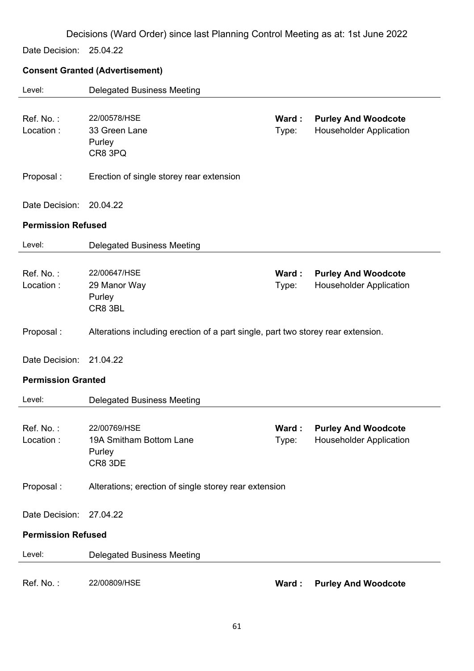Date Decision: 25.04.22

# **Consent Granted (Advertisement)**

| Level:                    | <b>Delegated Business Meeting</b>                                                |                |                                                              |
|---------------------------|----------------------------------------------------------------------------------|----------------|--------------------------------------------------------------|
| Ref. No.:<br>Location:    | 22/00578/HSE<br>33 Green Lane<br>Purley<br>CR8 3PQ                               | Ward:<br>Type: | <b>Purley And Woodcote</b><br><b>Householder Application</b> |
| Proposal:                 | Erection of single storey rear extension                                         |                |                                                              |
| Date Decision:            | 20.04.22                                                                         |                |                                                              |
| <b>Permission Refused</b> |                                                                                  |                |                                                              |
| Level:                    | <b>Delegated Business Meeting</b>                                                |                |                                                              |
| Ref. No.:<br>Location:    | 22/00647/HSE<br>29 Manor Way<br>Purley<br>CR8 3BL                                | Ward:<br>Type: | <b>Purley And Woodcote</b><br><b>Householder Application</b> |
| Proposal:                 | Alterations including erection of a part single, part two storey rear extension. |                |                                                              |
| Date Decision:            | 21.04.22                                                                         |                |                                                              |
| <b>Permission Granted</b> |                                                                                  |                |                                                              |
| Level:                    | <b>Delegated Business Meeting</b>                                                |                |                                                              |
| Ref. No.:<br>Location:    | 22/00769/HSE<br>19A Smitham Bottom Lane<br>Purley<br>CR8 3DE                     | Ward:<br>Type: | <b>Purley And Woodcote</b><br><b>Householder Application</b> |
| Proposal:                 | Alterations; erection of single storey rear extension                            |                |                                                              |
| Date Decision:            | 27.04.22                                                                         |                |                                                              |
| <b>Permission Refused</b> |                                                                                  |                |                                                              |
| Level:                    | <b>Delegated Business Meeting</b>                                                |                |                                                              |
| Ref. No.:                 | 22/00809/HSE                                                                     | Ward:          | <b>Purley And Woodcote</b>                                   |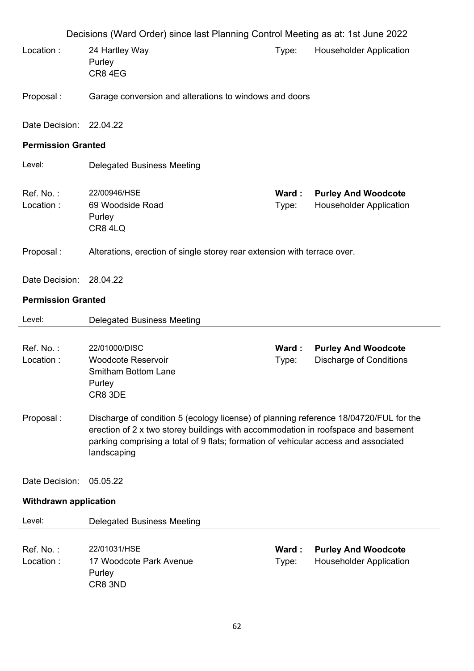|                              | Decisions (Ward Order) since last Planning Control Meeting as at: 1st June 2022                                                                                                                                                                                                  |                |                                                              |  |
|------------------------------|----------------------------------------------------------------------------------------------------------------------------------------------------------------------------------------------------------------------------------------------------------------------------------|----------------|--------------------------------------------------------------|--|
| Location:                    | 24 Hartley Way<br>Purley<br>CR84EG                                                                                                                                                                                                                                               | Type:          | <b>Householder Application</b>                               |  |
| Proposal:                    | Garage conversion and alterations to windows and doors                                                                                                                                                                                                                           |                |                                                              |  |
| Date Decision:               | 22.04.22                                                                                                                                                                                                                                                                         |                |                                                              |  |
| <b>Permission Granted</b>    |                                                                                                                                                                                                                                                                                  |                |                                                              |  |
| Level:                       | <b>Delegated Business Meeting</b>                                                                                                                                                                                                                                                |                |                                                              |  |
| Ref. No.:<br>Location:       | 22/00946/HSE<br>69 Woodside Road<br>Purley<br>CR84LQ                                                                                                                                                                                                                             | Ward:<br>Type: | <b>Purley And Woodcote</b><br><b>Householder Application</b> |  |
| Proposal:                    | Alterations, erection of single storey rear extension with terrace over.                                                                                                                                                                                                         |                |                                                              |  |
| Date Decision:               | 28.04.22                                                                                                                                                                                                                                                                         |                |                                                              |  |
| <b>Permission Granted</b>    |                                                                                                                                                                                                                                                                                  |                |                                                              |  |
|                              |                                                                                                                                                                                                                                                                                  |                |                                                              |  |
| Level:                       | <b>Delegated Business Meeting</b>                                                                                                                                                                                                                                                |                |                                                              |  |
| Ref. No.:<br>Location:       | 22/01000/DISC<br><b>Woodcote Reservoir</b><br><b>Smitham Bottom Lane</b><br>Purley<br>CR8 3DE                                                                                                                                                                                    | Ward:<br>Type: | <b>Purley And Woodcote</b><br><b>Discharge of Conditions</b> |  |
| Proposal:                    | Discharge of condition 5 (ecology license) of planning reference 18/04720/FUL for the<br>erection of 2 x two storey buildings with accommodation in roofspace and basement<br>parking comprising a total of 9 flats; formation of vehicular access and associated<br>landscaping |                |                                                              |  |
| Date Decision:               | 05.05.22                                                                                                                                                                                                                                                                         |                |                                                              |  |
| <b>Withdrawn application</b> |                                                                                                                                                                                                                                                                                  |                |                                                              |  |
| Level:                       | <b>Delegated Business Meeting</b>                                                                                                                                                                                                                                                |                |                                                              |  |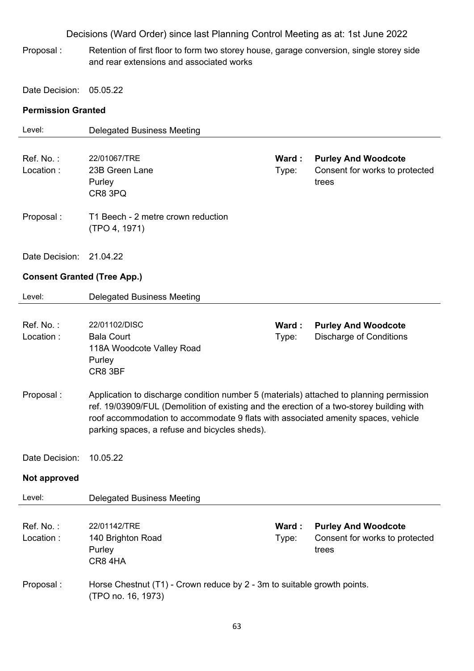Proposal : Retention of first floor to form two storey house, garage conversion, single storey side and rear extensions and associated works

Date Decision: 05.05.22

### **Permission Granted**

| Level:                             | <b>Delegated Business Meeting</b>                                                        |       |                                |
|------------------------------------|------------------------------------------------------------------------------------------|-------|--------------------------------|
|                                    |                                                                                          |       |                                |
| Ref. No.:                          | 22/01067/TRE                                                                             | Ward: | <b>Purley And Woodcote</b>     |
| Location:                          | 23B Green Lane                                                                           | Type: | Consent for works to protected |
|                                    | Purley                                                                                   |       | trees                          |
|                                    | CR8 3PQ                                                                                  |       |                                |
|                                    |                                                                                          |       |                                |
| Proposal:                          | T1 Beech - 2 metre crown reduction<br>(TPO 4, 1971)                                      |       |                                |
|                                    |                                                                                          |       |                                |
| Date Decision:                     | 21.04.22                                                                                 |       |                                |
| <b>Consent Granted (Tree App.)</b> |                                                                                          |       |                                |
| Level:                             | <b>Delegated Business Meeting</b>                                                        |       |                                |
|                                    |                                                                                          |       |                                |
| Ref. No.:                          | 22/01102/DISC                                                                            | Ward: | <b>Purley And Woodcote</b>     |
| Location:                          | <b>Bala Court</b>                                                                        | Type: | <b>Discharge of Conditions</b> |
|                                    | 118A Woodcote Valley Road                                                                |       |                                |
|                                    | Purley<br>CR8 3BF                                                                        |       |                                |
|                                    |                                                                                          |       |                                |
| Proposal:                          | Application to discharge condition number 5 (materials) attached to planning permission  |       |                                |
|                                    | ref. 19/03909/FUL (Demolition of existing and the erection of a two-storey building with |       |                                |
|                                    | roof accommodation to accommodate 9 flats with associated amenity spaces, vehicle        |       |                                |
|                                    | parking spaces, a refuse and bicycles sheds).                                            |       |                                |
|                                    |                                                                                          |       |                                |
| Date Decision:                     | 10.05.22                                                                                 |       |                                |
| <b>Not approved</b>                |                                                                                          |       |                                |
| Level:                             | <b>Delegated Business Meeting</b>                                                        |       |                                |
|                                    |                                                                                          |       |                                |
| Ref. No.:                          | 22/01142/TRE                                                                             | Ward: | <b>Purley And Woodcote</b>     |
| Location:                          | 140 Brighton Road                                                                        | Type: | Consent for works to protected |
|                                    | Purley                                                                                   |       | trees                          |
|                                    | CR84HA                                                                                   |       |                                |
| Proposal:                          | Horse Chestnut (T1) - Crown reduce by 2 - 3m to suitable growth points.                  |       |                                |
|                                    | (TPO no. 16, 1973)                                                                       |       |                                |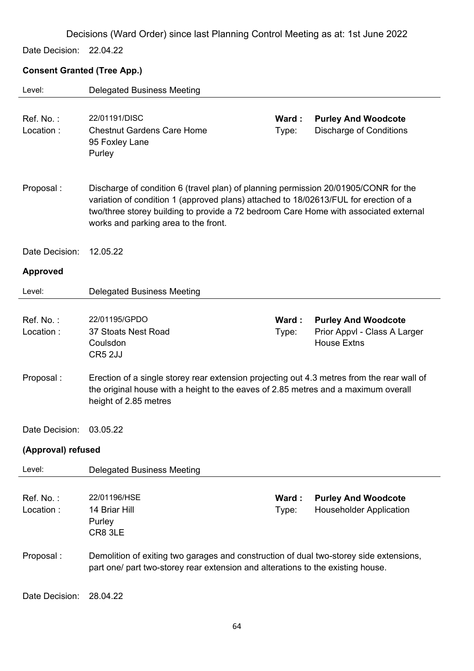Date Decision: 22.04.22

# **Consent Granted (Tree App.)**

| Level:                 | <b>Delegated Business Meeting</b>                                                                                                                                                                                                                                                                           |                |                                                                                  |
|------------------------|-------------------------------------------------------------------------------------------------------------------------------------------------------------------------------------------------------------------------------------------------------------------------------------------------------------|----------------|----------------------------------------------------------------------------------|
| Ref. No.:<br>Location: | 22/01191/DISC<br><b>Chestnut Gardens Care Home</b><br>95 Foxley Lane<br>Purley                                                                                                                                                                                                                              | Ward:<br>Type: | <b>Purley And Woodcote</b><br><b>Discharge of Conditions</b>                     |
| Proposal:              | Discharge of condition 6 (travel plan) of planning permission 20/01905/CONR for the<br>variation of condition 1 (approved plans) attached to 18/02613/FUL for erection of a<br>two/three storey building to provide a 72 bedroom Care Home with associated external<br>works and parking area to the front. |                |                                                                                  |
| Date Decision:         | 12.05.22                                                                                                                                                                                                                                                                                                    |                |                                                                                  |
| <b>Approved</b>        |                                                                                                                                                                                                                                                                                                             |                |                                                                                  |
| Level:                 | <b>Delegated Business Meeting</b>                                                                                                                                                                                                                                                                           |                |                                                                                  |
| Ref. No.:<br>Location: | 22/01195/GPDO<br>37 Stoats Nest Road<br>Coulsdon<br>CR5 2JJ                                                                                                                                                                                                                                                 | Ward:<br>Type: | <b>Purley And Woodcote</b><br>Prior Appvl - Class A Larger<br><b>House Extns</b> |
| Proposal:              | Erection of a single storey rear extension projecting out 4.3 metres from the rear wall of<br>the original house with a height to the eaves of 2.85 metres and a maximum overall<br>height of 2.85 metres                                                                                                   |                |                                                                                  |
| Date Decision:         | 03.05.22                                                                                                                                                                                                                                                                                                    |                |                                                                                  |
| (Approval) refused     |                                                                                                                                                                                                                                                                                                             |                |                                                                                  |
| Level:                 | <b>Delegated Business Meeting</b>                                                                                                                                                                                                                                                                           |                |                                                                                  |
| Ref. No.:<br>Location: | 22/01196/HSE<br>14 Briar Hill<br>Purley<br>CR8 3LE                                                                                                                                                                                                                                                          | Ward:<br>Type: | <b>Purley And Woodcote</b><br><b>Householder Application</b>                     |
| Proposal:              | Demolition of exiting two garages and construction of dual two-storey side extensions,<br>part one/ part two-storey rear extension and alterations to the existing house.                                                                                                                                   |                |                                                                                  |
| Date Decision:         | 28.04.22                                                                                                                                                                                                                                                                                                    |                |                                                                                  |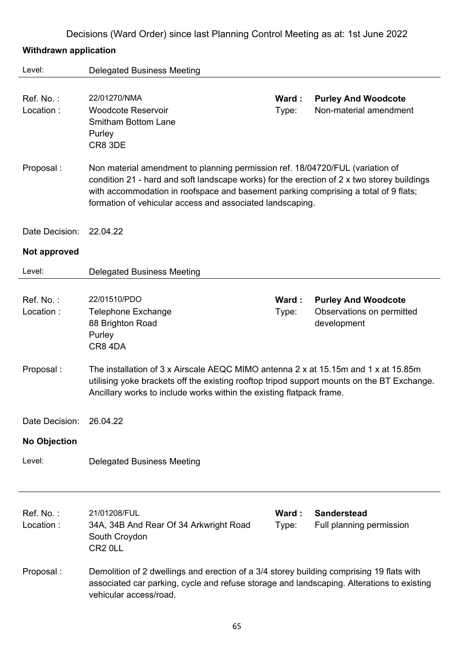# **Withdrawn application**

| Level:                 | <b>Delegated Business Meeting</b>                                                                                                                                                                                                                                                                                               |                |                                                                        |  |
|------------------------|---------------------------------------------------------------------------------------------------------------------------------------------------------------------------------------------------------------------------------------------------------------------------------------------------------------------------------|----------------|------------------------------------------------------------------------|--|
| Ref. No.:<br>Location: | 22/01270/NMA<br><b>Woodcote Reservoir</b><br><b>Smitham Bottom Lane</b><br>Purley<br>CR8 3DE                                                                                                                                                                                                                                    | Ward:<br>Type: | <b>Purley And Woodcote</b><br>Non-material amendment                   |  |
| Proposal:              | Non material amendment to planning permission ref. 18/04720/FUL (variation of<br>condition 21 - hard and soft landscape works) for the erection of 2 x two storey buildings<br>with accommodation in roofspace and basement parking comprising a total of 9 flats;<br>formation of vehicular access and associated landscaping. |                |                                                                        |  |
| Date Decision:         | 22.04.22                                                                                                                                                                                                                                                                                                                        |                |                                                                        |  |
| Not approved           |                                                                                                                                                                                                                                                                                                                                 |                |                                                                        |  |
| Level:                 | <b>Delegated Business Meeting</b>                                                                                                                                                                                                                                                                                               |                |                                                                        |  |
| Ref. No.:<br>Location: | 22/01510/PDO<br><b>Telephone Exchange</b><br>88 Brighton Road<br>Purley<br>CR8 4DA                                                                                                                                                                                                                                              | Ward:<br>Type: | <b>Purley And Woodcote</b><br>Observations on permitted<br>development |  |
| Proposal:              | The installation of 3 x Airscale AEQC MIMO antenna 2 x at 15.15m and 1 x at 15.85m<br>utilising yoke brackets off the existing rooftop tripod support mounts on the BT Exchange.<br>Ancillary works to include works within the existing flatpack frame.                                                                        |                |                                                                        |  |
| Date Decision:         | 26.04.22                                                                                                                                                                                                                                                                                                                        |                |                                                                        |  |
| <b>No Objection</b>    |                                                                                                                                                                                                                                                                                                                                 |                |                                                                        |  |
| Level:                 | <b>Delegated Business Meeting</b>                                                                                                                                                                                                                                                                                               |                |                                                                        |  |
| Ref. No.:<br>Location: | 21/01208/FUL<br>34A, 34B And Rear Of 34 Arkwright Road<br>South Croydon<br>CR <sub>2</sub> OLL                                                                                                                                                                                                                                  | Ward:<br>Type: | <b>Sanderstead</b><br>Full planning permission                         |  |
| Proposal:              | Demolition of 2 dwellings and erection of a 3/4 storey building comprising 19 flats with<br>associated car parking, cycle and refuse storage and landscaping. Alterations to existing<br>vehicular access/road.                                                                                                                 |                |                                                                        |  |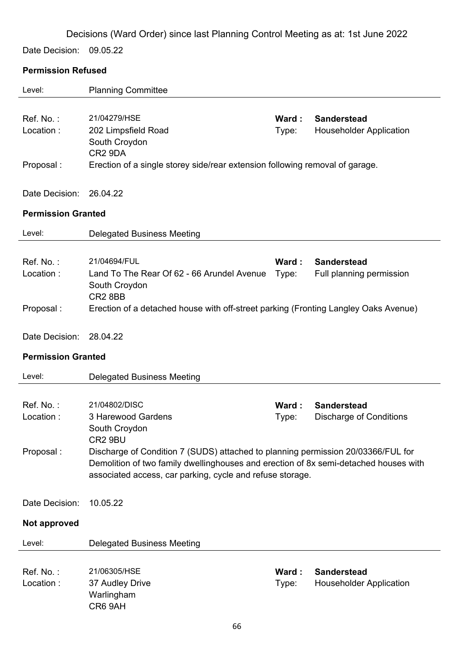Date Decision: 09.05.22

### **Permission Refused**

| Level:                              | <b>Planning Committee</b>                                                                                                                                                                                                                        |                |                                                      |
|-------------------------------------|--------------------------------------------------------------------------------------------------------------------------------------------------------------------------------------------------------------------------------------------------|----------------|------------------------------------------------------|
| Ref. No.:<br>Location:<br>Proposal: | 21/04279/HSE<br>202 Limpsfield Road<br>South Croydon<br>CR <sub>2</sub> 9DA<br>Erection of a single storey side/rear extension following removal of garage.                                                                                      | Ward:<br>Type: | <b>Sanderstead</b><br><b>Householder Application</b> |
|                                     |                                                                                                                                                                                                                                                  |                |                                                      |
| Date Decision:                      | 26.04.22                                                                                                                                                                                                                                         |                |                                                      |
| <b>Permission Granted</b>           |                                                                                                                                                                                                                                                  |                |                                                      |
| Level:                              | <b>Delegated Business Meeting</b>                                                                                                                                                                                                                |                |                                                      |
| Ref. No.:<br>Location:              | 21/04694/FUL<br>Land To The Rear Of 62 - 66 Arundel Avenue<br>South Croydon<br>CR <sub>2</sub> 8BB                                                                                                                                               | Ward:<br>Type: | <b>Sanderstead</b><br>Full planning permission       |
| Proposal:                           | Erection of a detached house with off-street parking (Fronting Langley Oaks Avenue)                                                                                                                                                              |                |                                                      |
| Date Decision:                      | 28.04.22                                                                                                                                                                                                                                         |                |                                                      |
| <b>Permission Granted</b>           |                                                                                                                                                                                                                                                  |                |                                                      |
| Level:                              | <b>Delegated Business Meeting</b>                                                                                                                                                                                                                |                |                                                      |
|                                     |                                                                                                                                                                                                                                                  |                |                                                      |
| Ref. No.:                           | 21/04802/DISC                                                                                                                                                                                                                                    | Ward:          | <b>Sanderstead</b>                                   |
| Location:                           | 3 Harewood Gardens<br>South Croydon                                                                                                                                                                                                              | Type:          | <b>Discharge of Conditions</b>                       |
| Proposal:                           | CR2 9BU<br>Discharge of Condition 7 (SUDS) attached to planning permission 20/03366/FUL for<br>Demolition of two family dwellinghouses and erection of 8x semi-detached houses with<br>associated access, car parking, cycle and refuse storage. |                |                                                      |
| Date Decision:                      | 10.05.22                                                                                                                                                                                                                                         |                |                                                      |
| Not approved                        |                                                                                                                                                                                                                                                  |                |                                                      |
| Level:                              | <b>Delegated Business Meeting</b>                                                                                                                                                                                                                |                |                                                      |
|                                     |                                                                                                                                                                                                                                                  |                |                                                      |
| Ref. No.:<br>Location:              | 21/06305/HSE<br>37 Audley Drive<br>Warlingham<br>CR6 9AH                                                                                                                                                                                         | Ward:<br>Type: | <b>Sanderstead</b><br><b>Householder Application</b> |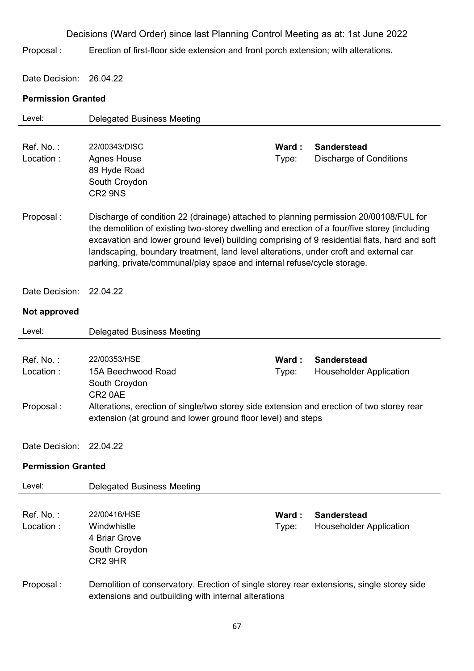Proposal : Erection of first-floor side extension and front porch extension; with alterations.

Date Decision: 26.04.22

### **Permission Granted**

| Level:                              | <b>Delegated Business Meeting</b>                                                                                                                                                                                                                                                                                                                                                                                                                         |                |                                                      |
|-------------------------------------|-----------------------------------------------------------------------------------------------------------------------------------------------------------------------------------------------------------------------------------------------------------------------------------------------------------------------------------------------------------------------------------------------------------------------------------------------------------|----------------|------------------------------------------------------|
| Ref. No.:<br>Location:              | 22/00343/DISC<br><b>Agnes House</b><br>89 Hyde Road<br>South Croydon<br>CR <sub>2</sub> 9N <sub>S</sub>                                                                                                                                                                                                                                                                                                                                                   | Ward:<br>Type: | <b>Sanderstead</b><br><b>Discharge of Conditions</b> |
| Proposal:                           | Discharge of condition 22 (drainage) attached to planning permission 20/00108/FUL for<br>the demolition of existing two-storey dwelling and erection of a four/five storey (including<br>excavation and lower ground level) building comprising of 9 residential flats, hard and soft<br>landscaping, boundary treatment, land level alterations, under croft and external car<br>parking, private/communal/play space and internal refuse/cycle storage. |                |                                                      |
| Date Decision:                      | 22.04.22                                                                                                                                                                                                                                                                                                                                                                                                                                                  |                |                                                      |
| Not approved                        |                                                                                                                                                                                                                                                                                                                                                                                                                                                           |                |                                                      |
| Level:                              | <b>Delegated Business Meeting</b>                                                                                                                                                                                                                                                                                                                                                                                                                         |                |                                                      |
| Ref. No.:<br>Location:<br>Proposal: | 22/00353/HSE<br>15A Beechwood Road<br>South Croydon<br>CR <sub>2</sub> 0AE<br>Alterations, erection of single/two storey side extension and erection of two storey rear<br>extension (at ground and lower ground floor level) and steps                                                                                                                                                                                                                   | Ward:<br>Type: | <b>Sanderstead</b><br><b>Householder Application</b> |
| Date Decision:                      | 22.04.22                                                                                                                                                                                                                                                                                                                                                                                                                                                  |                |                                                      |
| <b>Permission Granted</b>           |                                                                                                                                                                                                                                                                                                                                                                                                                                                           |                |                                                      |
| Level:                              | <b>Delegated Business Meeting</b>                                                                                                                                                                                                                                                                                                                                                                                                                         |                |                                                      |
| Ref. No.:<br>Location:              | 22/00416/HSE<br>Windwhistle<br>4 Briar Grove<br>South Croydon<br>CR2 9HR                                                                                                                                                                                                                                                                                                                                                                                  | Ward:<br>Type: | <b>Sanderstead</b><br><b>Householder Application</b> |
| Proposal:                           | Demolition of conservatory. Erection of single storey rear extensions, single storey side<br>extensions and outbuilding with internal alterations                                                                                                                                                                                                                                                                                                         |                |                                                      |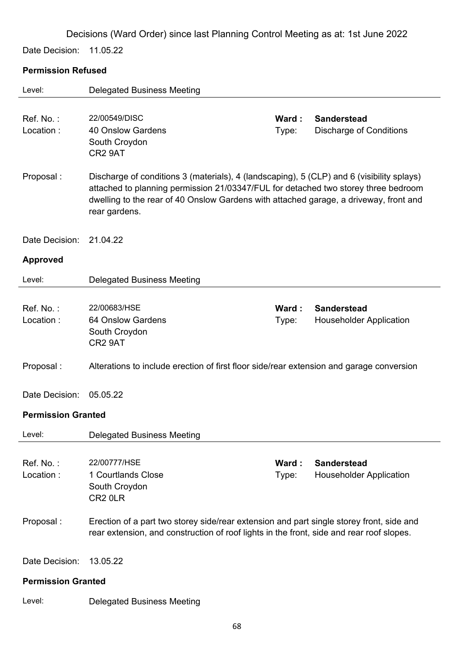Date Decision: 11.05.22

# **Permission Refused**

| Level:                    | <b>Delegated Business Meeting</b>                                                                                                                                                                                                                                                         |                |                                                      |
|---------------------------|-------------------------------------------------------------------------------------------------------------------------------------------------------------------------------------------------------------------------------------------------------------------------------------------|----------------|------------------------------------------------------|
| Ref. No.:<br>Location:    | 22/00549/DISC<br><b>40 Onslow Gardens</b><br>South Croydon<br>CR2 9AT                                                                                                                                                                                                                     | Ward:<br>Type: | <b>Sanderstead</b><br><b>Discharge of Conditions</b> |
| Proposal:                 | Discharge of conditions 3 (materials), 4 (landscaping), 5 (CLP) and 6 (visibility splays)<br>attached to planning permission 21/03347/FUL for detached two storey three bedroom<br>dwelling to the rear of 40 Onslow Gardens with attached garage, a driveway, front and<br>rear gardens. |                |                                                      |
| Date Decision:            | 21.04.22                                                                                                                                                                                                                                                                                  |                |                                                      |
| <b>Approved</b>           |                                                                                                                                                                                                                                                                                           |                |                                                      |
| Level:                    | <b>Delegated Business Meeting</b>                                                                                                                                                                                                                                                         |                |                                                      |
| Ref. No.:<br>Location:    | 22/00683/HSE<br>64 Onslow Gardens<br>South Croydon<br>CR2 9AT                                                                                                                                                                                                                             | Ward:<br>Type: | <b>Sanderstead</b><br><b>Householder Application</b> |
| Proposal:                 | Alterations to include erection of first floor side/rear extension and garage conversion                                                                                                                                                                                                  |                |                                                      |
| Date Decision:            | 05.05.22                                                                                                                                                                                                                                                                                  |                |                                                      |
| <b>Permission Granted</b> |                                                                                                                                                                                                                                                                                           |                |                                                      |
| Level:                    | <b>Delegated Business Meeting</b>                                                                                                                                                                                                                                                         |                |                                                      |
| Ref. No.:<br>Location:    | 22/00777/HSE<br>1 Courtlands Close<br>South Croydon<br>CR <sub>2</sub> OLR                                                                                                                                                                                                                | Ward:<br>Type: | <b>Sanderstead</b><br><b>Householder Application</b> |
| Proposal:                 | Erection of a part two storey side/rear extension and part single storey front, side and<br>rear extension, and construction of roof lights in the front, side and rear roof slopes.                                                                                                      |                |                                                      |
| Date Decision:            | 13.05.22                                                                                                                                                                                                                                                                                  |                |                                                      |
| <b>Permission Granted</b> |                                                                                                                                                                                                                                                                                           |                |                                                      |
| Level:                    | <b>Delegated Business Meeting</b>                                                                                                                                                                                                                                                         |                |                                                      |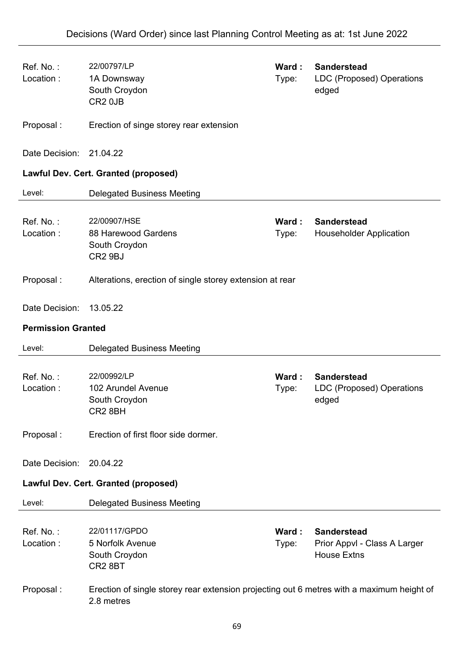| Ref. No.:<br>Location:    | 22/00797/LP<br>1A Downsway<br>South Croydon<br>CR <sub>2</sub> 0JB                                      | Ward:<br>Type: | <b>Sanderstead</b><br>LDC (Proposed) Operations<br>edged                 |
|---------------------------|---------------------------------------------------------------------------------------------------------|----------------|--------------------------------------------------------------------------|
| Proposal:                 | Erection of singe storey rear extension                                                                 |                |                                                                          |
| Date Decision:            | 21.04.22                                                                                                |                |                                                                          |
|                           | <b>Lawful Dev. Cert. Granted (proposed)</b>                                                             |                |                                                                          |
| Level:                    | <b>Delegated Business Meeting</b>                                                                       |                |                                                                          |
| Ref. No.:<br>Location:    | 22/00907/HSE<br>88 Harewood Gardens<br>South Croydon<br>CR <sub>2</sub> 9BJ                             | Ward:<br>Type: | <b>Sanderstead</b><br><b>Householder Application</b>                     |
| Proposal:                 | Alterations, erection of single storey extension at rear                                                |                |                                                                          |
| Date Decision:            | 13.05.22                                                                                                |                |                                                                          |
| <b>Permission Granted</b> |                                                                                                         |                |                                                                          |
| Level:                    | <b>Delegated Business Meeting</b>                                                                       |                |                                                                          |
| Ref. No.:<br>Location:    | 22/00992/LP<br>102 Arundel Avenue<br>South Croydon<br>CR2 8BH                                           | Ward:<br>Type: | <b>Sanderstead</b><br>LDC (Proposed) Operations<br>edged                 |
| Proposal:                 | Erection of first floor side dormer.                                                                    |                |                                                                          |
| Date Decision:            | 20.04.22                                                                                                |                |                                                                          |
|                           | <b>Lawful Dev. Cert. Granted (proposed)</b>                                                             |                |                                                                          |
| Level:                    | <b>Delegated Business Meeting</b>                                                                       |                |                                                                          |
| Ref. No.:<br>Location:    | 22/01117/GPDO<br>5 Norfolk Avenue<br>South Croydon<br>CR <sub>2</sub> 8BT                               | Ward:<br>Type: | <b>Sanderstead</b><br>Prior Appvl - Class A Larger<br><b>House Extns</b> |
| Proposal:                 | Erection of single storey rear extension projecting out 6 metres with a maximum height of<br>2.8 metres |                |                                                                          |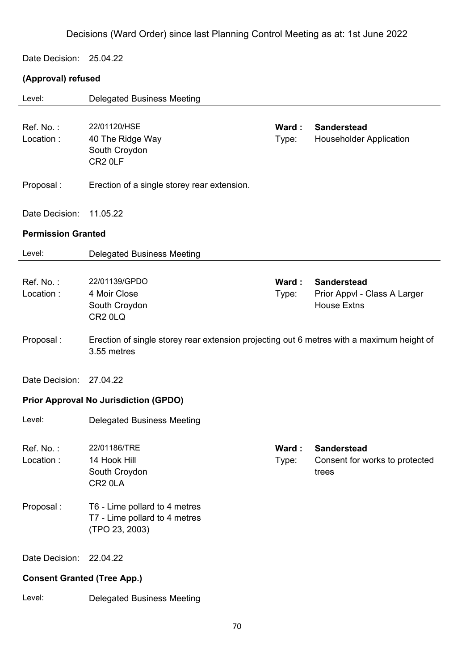Date Decision: 25.04.22

# **(Approval) refused**

| Level:                             | <b>Delegated Business Meeting</b>                                                                        |                 |                                                                          |
|------------------------------------|----------------------------------------------------------------------------------------------------------|-----------------|--------------------------------------------------------------------------|
| Ref. No.:<br>Location:             | 22/01120/HSE<br>40 The Ridge Way<br>South Croydon<br>CR <sub>2</sub> OLF                                 | Ward:<br>Type:  | <b>Sanderstead</b><br><b>Householder Application</b>                     |
| Proposal:                          | Erection of a single storey rear extension.                                                              |                 |                                                                          |
| Date Decision:                     | 11.05.22                                                                                                 |                 |                                                                          |
| <b>Permission Granted</b>          |                                                                                                          |                 |                                                                          |
| Level:                             | <b>Delegated Business Meeting</b>                                                                        |                 |                                                                          |
| Ref. No.:<br>Location:             | 22/01139/GPDO<br>4 Moir Close<br>South Croydon<br>CR <sub>2</sub> 0LQ                                    | Ward :<br>Type: | <b>Sanderstead</b><br>Prior Appvl - Class A Larger<br><b>House Extns</b> |
| Proposal:                          | Erection of single storey rear extension projecting out 6 metres with a maximum height of<br>3.55 metres |                 |                                                                          |
| Date Decision:                     | 27.04.22                                                                                                 |                 |                                                                          |
|                                    | <b>Prior Approval No Jurisdiction (GPDO)</b>                                                             |                 |                                                                          |
| Level:                             | <b>Delegated Business Meeting</b>                                                                        |                 |                                                                          |
| Ref. No.:<br>Location:             | 22/01186/TRE<br>14 Hook Hill<br>South Croydon<br>CR <sub>2</sub> 0LA                                     | Ward:<br>Type:  | <b>Sanderstead</b><br>Consent for works to protected<br>trees            |
| Proposal:                          | T6 - Lime pollard to 4 metres<br>T7 - Lime pollard to 4 metres<br>(TPO 23, 2003)                         |                 |                                                                          |
| Date Decision:                     | 22.04.22                                                                                                 |                 |                                                                          |
| <b>Consent Granted (Tree App.)</b> |                                                                                                          |                 |                                                                          |
| Level:                             | <b>Delegated Business Meeting</b>                                                                        |                 |                                                                          |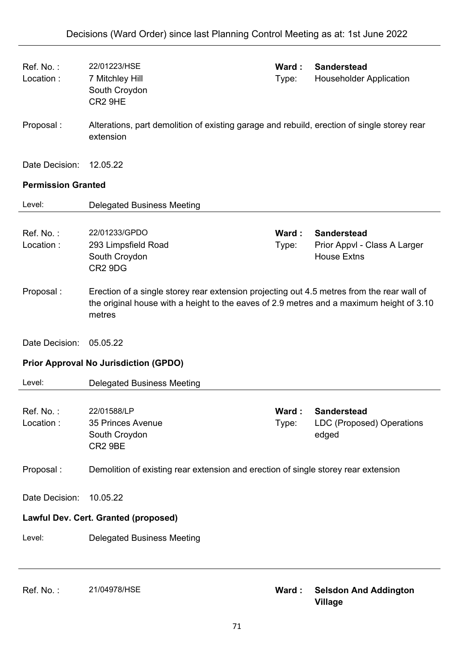| Ref. No.:<br>Location:    | 22/01223/HSE<br>7 Mitchley Hill<br>South Croydon<br>CR2 9HE                                                                                                                                      | Ward:<br>Type: | <b>Sanderstead</b><br><b>Householder Application</b>                     |
|---------------------------|--------------------------------------------------------------------------------------------------------------------------------------------------------------------------------------------------|----------------|--------------------------------------------------------------------------|
| Proposal:                 | Alterations, part demolition of existing garage and rebuild, erection of single storey rear<br>extension                                                                                         |                |                                                                          |
| Date Decision:            | 12.05.22                                                                                                                                                                                         |                |                                                                          |
| <b>Permission Granted</b> |                                                                                                                                                                                                  |                |                                                                          |
| Level:                    | <b>Delegated Business Meeting</b>                                                                                                                                                                |                |                                                                          |
| Ref. No.:<br>Location:    | 22/01233/GPDO<br>293 Limpsfield Road<br>South Croydon<br>CR <sub>2</sub> 9D <sub>G</sub>                                                                                                         | Ward:<br>Type: | <b>Sanderstead</b><br>Prior Appvl - Class A Larger<br><b>House Extns</b> |
| Proposal:                 | Erection of a single storey rear extension projecting out 4.5 metres from the rear wall of<br>the original house with a height to the eaves of 2.9 metres and a maximum height of 3.10<br>metres |                |                                                                          |
| Date Decision:            | 05.05.22                                                                                                                                                                                         |                |                                                                          |
|                           | <b>Prior Approval No Jurisdiction (GPDO)</b>                                                                                                                                                     |                |                                                                          |
| Level:                    | <b>Delegated Business Meeting</b>                                                                                                                                                                |                |                                                                          |
| Ref. No.:<br>Location:    | 22/01588/LP<br>35 Princes Avenue<br>South Croydon<br>CR2 9BE                                                                                                                                     | Ward:<br>Type: | <b>Sanderstead</b><br><b>LDC (Proposed) Operations</b><br>edged          |
| Proposal:                 | Demolition of existing rear extension and erection of single storey rear extension                                                                                                               |                |                                                                          |
| Date Decision:            | 10.05.22                                                                                                                                                                                         |                |                                                                          |
|                           | Lawful Dev. Cert. Granted (proposed)                                                                                                                                                             |                |                                                                          |
| Level:                    | <b>Delegated Business Meeting</b>                                                                                                                                                                |                |                                                                          |
| Ref. No.:                 | 21/04978/HSE                                                                                                                                                                                     | Ward:          | <b>Selsdon And Addington</b><br><b>Village</b>                           |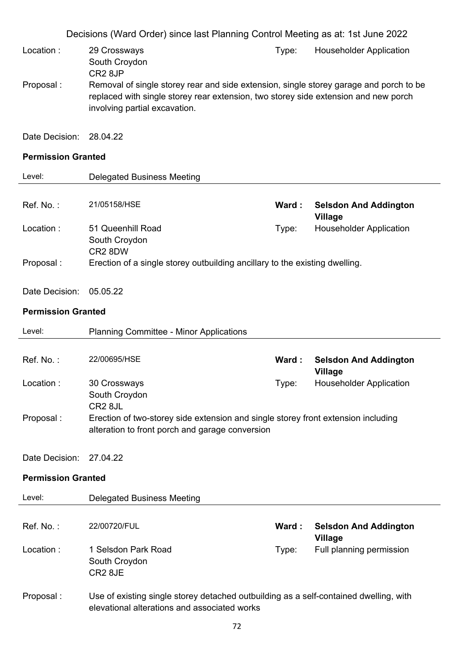|                           | Decisions (Ward Order) since last Planning Control Meeting as at: 1st June 2022                                                      |       |                                                  |
|---------------------------|--------------------------------------------------------------------------------------------------------------------------------------|-------|--------------------------------------------------|
| Location:                 | 29 Crossways<br>South Croydon                                                                                                        | Type: | <b>Householder Application</b>                   |
| Proposal:                 | CR <sub>2</sub> 8JP<br>Removal of single storey rear and side extension, single storey garage and porch to be                        |       |                                                  |
|                           | replaced with single storey rear extension, two storey side extension and new porch<br>involving partial excavation.                 |       |                                                  |
| Date Decision:            | 28.04.22                                                                                                                             |       |                                                  |
| <b>Permission Granted</b> |                                                                                                                                      |       |                                                  |
| Level:                    | <b>Delegated Business Meeting</b>                                                                                                    |       |                                                  |
| Ref. No.:                 | 21/05158/HSE                                                                                                                         | Ward: | <b>Selsdon And Addington</b><br><b>Village</b>   |
| Location:                 | 51 Queenhill Road<br>South Croydon<br>CR2 8DW                                                                                        | Type: | <b>Householder Application</b>                   |
| Proposal:                 | Erection of a single storey outbuilding ancillary to the existing dwelling.                                                          |       |                                                  |
| Date Decision:            | 05.05.22                                                                                                                             |       |                                                  |
| <b>Permission Granted</b> |                                                                                                                                      |       |                                                  |
|                           |                                                                                                                                      |       |                                                  |
| Level:                    | <b>Planning Committee - Minor Applications</b>                                                                                       |       |                                                  |
| Ref. No.:                 | 22/00695/HSE                                                                                                                         | Ward: | <b>Selsdon And Addington</b>                     |
| Location:                 | 30 Crossways                                                                                                                         | Type: | <b>Village</b><br><b>Householder Application</b> |
|                           | South Croydon<br>CR <sub>2</sub> 8JL                                                                                                 |       |                                                  |
| Proposal:                 | Erection of two-storey side extension and single storey front extension including<br>alteration to front porch and garage conversion |       |                                                  |
| Date Decision:            | 27.04.22                                                                                                                             |       |                                                  |
| <b>Permission Granted</b> |                                                                                                                                      |       |                                                  |
| Level:                    | <b>Delegated Business Meeting</b>                                                                                                    |       |                                                  |
| Ref. No.:                 | 22/00720/FUL                                                                                                                         | Ward: | <b>Selsdon And Addington</b>                     |
| Location:                 | 1 Selsdon Park Road<br>South Croydon<br>CR2 8JE                                                                                      | Type: | <b>Village</b><br>Full planning permission       |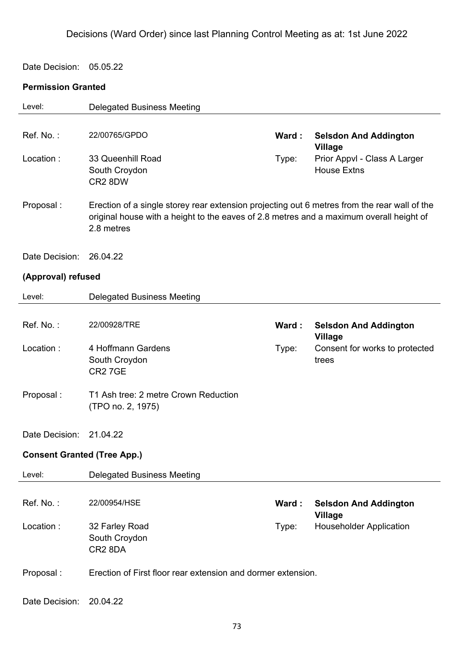Date Decision: 05.05.22

### **Permission Granted**

| Level:                             | <b>Delegated Business Meeting</b>                                                                                                                                                                     |       |                                                    |
|------------------------------------|-------------------------------------------------------------------------------------------------------------------------------------------------------------------------------------------------------|-------|----------------------------------------------------|
|                                    |                                                                                                                                                                                                       |       |                                                    |
| Ref. No.:                          | 22/00765/GPDO                                                                                                                                                                                         | Ward: | <b>Selsdon And Addington</b><br><b>Village</b>     |
| Location:                          | 33 Queenhill Road<br>South Croydon<br>CR2 8DW                                                                                                                                                         | Type: | Prior Appvl - Class A Larger<br><b>House Extns</b> |
| Proposal:                          | Erection of a single storey rear extension projecting out 6 metres from the rear wall of the<br>original house with a height to the eaves of 2.8 metres and a maximum overall height of<br>2.8 metres |       |                                                    |
| Date Decision:                     | 26.04.22                                                                                                                                                                                              |       |                                                    |
| (Approval) refused                 |                                                                                                                                                                                                       |       |                                                    |
| Level:                             | <b>Delegated Business Meeting</b>                                                                                                                                                                     |       |                                                    |
|                                    |                                                                                                                                                                                                       |       |                                                    |
| Ref. No.:                          | 22/00928/TRE                                                                                                                                                                                          | Ward: | <b>Selsdon And Addington</b><br><b>Village</b>     |
| Location:                          | 4 Hoffmann Gardens<br>South Croydon<br><b>CR2 7GE</b>                                                                                                                                                 | Type: | Consent for works to protected<br>trees            |
| Proposal:                          | T1 Ash tree: 2 metre Crown Reduction<br>(TPO no. 2, 1975)                                                                                                                                             |       |                                                    |
| Date Decision:                     | 21.04.22                                                                                                                                                                                              |       |                                                    |
| <b>Consent Granted (Tree App.)</b> |                                                                                                                                                                                                       |       |                                                    |
| Level:                             | <b>Delegated Business Meeting</b>                                                                                                                                                                     |       |                                                    |
|                                    |                                                                                                                                                                                                       |       |                                                    |
| Ref. No.:                          | 22/00954/HSE                                                                                                                                                                                          | Ward: | <b>Selsdon And Addington</b><br><b>Village</b>     |
| Location:                          | 32 Farley Road<br>South Croydon<br>CR2 8DA                                                                                                                                                            | Type: | <b>Householder Application</b>                     |
| Proposal:                          | Erection of First floor rear extension and dormer extension.                                                                                                                                          |       |                                                    |
| Date Decision:                     | 20.04.22                                                                                                                                                                                              |       |                                                    |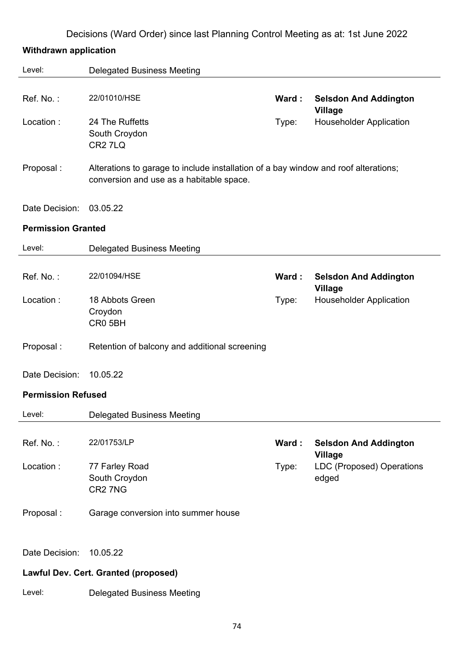# **Withdrawn application**

| Level:                    | <b>Delegated Business Meeting</b>                                                                                               |       |                                                |
|---------------------------|---------------------------------------------------------------------------------------------------------------------------------|-------|------------------------------------------------|
| Ref. No.:                 | 22/01010/HSE                                                                                                                    | Ward: | <b>Selsdon And Addington</b><br><b>Village</b> |
| Location:                 | 24 The Ruffetts<br>South Croydon<br>CR <sub>2</sub> 7L <sub>Q</sub>                                                             | Type: | <b>Householder Application</b>                 |
| Proposal:                 | Alterations to garage to include installation of a bay window and roof alterations;<br>conversion and use as a habitable space. |       |                                                |
| Date Decision:            | 03.05.22                                                                                                                        |       |                                                |
| <b>Permission Granted</b> |                                                                                                                                 |       |                                                |
| Level:                    | <b>Delegated Business Meeting</b>                                                                                               |       |                                                |
| Ref. No.:                 | 22/01094/HSE                                                                                                                    | Ward: | <b>Selsdon And Addington</b><br><b>Village</b> |
| Location:                 | 18 Abbots Green<br>Croydon<br>CR0 5BH                                                                                           | Type: | <b>Householder Application</b>                 |
| Proposal:                 | Retention of balcony and additional screening                                                                                   |       |                                                |
| Date Decision:            | 10.05.22                                                                                                                        |       |                                                |
| <b>Permission Refused</b> |                                                                                                                                 |       |                                                |
| Level:                    | <b>Delegated Business Meeting</b>                                                                                               |       |                                                |
| Ref. No.:                 | 22/01753/LP                                                                                                                     | Ward: | <b>Selsdon And Addington</b><br><b>Village</b> |
| Location:                 | 77 Farley Road<br>South Croydon<br>CR <sub>2</sub> 7N <sub>G</sub>                                                              | Type: | <b>LDC (Proposed) Operations</b><br>edged      |
| Proposal:                 | Garage conversion into summer house                                                                                             |       |                                                |
| Date Decision:            | 10.05.22                                                                                                                        |       |                                                |
|                           | Lawful Dev. Cert. Granted (proposed)                                                                                            |       |                                                |
| Level:                    | <b>Delegated Business Meeting</b>                                                                                               |       |                                                |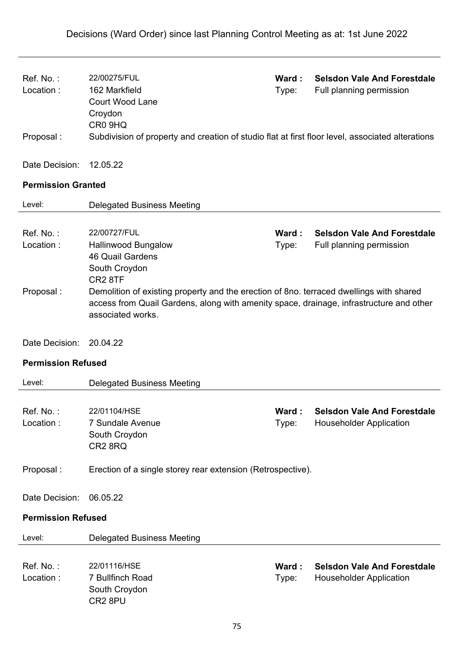| Ref. No.:<br>Location:      | 22/00275/FUL<br>162 Markfield<br><b>Court Wood Lane</b><br>Croydon<br>CR0 9HQ                                                                                                                                       | Ward:<br>Type: | <b>Selsdon Vale And Forestdale</b><br>Full planning permission       |
|-----------------------------|---------------------------------------------------------------------------------------------------------------------------------------------------------------------------------------------------------------------|----------------|----------------------------------------------------------------------|
| Proposal:                   | Subdivision of property and creation of studio flat at first floor level, associated alterations                                                                                                                    |                |                                                                      |
| Date Decision:              | 12.05.22                                                                                                                                                                                                            |                |                                                                      |
| <b>Permission Granted</b>   |                                                                                                                                                                                                                     |                |                                                                      |
| Level:                      | <b>Delegated Business Meeting</b>                                                                                                                                                                                   |                |                                                                      |
| Ref. No.:<br>Location:      | 22/00727/FUL<br><b>Hallinwood Bungalow</b><br>46 Quail Gardens<br>South Croydon<br>CR <sub>2</sub> 8TF                                                                                                              | Ward:<br>Type: | <b>Selsdon Vale And Forestdale</b><br>Full planning permission       |
| Proposal:<br>Date Decision: | Demolition of existing property and the erection of 8no. terraced dwellings with shared<br>access from Quail Gardens, along with amenity space, drainage, infrastructure and other<br>associated works.<br>20.04.22 |                |                                                                      |
| <b>Permission Refused</b>   |                                                                                                                                                                                                                     |                |                                                                      |
| Level:                      | <b>Delegated Business Meeting</b>                                                                                                                                                                                   |                |                                                                      |
| Ref. No.:<br>Location :     | 22/01104/HSE<br>7 Sundale Avenue<br>South Croydon<br>CR <sub>2</sub> 8RQ                                                                                                                                            | Ward:<br>Type: | <b>Selsdon Vale And Forestdale</b><br><b>Householder Application</b> |
| Proposal:                   | Erection of a single storey rear extension (Retrospective).                                                                                                                                                         |                |                                                                      |
| Date Decision:              | 06.05.22                                                                                                                                                                                                            |                |                                                                      |
| <b>Permission Refused</b>   |                                                                                                                                                                                                                     |                |                                                                      |
| Level:                      | <b>Delegated Business Meeting</b>                                                                                                                                                                                   |                |                                                                      |
| Ref. No.:<br>Location:      | 22/01116/HSE<br>7 Bullfinch Road<br>South Croydon<br>CR2 8PU                                                                                                                                                        | Ward:<br>Type: | <b>Selsdon Vale And Forestdale</b><br><b>Householder Application</b> |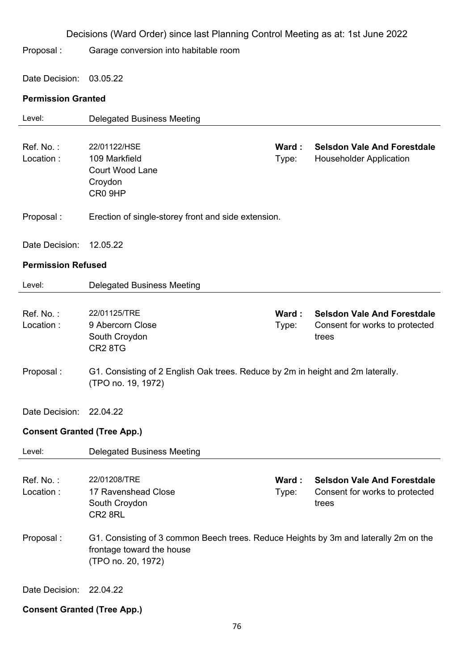|                                    | Decisions (Ward Order) since last Planning Control Meeting as at: 1st June 2022                                                         |                |                                                                               |
|------------------------------------|-----------------------------------------------------------------------------------------------------------------------------------------|----------------|-------------------------------------------------------------------------------|
| Proposal:                          | Garage conversion into habitable room                                                                                                   |                |                                                                               |
| Date Decision:                     | 03.05.22                                                                                                                                |                |                                                                               |
| <b>Permission Granted</b>          |                                                                                                                                         |                |                                                                               |
| Level:                             | <b>Delegated Business Meeting</b>                                                                                                       |                |                                                                               |
| Ref. No.:<br>Location:             | 22/01122/HSE<br>109 Markfield<br><b>Court Wood Lane</b><br>Croydon<br>CR0 9HP                                                           | Ward:<br>Type: | <b>Selsdon Vale And Forestdale</b><br><b>Householder Application</b>          |
| Proposal:                          | Erection of single-storey front and side extension.                                                                                     |                |                                                                               |
| Date Decision:                     | 12.05.22                                                                                                                                |                |                                                                               |
| <b>Permission Refused</b>          |                                                                                                                                         |                |                                                                               |
| Level:                             | <b>Delegated Business Meeting</b>                                                                                                       |                |                                                                               |
| Ref. No.:<br>Location:             | 22/01125/TRE<br>9 Abercorn Close<br>South Croydon<br>CR <sub>2</sub> 8TG                                                                | Ward:<br>Type: | <b>Selsdon Vale And Forestdale</b><br>Consent for works to protected<br>trees |
| Proposal:                          | G1. Consisting of 2 English Oak trees. Reduce by 2m in height and 2m laterally.<br>(TPO no. 19, 1972)                                   |                |                                                                               |
| Date Decision:                     | 22.04.22                                                                                                                                |                |                                                                               |
| <b>Consent Granted (Tree App.)</b> |                                                                                                                                         |                |                                                                               |
| Level:                             | <b>Delegated Business Meeting</b>                                                                                                       |                |                                                                               |
| Ref. No.:<br>Location:             | 22/01208/TRE<br>17 Ravenshead Close<br>South Croydon<br>CR2 8RL                                                                         | Ward:<br>Type: | <b>Selsdon Vale And Forestdale</b><br>Consent for works to protected<br>trees |
| Proposal:                          | G1. Consisting of 3 common Beech trees. Reduce Heights by 3m and laterally 2m on the<br>frontage toward the house<br>(TPO no. 20, 1972) |                |                                                                               |
| Date Decision: 22.04.22            |                                                                                                                                         |                |                                                                               |

## **Consent Granted (Tree App.)**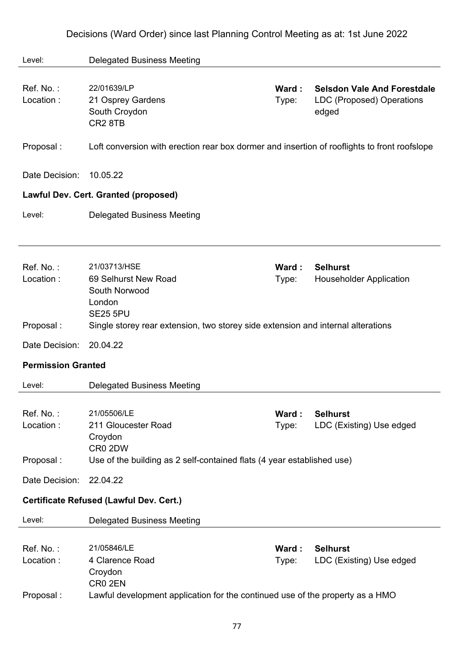| Level:                    | <b>Delegated Business Meeting</b>                                                            |                |                                             |
|---------------------------|----------------------------------------------------------------------------------------------|----------------|---------------------------------------------|
|                           |                                                                                              |                |                                             |
| Ref. No.:                 | 22/01639/LP                                                                                  | Ward:          | <b>Selsdon Vale And Forestdale</b>          |
| Location:                 | 21 Osprey Gardens                                                                            | Type:          | LDC (Proposed) Operations                   |
|                           | South Croydon                                                                                |                | edged                                       |
|                           | CR <sub>2</sub> 8TB                                                                          |                |                                             |
| Proposal:                 | Loft conversion with erection rear box dormer and insertion of rooflights to front roofslope |                |                                             |
| Date Decision:            | 10.05.22                                                                                     |                |                                             |
|                           | Lawful Dev. Cert. Granted (proposed)                                                         |                |                                             |
| Level:                    | <b>Delegated Business Meeting</b>                                                            |                |                                             |
|                           |                                                                                              |                |                                             |
| Ref. No.:                 | 21/03713/HSE                                                                                 | Ward :         | <b>Selhurst</b>                             |
| Location:                 | 69 Selhurst New Road<br>South Norwood                                                        | Type:          | <b>Householder Application</b>              |
|                           | London                                                                                       |                |                                             |
|                           | <b>SE25 5PU</b>                                                                              |                |                                             |
| Proposal:                 | Single storey rear extension, two storey side extension and internal alterations             |                |                                             |
| Date Decision:            | 20.04.22                                                                                     |                |                                             |
| <b>Permission Granted</b> |                                                                                              |                |                                             |
| Level:                    | <b>Delegated Business Meeting</b>                                                            |                |                                             |
| Ref. No.:                 | 21/05506/LE                                                                                  |                |                                             |
| Location:                 | 211 Gloucester Road                                                                          | Ward:<br>Type: | <b>Selhurst</b><br>LDC (Existing) Use edged |
|                           | Croydon                                                                                      |                |                                             |
|                           | CR0 2DW                                                                                      |                |                                             |
| Proposal:                 | Use of the building as 2 self-contained flats (4 year established use)                       |                |                                             |
| Date Decision:            | 22.04.22                                                                                     |                |                                             |
|                           | <b>Certificate Refused (Lawful Dev. Cert.)</b>                                               |                |                                             |
| Level:                    | <b>Delegated Business Meeting</b>                                                            |                |                                             |
|                           |                                                                                              | Ward:          | <b>Selhurst</b>                             |
| Ref. No.:                 |                                                                                              |                |                                             |
|                           | 21/05846/LE                                                                                  |                |                                             |
| Location:                 | 4 Clarence Road                                                                              | Type:          | LDC (Existing) Use edged                    |
|                           | Croydon<br>CR0 2EN                                                                           |                |                                             |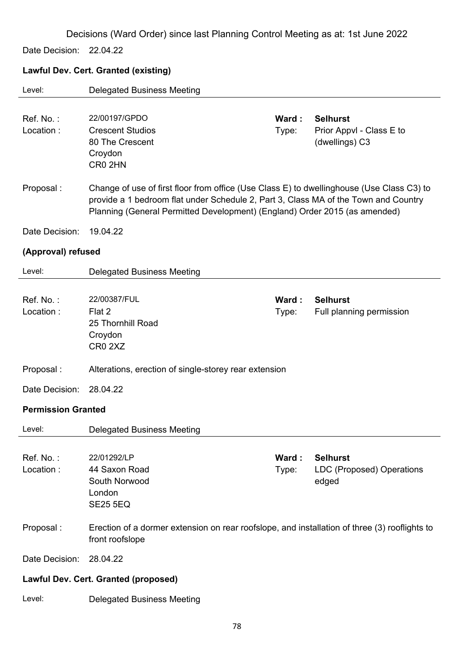Date Decision: 22.04.22

### **Lawful Dev. Cert. Granted (existing)**

| Level:                               | <b>Delegated Business Meeting</b>                                                                                                                                                                                                                              |                |                                                               |
|--------------------------------------|----------------------------------------------------------------------------------------------------------------------------------------------------------------------------------------------------------------------------------------------------------------|----------------|---------------------------------------------------------------|
| Ref. No.:<br>Location:               | 22/00197/GPDO<br><b>Crescent Studios</b><br>80 The Crescent<br>Croydon<br>CR0 2HN                                                                                                                                                                              | Ward:<br>Type: | <b>Selhurst</b><br>Prior Appvl - Class E to<br>(dwellings) C3 |
| Proposal:                            | Change of use of first floor from office (Use Class E) to dwellinghouse (Use Class C3) to<br>provide a 1 bedroom flat under Schedule 2, Part 3, Class MA of the Town and Country<br>Planning (General Permitted Development) (England) Order 2015 (as amended) |                |                                                               |
| Date Decision:                       | 19.04.22                                                                                                                                                                                                                                                       |                |                                                               |
| (Approval) refused                   |                                                                                                                                                                                                                                                                |                |                                                               |
| Level:                               | <b>Delegated Business Meeting</b>                                                                                                                                                                                                                              |                |                                                               |
| Ref. No.:<br>Location:               | 22/00387/FUL<br>Flat 2<br>25 Thornhill Road<br>Croydon<br>CR <sub>0</sub> 2XZ                                                                                                                                                                                  | Ward:<br>Type: | <b>Selhurst</b><br>Full planning permission                   |
| Proposal:                            | Alterations, erection of single-storey rear extension                                                                                                                                                                                                          |                |                                                               |
| Date Decision:                       | 28.04.22                                                                                                                                                                                                                                                       |                |                                                               |
| <b>Permission Granted</b>            |                                                                                                                                                                                                                                                                |                |                                                               |
| Level:                               | <b>Delegated Business Meeting</b>                                                                                                                                                                                                                              |                |                                                               |
| Ref. No.:<br>Location:               | 22/01292/LP<br>44 Saxon Road<br>South Norwood<br>London<br><b>SE25 5EQ</b>                                                                                                                                                                                     | Ward:<br>Type: | <b>Selhurst</b><br>LDC (Proposed) Operations<br>edged         |
| Proposal:                            | Erection of a dormer extension on rear roofslope, and installation of three (3) rooflights to<br>front roofslope                                                                                                                                               |                |                                                               |
| Date Decision:                       | 28.04.22                                                                                                                                                                                                                                                       |                |                                                               |
| Lawful Dev. Cert. Granted (proposed) |                                                                                                                                                                                                                                                                |                |                                                               |
| Level:                               | <b>Delegated Business Meeting</b>                                                                                                                                                                                                                              |                |                                                               |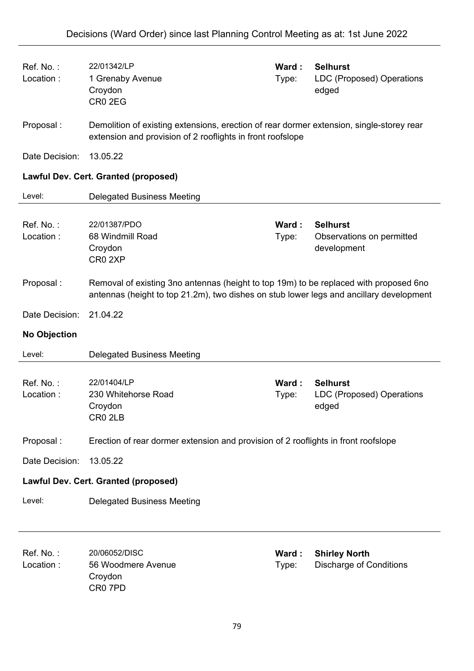| Ref. No.:<br>Location:                      | 22/01342/LP<br>1 Grenaby Avenue<br>Croydon<br>CR <sub>0</sub> 2EG                                                                                                                | Ward:<br>Type: | <b>Selhurst</b><br><b>LDC (Proposed) Operations</b><br>edged |  |
|---------------------------------------------|----------------------------------------------------------------------------------------------------------------------------------------------------------------------------------|----------------|--------------------------------------------------------------|--|
| Proposal:                                   | Demolition of existing extensions, erection of rear dormer extension, single-storey rear<br>extension and provision of 2 rooflights in front roofslope                           |                |                                                              |  |
| Date Decision:                              | 13.05.22                                                                                                                                                                         |                |                                                              |  |
|                                             | <b>Lawful Dev. Cert. Granted (proposed)</b>                                                                                                                                      |                |                                                              |  |
| Level:                                      | <b>Delegated Business Meeting</b>                                                                                                                                                |                |                                                              |  |
| Ref. No.:<br>Location:                      | 22/01387/PDO<br>68 Windmill Road<br>Croydon<br>CR0 2XP                                                                                                                           | Ward:<br>Type: | <b>Selhurst</b><br>Observations on permitted<br>development  |  |
| Proposal:                                   | Removal of existing 3no antennas (height to top 19m) to be replaced with proposed 6no<br>antennas (height to top 21.2m), two dishes on stub lower legs and ancillary development |                |                                                              |  |
| Date Decision:                              | 21.04.22                                                                                                                                                                         |                |                                                              |  |
| <b>No Objection</b>                         |                                                                                                                                                                                  |                |                                                              |  |
| Level:                                      | <b>Delegated Business Meeting</b>                                                                                                                                                |                |                                                              |  |
| Ref. No.:<br>Location:                      | 22/01404/LP<br>230 Whitehorse Road<br>Croydon<br>CR0 2LB                                                                                                                         | Ward:<br>Type: | <b>Selhurst</b><br>LDC (Proposed) Operations<br>edged        |  |
| Proposal:                                   | Erection of rear dormer extension and provision of 2 rooflights in front roofslope                                                                                               |                |                                                              |  |
| Date Decision:                              | 13.05.22                                                                                                                                                                         |                |                                                              |  |
| <b>Lawful Dev. Cert. Granted (proposed)</b> |                                                                                                                                                                                  |                |                                                              |  |
| Level:                                      | <b>Delegated Business Meeting</b>                                                                                                                                                |                |                                                              |  |
| Ref. No.:<br>Location:                      | 20/06052/DISC<br>56 Woodmere Avenue                                                                                                                                              | Ward:<br>Type: | <b>Shirley North</b><br><b>Discharge of Conditions</b>       |  |

**Croydon** CR0 7PD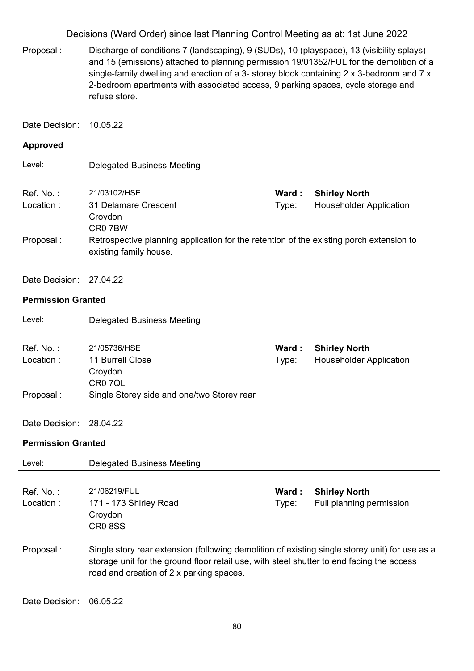Proposal : Discharge of conditions 7 (landscaping), 9 (SUDs), 10 (playspace), 13 (visibility splays) and 15 (emissions) attached to planning permission 19/01352/FUL for the demolition of a single-family dwelling and erection of a 3- storey block containing 2 x 3-bedroom and 7 x 2-bedroom apartments with associated access, 9 parking spaces, cycle storage and refuse store.

Date Decision: 10.05.22

#### **Approved**

| Level:     | Delegated Business Meeting                                                                                        |        |                                |
|------------|-------------------------------------------------------------------------------------------------------------------|--------|--------------------------------|
|            |                                                                                                                   |        |                                |
| Ref. No. : | 21/03102/HSE                                                                                                      | Ward : | <b>Shirley North</b>           |
| Location:  | 31 Delamare Crescent<br>Croydon<br>CR <sub>0</sub> 7BW                                                            | Type:  | <b>Householder Application</b> |
| Proposal : | Retrospective planning application for the retention of the existing porch extension to<br>existing family house. |        |                                |

Date Decision: 27.04.22

#### **Permission Granted**

| Level:                    | <b>Delegated Business Meeting</b>                                                              |        |                                |
|---------------------------|------------------------------------------------------------------------------------------------|--------|--------------------------------|
|                           |                                                                                                |        |                                |
| Ref. No.:                 | 21/05736/HSE                                                                                   | Ward : | <b>Shirley North</b>           |
| Location:                 | 11 Burrell Close                                                                               | Type:  | <b>Householder Application</b> |
|                           | Croydon                                                                                        |        |                                |
|                           | CR0 7QL                                                                                        |        |                                |
| Proposal:                 | Single Storey side and one/two Storey rear                                                     |        |                                |
|                           |                                                                                                |        |                                |
| Date Decision:            | 28.04.22                                                                                       |        |                                |
| <b>Permission Granted</b> |                                                                                                |        |                                |
|                           |                                                                                                |        |                                |
| Level:                    | <b>Delegated Business Meeting</b>                                                              |        |                                |
|                           |                                                                                                |        |                                |
| Ref. No.:                 | 21/06219/FUL                                                                                   | Ward:  | <b>Shirley North</b>           |
| Location:                 | 171 - 173 Shirley Road                                                                         | Type:  | Full planning permission       |
|                           | Croydon                                                                                        |        |                                |
|                           | <b>CR08SS</b>                                                                                  |        |                                |
|                           |                                                                                                |        |                                |
| Proposal:                 | Single story rear extension (following demolition of existing single storey unit) for use as a |        |                                |
|                           | storage unit for the ground floor retail use, with steel shutter to end facing the access      |        |                                |
|                           | road and creation of 2 x parking spaces.                                                       |        |                                |

Date Decision: 06.05.22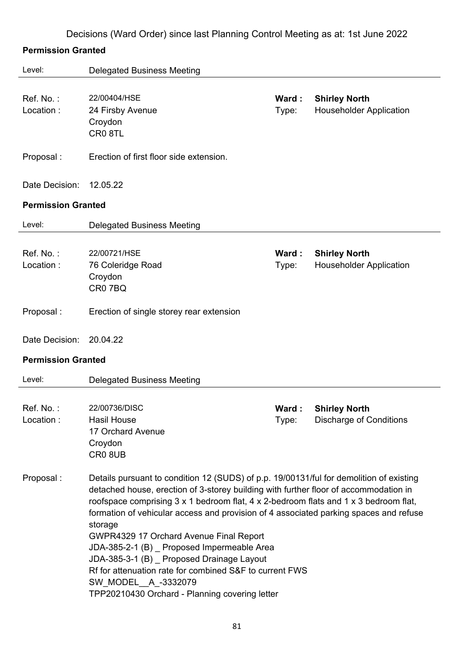|  |  | Decisions (Ward Order) since last Planning Control Meeting as at: 1st June 2022 |
|--|--|---------------------------------------------------------------------------------|
|  |  |                                                                                 |

### **Permission Granted**

| Level:                    | <b>Delegated Business Meeting</b>                                                                                                                                                                                                                                                                                                                                                                                                                                                                                                                                                                                                                    |                |                                                        |
|---------------------------|------------------------------------------------------------------------------------------------------------------------------------------------------------------------------------------------------------------------------------------------------------------------------------------------------------------------------------------------------------------------------------------------------------------------------------------------------------------------------------------------------------------------------------------------------------------------------------------------------------------------------------------------------|----------------|--------------------------------------------------------|
| Ref. No.:<br>Location:    | 22/00404/HSE<br>24 Firsby Avenue<br>Croydon<br>CR08TL                                                                                                                                                                                                                                                                                                                                                                                                                                                                                                                                                                                                | Ward:<br>Type: | <b>Shirley North</b><br><b>Householder Application</b> |
| Proposal:                 | Erection of first floor side extension.                                                                                                                                                                                                                                                                                                                                                                                                                                                                                                                                                                                                              |                |                                                        |
| Date Decision:            | 12.05.22                                                                                                                                                                                                                                                                                                                                                                                                                                                                                                                                                                                                                                             |                |                                                        |
| <b>Permission Granted</b> |                                                                                                                                                                                                                                                                                                                                                                                                                                                                                                                                                                                                                                                      |                |                                                        |
| Level:                    | <b>Delegated Business Meeting</b>                                                                                                                                                                                                                                                                                                                                                                                                                                                                                                                                                                                                                    |                |                                                        |
| Ref. No.:<br>Location:    | 22/00721/HSE<br>76 Coleridge Road<br>Croydon<br>CR07BQ                                                                                                                                                                                                                                                                                                                                                                                                                                                                                                                                                                                               | Ward:<br>Type: | <b>Shirley North</b><br><b>Householder Application</b> |
| Proposal:                 | Erection of single storey rear extension                                                                                                                                                                                                                                                                                                                                                                                                                                                                                                                                                                                                             |                |                                                        |
| Date Decision:            | 20.04.22                                                                                                                                                                                                                                                                                                                                                                                                                                                                                                                                                                                                                                             |                |                                                        |
| <b>Permission Granted</b> |                                                                                                                                                                                                                                                                                                                                                                                                                                                                                                                                                                                                                                                      |                |                                                        |
| Level:                    | <b>Delegated Business Meeting</b>                                                                                                                                                                                                                                                                                                                                                                                                                                                                                                                                                                                                                    |                |                                                        |
| Ref. No.:<br>Location:    | 22/00736/DISC<br><b>Hasil House</b><br>17 Orchard Avenue<br>Croydon<br>CR08UB                                                                                                                                                                                                                                                                                                                                                                                                                                                                                                                                                                        | Ward:<br>Type: | <b>Shirley North</b><br><b>Discharge of Conditions</b> |
| Proposal:                 | Details pursuant to condition 12 (SUDS) of p.p. 19/00131/ful for demolition of existing<br>detached house, erection of 3-storey building with further floor of accommodation in<br>roofspace comprising 3 x 1 bedroom flat, 4 x 2-bedroom flats and 1 x 3 bedroom flat,<br>formation of vehicular access and provision of 4 associated parking spaces and refuse<br>storage<br>GWPR4329 17 Orchard Avenue Final Report<br>JDA-385-2-1 (B) Proposed Impermeable Area<br>JDA-385-3-1 (B) Proposed Drainage Layout<br>Rf for attenuation rate for combined S&F to current FWS<br>SW_MODEL__A_-3332079<br>TPP20210430 Orchard - Planning covering letter |                |                                                        |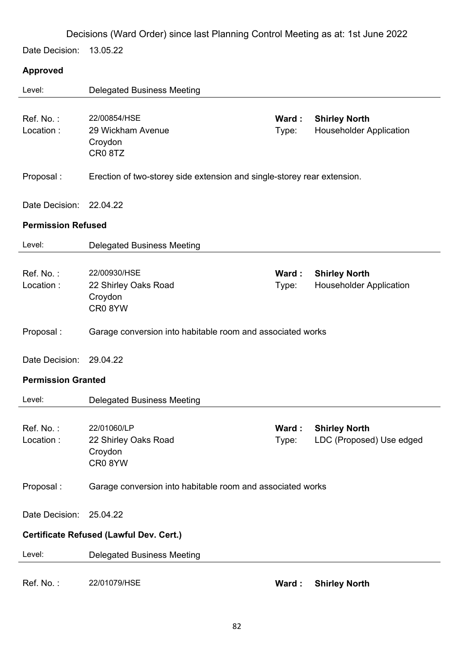Date Decision: 13.05.22

### **Approved**

| Level:                    | <b>Delegated Business Meeting</b>                                       |                |                                                        |
|---------------------------|-------------------------------------------------------------------------|----------------|--------------------------------------------------------|
| Ref. No.:<br>Location:    | 22/00854/HSE<br>29 Wickham Avenue<br>Croydon<br>CR08TZ                  | Ward:<br>Type: | <b>Shirley North</b><br><b>Householder Application</b> |
| Proposal:                 | Erection of two-storey side extension and single-storey rear extension. |                |                                                        |
| Date Decision:            | 22.04.22                                                                |                |                                                        |
| <b>Permission Refused</b> |                                                                         |                |                                                        |
| Level:                    | <b>Delegated Business Meeting</b>                                       |                |                                                        |
| Ref. No.:<br>Location:    | 22/00930/HSE<br>22 Shirley Oaks Road<br>Croydon<br>CR08YW               | Ward:<br>Type: | <b>Shirley North</b><br><b>Householder Application</b> |
| Proposal:                 | Garage conversion into habitable room and associated works              |                |                                                        |
| Date Decision:            | 29.04.22                                                                |                |                                                        |
| <b>Permission Granted</b> |                                                                         |                |                                                        |
| Level:                    | <b>Delegated Business Meeting</b>                                       |                |                                                        |
| Ref. No.:<br>Location :   | 22/01060/LP<br>22 Shirley Oaks Road<br>Croydon<br>CR08YW                | Ward:<br>Type: | <b>Shirley North</b><br>LDC (Proposed) Use edged       |
| Proposal:                 | Garage conversion into habitable room and associated works              |                |                                                        |
| Date Decision:            | 25.04.22                                                                |                |                                                        |
|                           | Certificate Refused (Lawful Dev. Cert.)                                 |                |                                                        |
| Level:                    | <b>Delegated Business Meeting</b>                                       |                |                                                        |
| Ref. No.:                 | 22/01079/HSE                                                            | Ward:          | <b>Shirley North</b>                                   |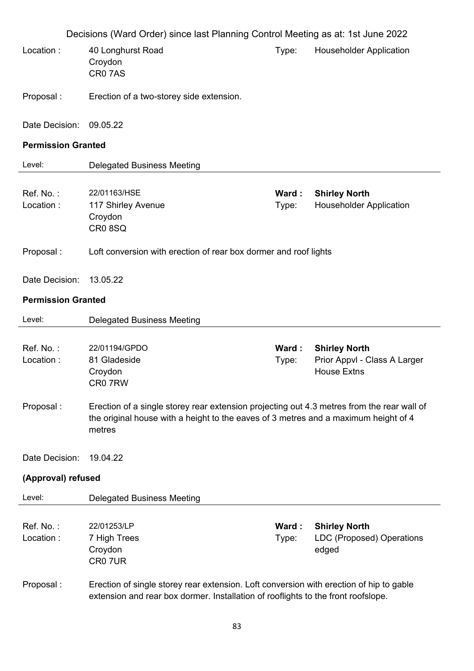|                           | Decisions (Ward Order) since last Planning Control Meeting as at: 1st June 2022                                                                                                             |                |                                                                            |
|---------------------------|---------------------------------------------------------------------------------------------------------------------------------------------------------------------------------------------|----------------|----------------------------------------------------------------------------|
| Location:                 | 40 Longhurst Road<br>Croydon<br>CR07AS                                                                                                                                                      | Type:          | <b>Householder Application</b>                                             |
| Proposal:                 | Erection of a two-storey side extension.                                                                                                                                                    |                |                                                                            |
| Date Decision:            | 09.05.22                                                                                                                                                                                    |                |                                                                            |
| <b>Permission Granted</b> |                                                                                                                                                                                             |                |                                                                            |
| Level:                    | <b>Delegated Business Meeting</b>                                                                                                                                                           |                |                                                                            |
| Ref. No.:<br>Location:    | 22/01163/HSE<br>117 Shirley Avenue<br>Croydon<br>CR08SQ                                                                                                                                     | Ward:<br>Type: | <b>Shirley North</b><br><b>Householder Application</b>                     |
| Proposal:                 | Loft conversion with erection of rear box dormer and roof lights                                                                                                                            |                |                                                                            |
| Date Decision:            | 13.05.22                                                                                                                                                                                    |                |                                                                            |
| <b>Permission Granted</b> |                                                                                                                                                                                             |                |                                                                            |
| Level:                    | <b>Delegated Business Meeting</b>                                                                                                                                                           |                |                                                                            |
| Ref. No.:<br>Location:    | 22/01194/GPDO<br>81 Gladeside<br>Croydon<br>CR07RW                                                                                                                                          | Ward:<br>Type: | <b>Shirley North</b><br>Prior Appvl - Class A Larger<br><b>House Extns</b> |
| Proposal:                 | Erection of a single storey rear extension projecting out 4.3 metres from the rear wall of<br>the original house with a height to the eaves of 3 metres and a maximum height of 4<br>metres |                |                                                                            |
| Date Decision:            | 19.04.22                                                                                                                                                                                    |                |                                                                            |
| (Approval) refused        |                                                                                                                                                                                             |                |                                                                            |
| Level:                    | <b>Delegated Business Meeting</b>                                                                                                                                                           |                |                                                                            |
| Ref. No.:<br>Location:    | 22/01253/LP<br>7 High Trees<br>Croydon<br>CR07UR                                                                                                                                            | Ward:<br>Type: | <b>Shirley North</b><br>LDC (Proposed) Operations<br>edged                 |
| Proposal:                 | Erection of single storey rear extension. Loft conversion with erection of hip to gable<br>extension and rear box dormer. Installation of rooflights to the front roofslope.                |                |                                                                            |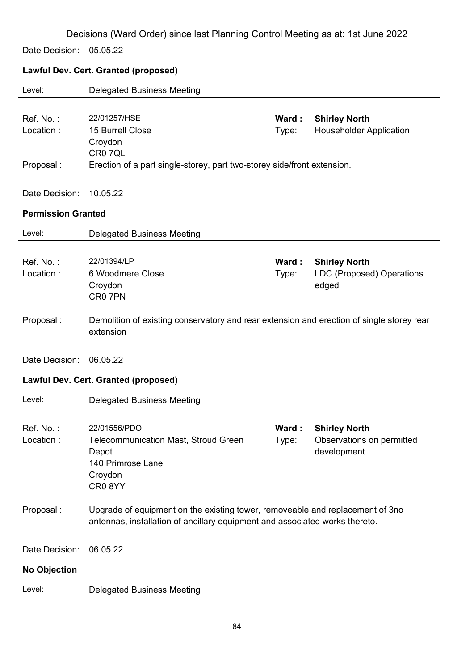Date Decision: 05.05.22

## **Lawful Dev. Cert. Granted (proposed)**

| Level:                    | <b>Delegated Business Meeting</b>                                                                                                                            |                |                                                                   |
|---------------------------|--------------------------------------------------------------------------------------------------------------------------------------------------------------|----------------|-------------------------------------------------------------------|
| Ref. No.:<br>Location:    | 22/01257/HSE<br>15 Burrell Close<br>Croydon                                                                                                                  | Ward:<br>Type: | <b>Shirley North</b><br><b>Householder Application</b>            |
| Proposal:                 | CR0 7QL<br>Erection of a part single-storey, part two-storey side/front extension.                                                                           |                |                                                                   |
| Date Decision:            | 10.05.22                                                                                                                                                     |                |                                                                   |
| <b>Permission Granted</b> |                                                                                                                                                              |                |                                                                   |
| Level:                    | <b>Delegated Business Meeting</b>                                                                                                                            |                |                                                                   |
| Ref. No.:<br>Location:    | 22/01394/LP<br>6 Woodmere Close<br>Croydon<br>CR0 7PN                                                                                                        | Ward:<br>Type: | <b>Shirley North</b><br><b>LDC (Proposed) Operations</b><br>edged |
| Proposal:                 | Demolition of existing conservatory and rear extension and erection of single storey rear<br>extension                                                       |                |                                                                   |
| Date Decision:            | 06.05.22                                                                                                                                                     |                |                                                                   |
|                           | <b>Lawful Dev. Cert. Granted (proposed)</b>                                                                                                                  |                |                                                                   |
| Level:                    | <b>Delegated Business Meeting</b>                                                                                                                            |                |                                                                   |
| Ref. No.:<br>Location:    | 22/01556/PDO<br>Telecommunication Mast, Stroud Green<br>Depot<br>140 Primrose Lane<br>Croydon<br>CR08YY                                                      | Ward:<br>Type: | <b>Shirley North</b><br>Observations on permitted<br>development  |
| Proposal:                 | Upgrade of equipment on the existing tower, removeable and replacement of 3no<br>antennas, installation of ancillary equipment and associated works thereto. |                |                                                                   |
| Date Decision:            | 06.05.22                                                                                                                                                     |                |                                                                   |
| <b>No Objection</b>       |                                                                                                                                                              |                |                                                                   |
| Level:                    | <b>Delegated Business Meeting</b>                                                                                                                            |                |                                                                   |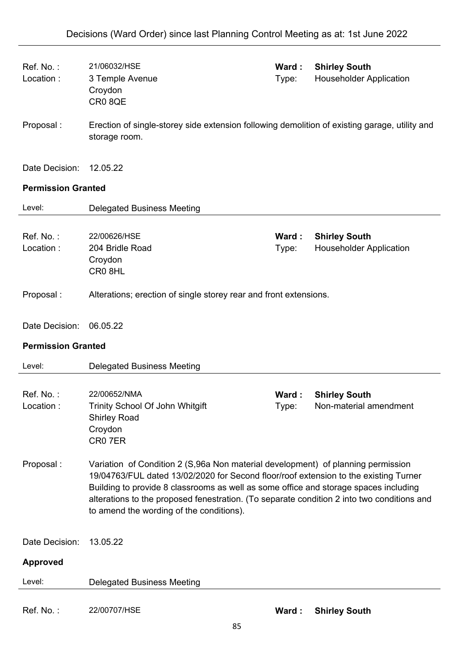| Ref. No.:<br>Location:    | 21/06032/HSE<br>3 Temple Avenue<br>Croydon<br>CR08QE                                                                                                                                                                                                                                                                                                                                                       | Ward:<br>Type: | <b>Shirley South</b><br><b>Householder Application</b> |
|---------------------------|------------------------------------------------------------------------------------------------------------------------------------------------------------------------------------------------------------------------------------------------------------------------------------------------------------------------------------------------------------------------------------------------------------|----------------|--------------------------------------------------------|
| Proposal:                 | Erection of single-storey side extension following demolition of existing garage, utility and<br>storage room.                                                                                                                                                                                                                                                                                             |                |                                                        |
| Date Decision:            | 12.05.22                                                                                                                                                                                                                                                                                                                                                                                                   |                |                                                        |
| <b>Permission Granted</b> |                                                                                                                                                                                                                                                                                                                                                                                                            |                |                                                        |
| Level:                    | <b>Delegated Business Meeting</b>                                                                                                                                                                                                                                                                                                                                                                          |                |                                                        |
| Ref. No.:<br>Location:    | 22/00626/HSE<br>204 Bridle Road<br>Croydon<br>CR08HL                                                                                                                                                                                                                                                                                                                                                       | Ward:<br>Type: | <b>Shirley South</b><br><b>Householder Application</b> |
| Proposal:                 | Alterations; erection of single storey rear and front extensions.                                                                                                                                                                                                                                                                                                                                          |                |                                                        |
| Date Decision:            | 06.05.22                                                                                                                                                                                                                                                                                                                                                                                                   |                |                                                        |
|                           |                                                                                                                                                                                                                                                                                                                                                                                                            |                |                                                        |
| <b>Permission Granted</b> |                                                                                                                                                                                                                                                                                                                                                                                                            |                |                                                        |
| Level:                    | <b>Delegated Business Meeting</b>                                                                                                                                                                                                                                                                                                                                                                          |                |                                                        |
| Ref. No.:<br>Location:    | 22/00652/NMA<br>Trinity School Of John Whitgift<br><b>Shirley Road</b><br>Croydon<br>CR07ER                                                                                                                                                                                                                                                                                                                | Ward:<br>Type: | <b>Shirley South</b><br>Non-material amendment         |
| Proposal:                 | Variation of Condition 2 (S,96a Non material development) of planning permission<br>19/04763/FUL dated 13/02/2020 for Second floor/roof extension to the existing Turner<br>Building to provide 8 classrooms as well as some office and storage spaces including<br>alterations to the proposed fenestration. (To separate condition 2 into two conditions and<br>to amend the wording of the conditions). |                |                                                        |
| Date Decision:            | 13.05.22                                                                                                                                                                                                                                                                                                                                                                                                   |                |                                                        |
| <b>Approved</b>           |                                                                                                                                                                                                                                                                                                                                                                                                            |                |                                                        |
| Level:                    | <b>Delegated Business Meeting</b>                                                                                                                                                                                                                                                                                                                                                                          |                |                                                        |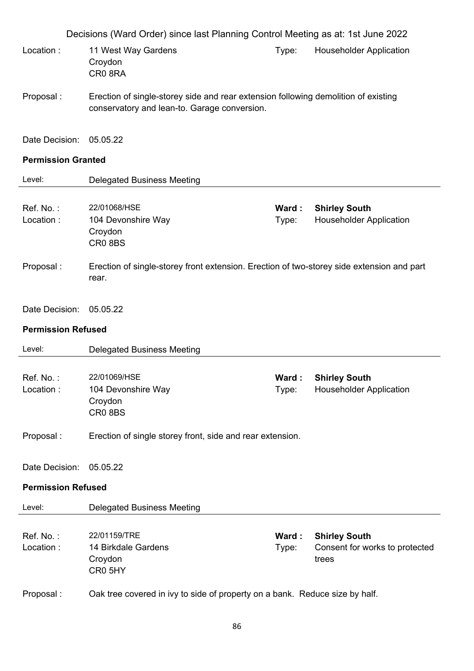Decisions (Ward Order) since last Planning Control Meeting as at: 1st June 2022 Location : 11 West Way Gardens Croydon CR0 8RA Type: Householder Application Proposal : Erection of single-storey side and rear extension following demolition of existing conservatory and lean-to. Garage conversion. Date Decision: 05.05.22 **Permission Granted**  Level: Delegated Business Meeting Ref. No. : 22/01068/HSE **Ward : Shirley South** Location : 104 Devonshire Way Croydon CR0 8BS Type: Householder Application Proposal : Erection of single-storey front extension. Erection of two-storey side extension and part rear. Date Decision: 05.05.22 **Permission Refused**  Level: Delegated Business Meeting Ref. No. : 22/01069/HSE **Ward : Shirley South** Location : 104 Devonshire Way Croydon CR0 8BS Type: Householder Application Proposal : Erection of single storey front, side and rear extension. Date Decision: 05.05.22 **Permission Refused**  Level: Delegated Business Meeting Ref. No. : 22/01159/TRE **Ward : Shirley South** Location : 14 Birkdale Gardens Croydon CR0 5HY Type: Consent for works to protected trees Proposal : Oak tree covered in ivy to side of property on a bank. Reduce size by half.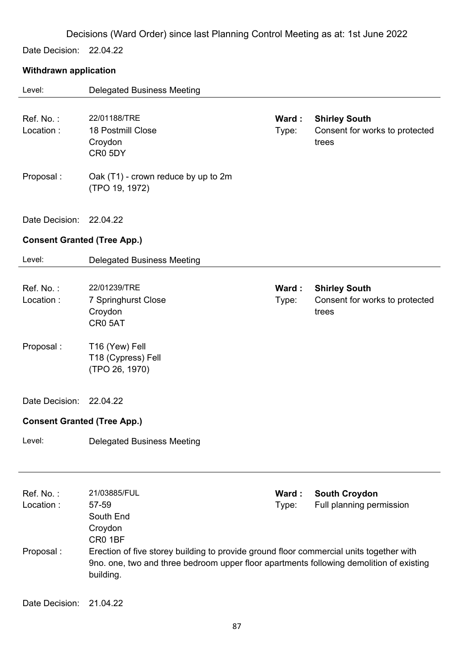Date Decision: 22.04.22

### **Withdrawn application**

| Level:                             | <b>Delegated Business Meeting</b>                                                                                                                                                               |                |                                                                 |
|------------------------------------|-------------------------------------------------------------------------------------------------------------------------------------------------------------------------------------------------|----------------|-----------------------------------------------------------------|
| Ref. No.:<br>Location:             | 22/01188/TRE<br>18 Postmill Close<br>Croydon<br>CR0 5DY                                                                                                                                         | Ward:<br>Type: | <b>Shirley South</b><br>Consent for works to protected<br>trees |
| Proposal:                          | Oak (T1) - crown reduce by up to 2m<br>(TPO 19, 1972)                                                                                                                                           |                |                                                                 |
| Date Decision:                     | 22.04.22                                                                                                                                                                                        |                |                                                                 |
| <b>Consent Granted (Tree App.)</b> |                                                                                                                                                                                                 |                |                                                                 |
| Level:                             | <b>Delegated Business Meeting</b>                                                                                                                                                               |                |                                                                 |
| Ref. No.:<br>Location:             | 22/01239/TRE<br>7 Springhurst Close<br>Croydon<br>CR05AT                                                                                                                                        | Ward:<br>Type: | <b>Shirley South</b><br>Consent for works to protected<br>trees |
| Proposal:                          | T16 (Yew) Fell<br>T18 (Cypress) Fell<br>(TPO 26, 1970)                                                                                                                                          |                |                                                                 |
| Date Decision:                     | 22.04.22                                                                                                                                                                                        |                |                                                                 |
| <b>Consent Granted (Tree App.)</b> |                                                                                                                                                                                                 |                |                                                                 |
| Level:                             | <b>Delegated Business Meeting</b>                                                                                                                                                               |                |                                                                 |
| Ref. No.:<br>Location:             | 21/03885/FUL<br>57-59<br>South End<br>Croydon<br>CR0 1BF                                                                                                                                        | Ward:<br>Type: | <b>South Croydon</b><br>Full planning permission                |
| Proposal:                          | Erection of five storey building to provide ground floor commercial units together with<br>9no. one, two and three bedroom upper floor apartments following demolition of existing<br>building. |                |                                                                 |
| Date Decision:                     | 21.04.22                                                                                                                                                                                        |                |                                                                 |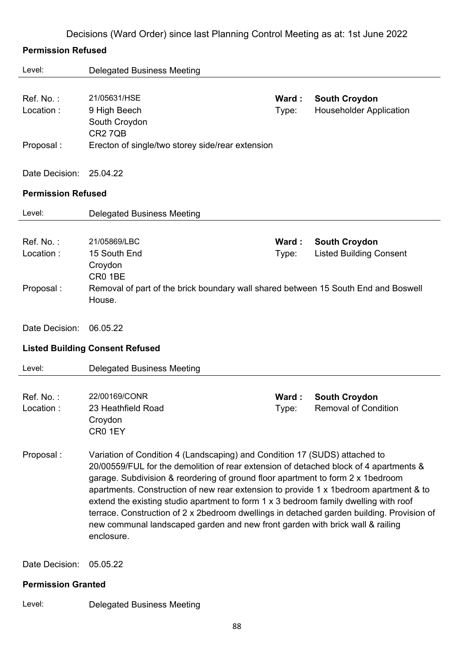### **Permission Refused**

| Level:                              | <b>Delegated Business Meeting</b>                                                                                                                                                                                                                                                                                                                                                                                                                                                                                                                                                                                                    |                |                                                        |  |
|-------------------------------------|--------------------------------------------------------------------------------------------------------------------------------------------------------------------------------------------------------------------------------------------------------------------------------------------------------------------------------------------------------------------------------------------------------------------------------------------------------------------------------------------------------------------------------------------------------------------------------------------------------------------------------------|----------------|--------------------------------------------------------|--|
| Ref. No.:<br>Location:              | 21/05631/HSE<br>9 High Beech<br>South Croydon                                                                                                                                                                                                                                                                                                                                                                                                                                                                                                                                                                                        | Ward:<br>Type: | <b>South Croydon</b><br><b>Householder Application</b> |  |
| Proposal:                           | <b>CR27QB</b><br>Erecton of single/two storey side/rear extension                                                                                                                                                                                                                                                                                                                                                                                                                                                                                                                                                                    |                |                                                        |  |
| Date Decision:                      | 25.04.22                                                                                                                                                                                                                                                                                                                                                                                                                                                                                                                                                                                                                             |                |                                                        |  |
| <b>Permission Refused</b>           |                                                                                                                                                                                                                                                                                                                                                                                                                                                                                                                                                                                                                                      |                |                                                        |  |
| Level:                              | <b>Delegated Business Meeting</b>                                                                                                                                                                                                                                                                                                                                                                                                                                                                                                                                                                                                    |                |                                                        |  |
| Ref. No.:<br>Location:<br>Proposal: | 21/05869/LBC<br>15 South End<br>Croydon<br>CR0 1BE<br>Removal of part of the brick boundary wall shared between 15 South End and Boswell<br>House.                                                                                                                                                                                                                                                                                                                                                                                                                                                                                   | Ward:<br>Type: | <b>South Croydon</b><br><b>Listed Building Consent</b> |  |
| Date Decision:                      | 06.05.22                                                                                                                                                                                                                                                                                                                                                                                                                                                                                                                                                                                                                             |                |                                                        |  |
|                                     | <b>Listed Building Consent Refused</b>                                                                                                                                                                                                                                                                                                                                                                                                                                                                                                                                                                                               |                |                                                        |  |
| Level:                              | <b>Delegated Business Meeting</b>                                                                                                                                                                                                                                                                                                                                                                                                                                                                                                                                                                                                    |                |                                                        |  |
| Ref. No.:<br>Location:              | 22/00169/CONR<br>23 Heathfield Road<br>Croydon<br>CR0 1EY                                                                                                                                                                                                                                                                                                                                                                                                                                                                                                                                                                            | Ward:<br>Type: | <b>South Croydon</b><br><b>Removal of Condition</b>    |  |
| Proposal:                           | Variation of Condition 4 (Landscaping) and Condition 17 (SUDS) attached to<br>20/00559/FUL for the demolition of rear extension of detached block of 4 apartments &<br>garage. Subdivision & reordering of ground floor apartment to form 2 x 1 bedroom<br>apartments. Construction of new rear extension to provide 1 x 1bedroom apartment & to<br>extend the existing studio apartment to form 1 x 3 bedroom family dwelling with roof<br>terrace. Construction of 2 x 2bedroom dwellings in detached garden building. Provision of<br>new communal landscaped garden and new front garden with brick wall & railing<br>enclosure. |                |                                                        |  |
| Date Decision:                      |                                                                                                                                                                                                                                                                                                                                                                                                                                                                                                                                                                                                                                      |                |                                                        |  |
|                                     | 05.05.22                                                                                                                                                                                                                                                                                                                                                                                                                                                                                                                                                                                                                             |                |                                                        |  |
| <b>Permission Granted</b>           |                                                                                                                                                                                                                                                                                                                                                                                                                                                                                                                                                                                                                                      |                |                                                        |  |

Level: Delegated Business Meeting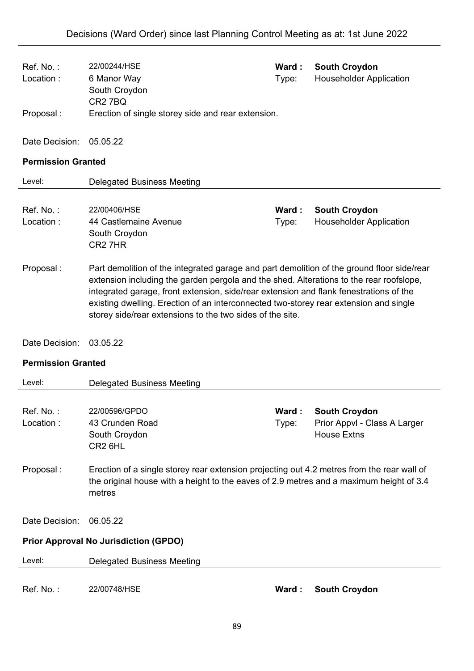| Ref. No.:<br>Location:                                                                                                                                                                                                                                                                                                                                                                                                                             | 22/00244/HSE<br>6 Manor Way<br>South Croydon<br>CR <sub>2</sub> 7BQ                                                                                                                             | Ward:<br>Type: | <b>South Croydon</b><br><b>Householder Application</b>                     |  |
|----------------------------------------------------------------------------------------------------------------------------------------------------------------------------------------------------------------------------------------------------------------------------------------------------------------------------------------------------------------------------------------------------------------------------------------------------|-------------------------------------------------------------------------------------------------------------------------------------------------------------------------------------------------|----------------|----------------------------------------------------------------------------|--|
| Proposal:                                                                                                                                                                                                                                                                                                                                                                                                                                          | Erection of single storey side and rear extension.                                                                                                                                              |                |                                                                            |  |
| Date Decision:                                                                                                                                                                                                                                                                                                                                                                                                                                     | 05.05.22                                                                                                                                                                                        |                |                                                                            |  |
| <b>Permission Granted</b>                                                                                                                                                                                                                                                                                                                                                                                                                          |                                                                                                                                                                                                 |                |                                                                            |  |
| Level:                                                                                                                                                                                                                                                                                                                                                                                                                                             | <b>Delegated Business Meeting</b>                                                                                                                                                               |                |                                                                            |  |
| Ref. No.:<br>Location:                                                                                                                                                                                                                                                                                                                                                                                                                             | 22/00406/HSE<br>44 Castlemaine Avenue<br>South Croydon<br>CR <sub>2</sub> 7HR                                                                                                                   | Ward:<br>Type: | <b>South Croydon</b><br><b>Householder Application</b>                     |  |
| Proposal:<br>Part demolition of the integrated garage and part demolition of the ground floor side/rear<br>extension including the garden pergola and the shed. Alterations to the rear roofslope,<br>integrated garage, front extension, side/rear extension and flank fenestrations of the<br>existing dwelling. Erection of an interconnected two-storey rear extension and single<br>storey side/rear extensions to the two sides of the site. |                                                                                                                                                                                                 |                |                                                                            |  |
| Date Decision:                                                                                                                                                                                                                                                                                                                                                                                                                                     | 03.05.22                                                                                                                                                                                        |                |                                                                            |  |
| <b>Permission Granted</b>                                                                                                                                                                                                                                                                                                                                                                                                                          |                                                                                                                                                                                                 |                |                                                                            |  |
| Level:                                                                                                                                                                                                                                                                                                                                                                                                                                             | <b>Delegated Business Meeting</b>                                                                                                                                                               |                |                                                                            |  |
| Ref. No.:<br>Location:                                                                                                                                                                                                                                                                                                                                                                                                                             | 22/00596/GPDO<br>43 Crunden Road<br>South Croydon<br>CR <sub>2</sub> 6HL                                                                                                                        | Ward:<br>Type: | <b>South Croydon</b><br>Prior Appvl - Class A Larger<br><b>House Extns</b> |  |
| Proposal:                                                                                                                                                                                                                                                                                                                                                                                                                                          | Erection of a single storey rear extension projecting out 4.2 metres from the rear wall of<br>the original house with a height to the eaves of 2.9 metres and a maximum height of 3.4<br>metres |                |                                                                            |  |
| Date Decision:                                                                                                                                                                                                                                                                                                                                                                                                                                     | 06.05.22                                                                                                                                                                                        |                |                                                                            |  |
|                                                                                                                                                                                                                                                                                                                                                                                                                                                    | <b>Prior Approval No Jurisdiction (GPDO)</b>                                                                                                                                                    |                |                                                                            |  |
| Level:                                                                                                                                                                                                                                                                                                                                                                                                                                             | <b>Delegated Business Meeting</b>                                                                                                                                                               |                |                                                                            |  |
| Ref. No.:                                                                                                                                                                                                                                                                                                                                                                                                                                          | 22/00748/HSE                                                                                                                                                                                    | Ward:          | <b>South Croydon</b>                                                       |  |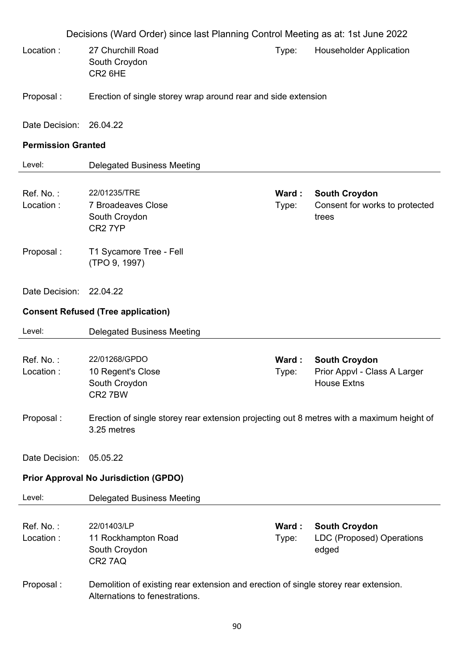|                           | Decisions (Ward Order) since last Planning Control Meeting as at: 1st June 2022                                       |                |                                                                     |
|---------------------------|-----------------------------------------------------------------------------------------------------------------------|----------------|---------------------------------------------------------------------|
| Location:                 | 27 Churchill Road<br>South Croydon<br>CR <sub>2</sub> 6HE                                                             | Type:          | <b>Householder Application</b>                                      |
| Proposal:                 | Erection of single storey wrap around rear and side extension                                                         |                |                                                                     |
| Date Decision:            | 26.04.22                                                                                                              |                |                                                                     |
| <b>Permission Granted</b> |                                                                                                                       |                |                                                                     |
| Level:                    | <b>Delegated Business Meeting</b>                                                                                     |                |                                                                     |
| Ref. No.:<br>Location:    | 22/01235/TRE<br><b>7 Broadeaves Close</b><br>South Croydon<br>CR <sub>2</sub> 7YP                                     | Ward:<br>Type: | <b>South Croydon</b><br>Consent for works to protected<br>trees     |
| Proposal:                 | T1 Sycamore Tree - Fell<br>(TPO 9, 1997)                                                                              |                |                                                                     |
| Date Decision:            | 22.04.22                                                                                                              |                |                                                                     |
|                           | <b>Consent Refused (Tree application)</b>                                                                             |                |                                                                     |
| Level:                    | <b>Delegated Business Meeting</b>                                                                                     |                |                                                                     |
| Ref. No.:<br>Location:    | 22/01268/GPDO<br>10 Regent's Close<br>South Croydon<br>CR27BW                                                         | Ward:<br>Type: | <b>South Croydon</b><br>Prior Appvl - Class A Larger<br>House Extns |
| Proposal:                 | Erection of single storey rear extension projecting out 8 metres with a maximum height of<br>3.25 metres              |                |                                                                     |
| Date Decision:            | 05.05.22                                                                                                              |                |                                                                     |
|                           | <b>Prior Approval No Jurisdiction (GPDO)</b>                                                                          |                |                                                                     |
| Level:                    | <b>Delegated Business Meeting</b>                                                                                     |                |                                                                     |
| Ref. No.:<br>Location:    | 22/01403/LP<br>11 Rockhampton Road<br>South Croydon<br>CR27AQ                                                         | Ward:<br>Type: | <b>South Croydon</b><br><b>LDC (Proposed) Operations</b><br>edged   |
| Proposal:                 | Demolition of existing rear extension and erection of single storey rear extension.<br>Alternations to fenestrations. |                |                                                                     |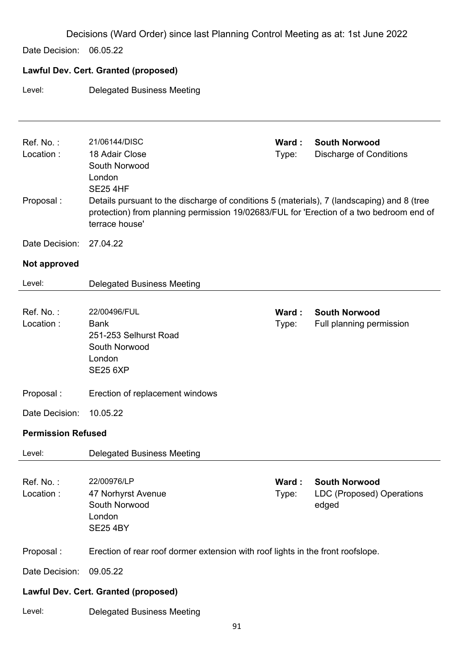Decisions (Ward Order) since last Planning Control Meeting as at: 1st June 2022 Date Decision: 06.05.22 **Lawful Dev. Cert. Granted (proposed)**  Level: Delegated Business Meeting Ref. No. : 21/06144/DISC **Ward : South Norwood** Location : 18 Adair Close South Norwood London SE25 4HF Type: Discharge of Conditions Proposal : Details pursuant to the discharge of conditions 5 (materials), 7 (landscaping) and 8 (tree protection) from planning permission 19/02683/FUL for 'Erection of a two bedroom end of terrace house' Date Decision: 27.04.22 **Not approved**  Level: Delegated Business Meeting Ref. No. : 22/00496/FUL **Ward : South Norwood** Location : Bank 251-253 Selhurst Road South Norwood London SE25 6XP Type: Full planning permission Proposal : Erection of replacement windows Date Decision: 10.05.22 **Permission Refused**  Level: Delegated Business Meeting

Ref. No. : 22/00976/LP **Ward : South Norwood** Location : 47 Norhyrst Avenue South Norwood London SE25 4BY Type: LDC (Proposed) Operations edged

### Proposal : Erection of rear roof dormer extension with roof lights in the front roofslope.

Date Decision: 09.05.22

### **Lawful Dev. Cert. Granted (proposed)**

Level: Delegated Business Meeting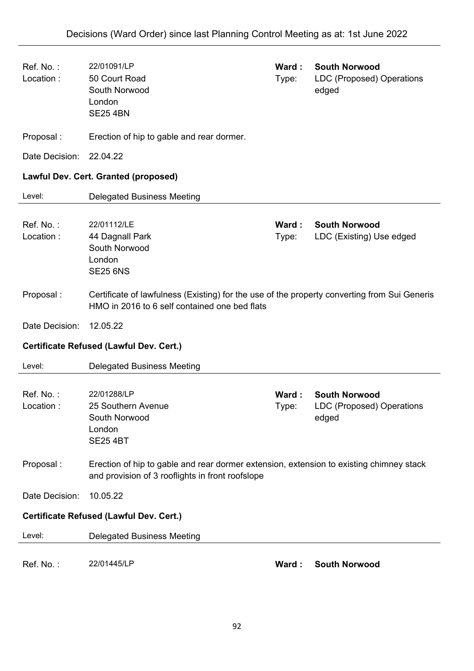| Ref. No.:<br>Location: | 22/01091/LP<br>50 Court Road<br>South Norwood<br>London<br><b>SE25 4BN</b>                                                                    | Ward:<br>Type:  | <b>South Norwood</b><br><b>LDC (Proposed) Operations</b><br>edged |
|------------------------|-----------------------------------------------------------------------------------------------------------------------------------------------|-----------------|-------------------------------------------------------------------|
| Proposal:              | Erection of hip to gable and rear dormer.                                                                                                     |                 |                                                                   |
| Date Decision:         | 22.04.22                                                                                                                                      |                 |                                                                   |
|                        | <b>Lawful Dev. Cert. Granted (proposed)</b>                                                                                                   |                 |                                                                   |
| Level:                 | <b>Delegated Business Meeting</b>                                                                                                             |                 |                                                                   |
| Ref. No.:<br>Location: | 22/01112/LE<br>44 Dagnall Park<br>South Norwood<br>London<br><b>SE25 6NS</b>                                                                  | Ward :<br>Type: | <b>South Norwood</b><br>LDC (Existing) Use edged                  |
| Proposal:              | Certificate of lawfulness (Existing) for the use of the property converting from Sui Generis<br>HMO in 2016 to 6 self contained one bed flats |                 |                                                                   |
|                        |                                                                                                                                               |                 |                                                                   |
| Date Decision:         | 12.05.22                                                                                                                                      |                 |                                                                   |
|                        | Certificate Refused (Lawful Dev. Cert.)                                                                                                       |                 |                                                                   |
| Level:                 | <b>Delegated Business Meeting</b>                                                                                                             |                 |                                                                   |
| Ref. No.:<br>Location: | 22/01288/LP<br>25 Southern Avenue<br>South Norwood<br>London<br><b>SE25 4BT</b>                                                               | Ward:<br>Type:  | <b>South Norwood</b><br><b>LDC (Proposed) Operations</b><br>edged |
| Proposal:              | Erection of hip to gable and rear dormer extension, extension to existing chimney stack<br>and provision of 3 rooflights in front roofslope   |                 |                                                                   |
| Date Decision:         | 10.05.22                                                                                                                                      |                 |                                                                   |
|                        | Certificate Refused (Lawful Dev. Cert.)                                                                                                       |                 |                                                                   |
| Level:                 | <b>Delegated Business Meeting</b>                                                                                                             |                 |                                                                   |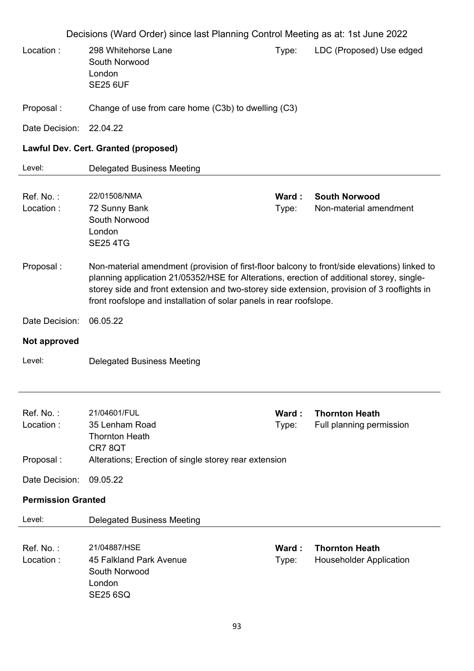Decisions (Ward Order) since last Planning Control Meeting as at: 1st June 2022 Location : 298 Whitehorse Lane South Norwood London SE25 6UF Type: LDC (Proposed) Use edged Proposal : Change of use from care home (C3b) to dwelling (C3) Date Decision: 22.04.22 **Lawful Dev. Cert. Granted (proposed)**  Level: Delegated Business Meeting Ref. No. : 22/01508/NMA **Ward : South Norwood** Location : 72 Sunny Bank South Norwood London SE25 4TG Type: Non-material amendment Proposal : Non-material amendment (provision of first-floor balcony to front/side elevations) linked to planning application 21/05352/HSE for Alterations, erection of additional storey, singlestorey side and front extension and two-storey side extension, provision of 3 rooflights in front roofslope and installation of solar panels in rear roofslope. Date Decision: 06.05.22 **Not approved**  Level: Delegated Business Meeting Ref. No. : 21/04601/FUL **Ward : Thornton Heath** Location : 35 Lenham Road Thornton Heath CR7 8QT Type: Full planning permission Proposal : Alterations; Erection of single storey rear extension Date Decision: 09.05.22 **Permission Granted**  Level: Delegated Business Meeting Ref. No. : 21/04887/HSE **Ward : Thornton Heath** Location : 45 Falkland Park Avenue South Norwood London SE25 6SQ Type: Householder Application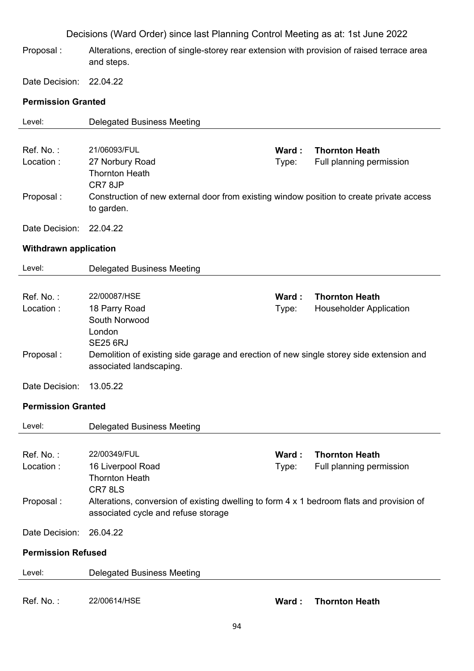- Proposal : Alterations, erection of single-storey rear extension with provision of raised terrace area and steps.
- Date Decision: 22.04.22

### **Permission Granted**

| Level:                       | <b>Delegated Business Meeting</b>                                                                                                |       |                                |
|------------------------------|----------------------------------------------------------------------------------------------------------------------------------|-------|--------------------------------|
|                              |                                                                                                                                  |       |                                |
| Ref. No.:                    | 21/06093/FUL                                                                                                                     | Ward: | <b>Thornton Heath</b>          |
| Location:                    | 27 Norbury Road                                                                                                                  | Type: | Full planning permission       |
|                              | <b>Thornton Heath</b>                                                                                                            |       |                                |
| Proposal:                    | CR78JP<br>Construction of new external door from existing window position to create private access                               |       |                                |
|                              | to garden.                                                                                                                       |       |                                |
|                              |                                                                                                                                  |       |                                |
| Date Decision:               | 22.04.22                                                                                                                         |       |                                |
| <b>Withdrawn application</b> |                                                                                                                                  |       |                                |
| Level:                       | <b>Delegated Business Meeting</b>                                                                                                |       |                                |
|                              |                                                                                                                                  |       |                                |
| Ref. No.:                    | 22/00087/HSE                                                                                                                     | Ward: | <b>Thornton Heath</b>          |
| Location:                    | 18 Parry Road                                                                                                                    | Type: | <b>Householder Application</b> |
|                              | South Norwood                                                                                                                    |       |                                |
|                              | London<br><b>SE25 6RJ</b>                                                                                                        |       |                                |
| Proposal:                    | Demolition of existing side garage and erection of new single storey side extension and                                          |       |                                |
|                              | associated landscaping.                                                                                                          |       |                                |
| Date Decision:               | 13.05.22                                                                                                                         |       |                                |
|                              |                                                                                                                                  |       |                                |
| <b>Permission Granted</b>    |                                                                                                                                  |       |                                |
| Level:                       | <b>Delegated Business Meeting</b>                                                                                                |       |                                |
|                              |                                                                                                                                  |       |                                |
| Ref. No.:                    | 22/00349/FUL                                                                                                                     | Ward: | <b>Thornton Heath</b>          |
| Location :                   | 16 Liverpool Road                                                                                                                | Type: | Full planning permission       |
|                              | <b>Thornton Heath</b>                                                                                                            |       |                                |
|                              | CR78LS                                                                                                                           |       |                                |
| Proposal:                    | Alterations, conversion of existing dwelling to form 4 x 1 bedroom flats and provision of<br>associated cycle and refuse storage |       |                                |
| Date Decision:               | 26.04.22                                                                                                                         |       |                                |
| <b>Permission Refused</b>    |                                                                                                                                  |       |                                |
| Level:                       | <b>Delegated Business Meeting</b>                                                                                                |       |                                |
|                              |                                                                                                                                  |       |                                |
| Ref. No.:                    | 22/00614/HSE                                                                                                                     | Ward: | <b>Thornton Heath</b>          |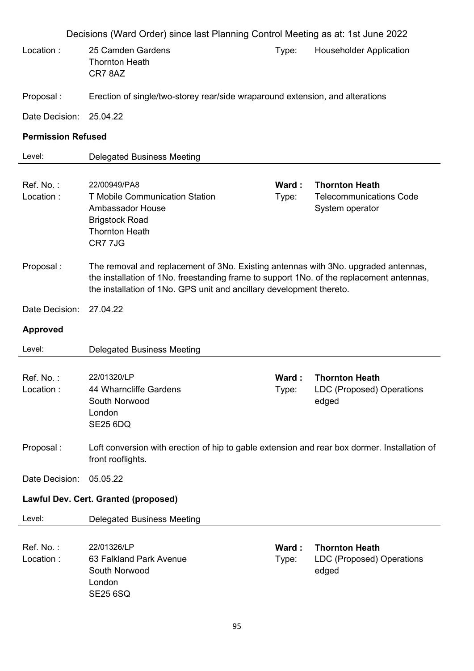|                           | Decisions (Ward Order) since last Planning Control Meeting as at: 1st June 2022                                                                                                                                                                        |                |                                                                            |
|---------------------------|--------------------------------------------------------------------------------------------------------------------------------------------------------------------------------------------------------------------------------------------------------|----------------|----------------------------------------------------------------------------|
| Location:                 | 25 Camden Gardens<br><b>Thornton Heath</b><br>CR78AZ                                                                                                                                                                                                   | Type:          | <b>Householder Application</b>                                             |
| Proposal:                 | Erection of single/two-storey rear/side wraparound extension, and alterations                                                                                                                                                                          |                |                                                                            |
| Date Decision:            | 25.04.22                                                                                                                                                                                                                                               |                |                                                                            |
| <b>Permission Refused</b> |                                                                                                                                                                                                                                                        |                |                                                                            |
| Level:                    | <b>Delegated Business Meeting</b>                                                                                                                                                                                                                      |                |                                                                            |
| Ref. No.:<br>Location:    | 22/00949/PA8<br><b>T Mobile Communication Station</b><br>Ambassador House<br><b>Brigstock Road</b><br><b>Thornton Heath</b><br>CR7 7JG                                                                                                                 | Ward:<br>Type: | <b>Thornton Heath</b><br><b>Telecommunications Code</b><br>System operator |
| Proposal:                 | The removal and replacement of 3No. Existing antennas with 3No. upgraded antennas,<br>the installation of 1No. freestanding frame to support 1No. of the replacement antennas,<br>the installation of 1No. GPS unit and ancillary development thereto. |                |                                                                            |
| Date Decision:            | 27.04.22                                                                                                                                                                                                                                               |                |                                                                            |
| <b>Approved</b>           |                                                                                                                                                                                                                                                        |                |                                                                            |
| Level:                    | <b>Delegated Business Meeting</b>                                                                                                                                                                                                                      |                |                                                                            |
| Ref. No.:<br>Location:    | 22/01320/LP<br>44 Wharncliffe Gardens<br>South Norwood<br>London<br><b>SE25 6DQ</b>                                                                                                                                                                    | Ward:<br>Type: | <b>Thornton Heath</b><br><b>LDC (Proposed) Operations</b><br>edged         |
| Proposal:                 | Loft conversion with erection of hip to gable extension and rear box dormer. Installation of<br>front rooflights.                                                                                                                                      |                |                                                                            |
| Date Decision:            | 05.05.22                                                                                                                                                                                                                                               |                |                                                                            |
|                           | Lawful Dev. Cert. Granted (proposed)                                                                                                                                                                                                                   |                |                                                                            |
| Level:                    | <b>Delegated Business Meeting</b>                                                                                                                                                                                                                      |                |                                                                            |
| Ref. No.:<br>Location:    | 22/01326/LP<br>63 Falkland Park Avenue<br>South Norwood<br>London<br><b>SE25 6SQ</b>                                                                                                                                                                   | Ward:<br>Type: | <b>Thornton Heath</b><br>LDC (Proposed) Operations<br>edged                |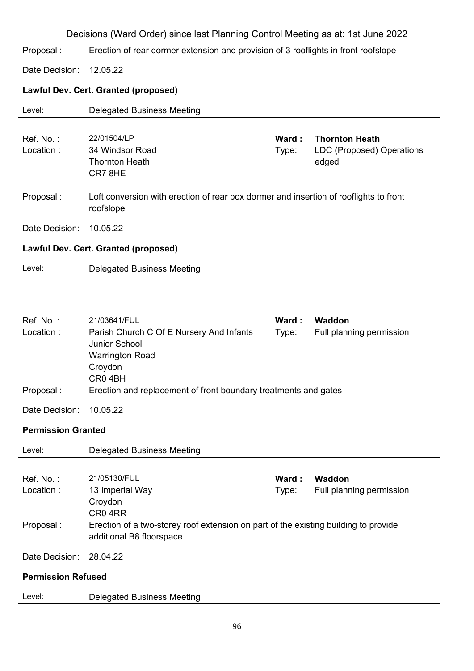Proposal : Erection of rear dormer extension and provision of 3 rooflights in front roofslope

Date Decision: 12.05.22

### **Lawful Dev. Cert. Granted (proposed)**

| Level:                    | <b>Delegated Business Meeting</b>                                                                                         |                |                                                                    |
|---------------------------|---------------------------------------------------------------------------------------------------------------------------|----------------|--------------------------------------------------------------------|
| Ref. No.:<br>Location:    | 22/01504/LP<br>34 Windsor Road<br><b>Thornton Heath</b><br>CR78HE                                                         | Ward:<br>Type: | <b>Thornton Heath</b><br><b>LDC (Proposed) Operations</b><br>edged |
| Proposal:                 | Loft conversion with erection of rear box dormer and insertion of rooflights to front<br>roofslope                        |                |                                                                    |
| Date Decision:            | 10.05.22                                                                                                                  |                |                                                                    |
|                           | Lawful Dev. Cert. Granted (proposed)                                                                                      |                |                                                                    |
| Level:                    | <b>Delegated Business Meeting</b>                                                                                         |                |                                                                    |
|                           |                                                                                                                           |                |                                                                    |
| Ref. No.:<br>Location:    | 21/03641/FUL<br>Parish Church C Of E Nursery And Infants<br>Junior School<br><b>Warrington Road</b><br>Croydon<br>CR04BH  | Ward:<br>Type: | Waddon<br>Full planning permission                                 |
| Proposal:                 | Erection and replacement of front boundary treatments and gates                                                           |                |                                                                    |
| Date Decision:            | 10.05.22                                                                                                                  |                |                                                                    |
| <b>Permission Granted</b> |                                                                                                                           |                |                                                                    |
| Level:                    | <b>Delegated Business Meeting</b>                                                                                         |                |                                                                    |
| Ref. No.:<br>Location:    | 21/05130/FUL<br>13 Imperial Way<br>Croydon                                                                                | Ward:<br>Type: | Waddon<br>Full planning permission                                 |
| Proposal:                 | CR04RR<br>Erection of a two-storey roof extension on part of the existing building to provide<br>additional B8 floorspace |                |                                                                    |
| Date Decision:            | 28.04.22                                                                                                                  |                |                                                                    |
| <b>Permission Refused</b> |                                                                                                                           |                |                                                                    |
| Level:                    | <b>Delegated Business Meeting</b>                                                                                         |                |                                                                    |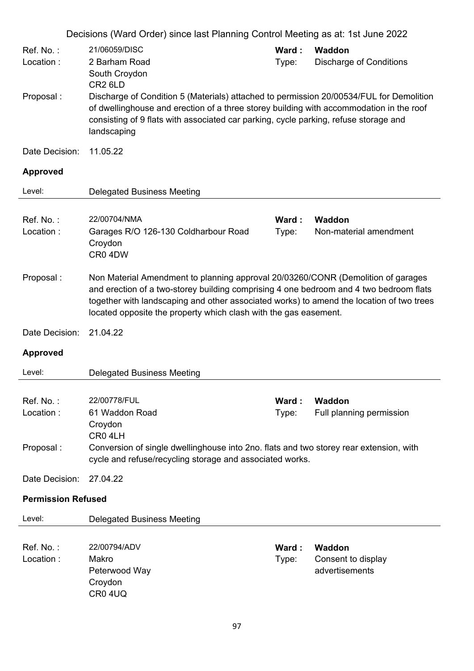|                                     | Decisions (Ward Order) since last Planning Control Meeting as at: 1st June 2022                                                                                                                                                                                                                                                            |                |                                                |
|-------------------------------------|--------------------------------------------------------------------------------------------------------------------------------------------------------------------------------------------------------------------------------------------------------------------------------------------------------------------------------------------|----------------|------------------------------------------------|
| Ref. No.:<br>Location:              | 21/06059/DISC<br>2 Barham Road<br>South Croydon<br>CR <sub>2</sub> 6LD                                                                                                                                                                                                                                                                     | Ward:<br>Type: | Waddon<br><b>Discharge of Conditions</b>       |
| Proposal:                           | Discharge of Condition 5 (Materials) attached to permission 20/00534/FUL for Demolition<br>of dwellinghouse and erection of a three storey building with accommodation in the roof<br>consisting of 9 flats with associated car parking, cycle parking, refuse storage and<br>landscaping                                                  |                |                                                |
| Date Decision:                      | 11.05.22                                                                                                                                                                                                                                                                                                                                   |                |                                                |
| <b>Approved</b>                     |                                                                                                                                                                                                                                                                                                                                            |                |                                                |
| Level:                              | <b>Delegated Business Meeting</b>                                                                                                                                                                                                                                                                                                          |                |                                                |
| Ref. No.:<br>Location:              | 22/00704/NMA<br>Garages R/O 126-130 Coldharbour Road<br>Croydon<br>CR0 4DW                                                                                                                                                                                                                                                                 | Ward:<br>Type: | <b>Waddon</b><br>Non-material amendment        |
| Proposal:                           | Non Material Amendment to planning approval 20/03260/CONR (Demolition of garages<br>and erection of a two-storey building comprising 4 one bedroom and 4 two bedroom flats<br>together with landscaping and other associated works) to amend the location of two trees<br>located opposite the property which clash with the gas easement. |                |                                                |
| Date Decision:                      | 21.04.22                                                                                                                                                                                                                                                                                                                                   |                |                                                |
| <b>Approved</b>                     |                                                                                                                                                                                                                                                                                                                                            |                |                                                |
| Level:                              | <b>Delegated Business Meeting</b>                                                                                                                                                                                                                                                                                                          |                |                                                |
| Ref. No.:<br>Location:<br>Proposal: | 22/00778/FUL<br>61 Waddon Road<br>Croydon<br>CR04LH<br>Conversion of single dwellinghouse into 2no. flats and two storey rear extension, with<br>cycle and refuse/recycling storage and associated works.                                                                                                                                  | Ward:<br>Type: | Waddon<br>Full planning permission             |
| Date Decision:                      | 27.04.22                                                                                                                                                                                                                                                                                                                                   |                |                                                |
| <b>Permission Refused</b>           |                                                                                                                                                                                                                                                                                                                                            |                |                                                |
| Level:                              | <b>Delegated Business Meeting</b>                                                                                                                                                                                                                                                                                                          |                |                                                |
| Ref. No.:<br>Location:              | 22/00794/ADV<br>Makro<br>Peterwood Way<br>Croydon<br><b>CR0 4UQ</b>                                                                                                                                                                                                                                                                        | Ward:<br>Type: | Waddon<br>Consent to display<br>advertisements |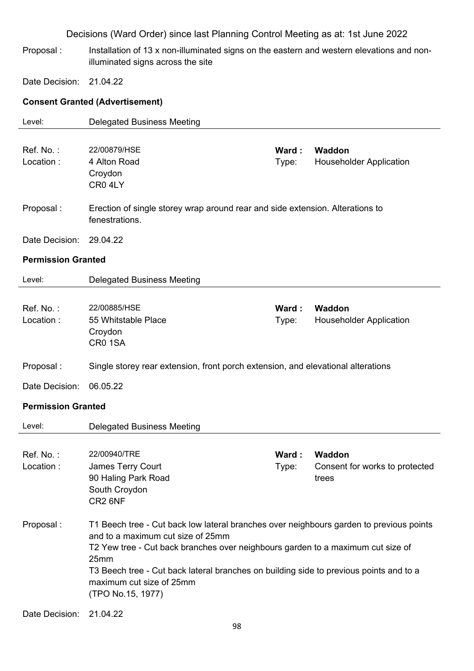Proposal : Installation of 13 x non-illuminated signs on the eastern and western elevations and nonilluminated signs across the site

Date Decision: 21.04.22

### **Consent Granted (Advertisement)**

| Level:                    | <b>Delegated Business Meeting</b>                                                                                                                                                                                                                                                                                                                                  |                 |                                                          |
|---------------------------|--------------------------------------------------------------------------------------------------------------------------------------------------------------------------------------------------------------------------------------------------------------------------------------------------------------------------------------------------------------------|-----------------|----------------------------------------------------------|
| Ref. No.:<br>Location:    | 22/00879/HSE<br>4 Alton Road<br>Croydon<br>CR04LY                                                                                                                                                                                                                                                                                                                  | Ward:<br>Type:  | Waddon<br><b>Householder Application</b>                 |
| Proposal:                 | Erection of single storey wrap around rear and side extension. Alterations to<br>fenestrations.                                                                                                                                                                                                                                                                    |                 |                                                          |
| Date Decision:            | 29.04.22                                                                                                                                                                                                                                                                                                                                                           |                 |                                                          |
| <b>Permission Granted</b> |                                                                                                                                                                                                                                                                                                                                                                    |                 |                                                          |
| Level:                    | <b>Delegated Business Meeting</b>                                                                                                                                                                                                                                                                                                                                  |                 |                                                          |
| Ref. No.:<br>Location:    | 22/00885/HSE<br>55 Whitstable Place<br>Croydon<br>CR01SA                                                                                                                                                                                                                                                                                                           | Ward :<br>Type: | Waddon<br><b>Householder Application</b>                 |
| Proposal:                 | Single storey rear extension, front porch extension, and elevational alterations                                                                                                                                                                                                                                                                                   |                 |                                                          |
| Date Decision:            | 06.05.22                                                                                                                                                                                                                                                                                                                                                           |                 |                                                          |
| <b>Permission Granted</b> |                                                                                                                                                                                                                                                                                                                                                                    |                 |                                                          |
| Level:                    | <b>Delegated Business Meeting</b>                                                                                                                                                                                                                                                                                                                                  |                 |                                                          |
| Ref. No.:<br>Location :   | 22/00940/TRE<br><b>James Terry Court</b><br>90 Haling Park Road<br>South Croydon<br>CR2 6NF                                                                                                                                                                                                                                                                        | Ward:<br>Type:  | <b>Waddon</b><br>Consent for works to protected<br>trees |
| Proposal:                 | T1 Beech tree - Cut back low lateral branches over neighbours garden to previous points<br>and to a maximum cut size of 25mm<br>T2 Yew tree - Cut back branches over neighbours garden to a maximum cut size of<br>25mm<br>T3 Beech tree - Cut back lateral branches on building side to previous points and to a<br>maximum cut size of 25mm<br>(TPO No.15, 1977) |                 |                                                          |
| Date Decision:            | 21.04.22                                                                                                                                                                                                                                                                                                                                                           |                 |                                                          |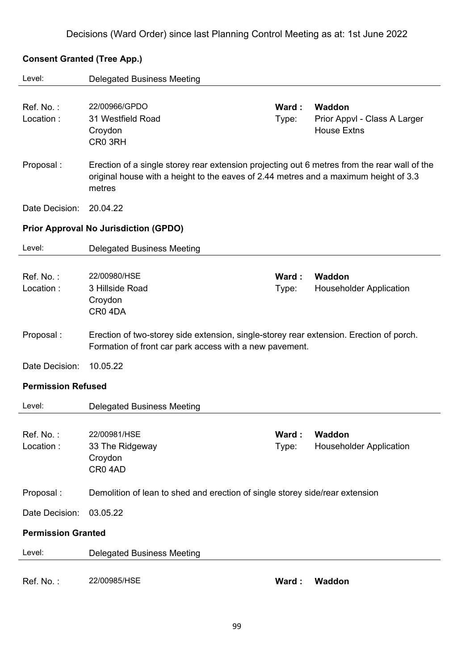### **Consent Granted (Tree App.)**

| Level:                    | <b>Delegated Business Meeting</b>                                                                                                                                                              |       |                                |
|---------------------------|------------------------------------------------------------------------------------------------------------------------------------------------------------------------------------------------|-------|--------------------------------|
|                           |                                                                                                                                                                                                |       |                                |
| Ref. No.:                 | 22/00966/GPDO                                                                                                                                                                                  | Ward: | Waddon                         |
| Location:                 | 31 Westfield Road                                                                                                                                                                              | Type: | Prior Appvl - Class A Larger   |
|                           | Croydon                                                                                                                                                                                        |       | <b>House Extns</b>             |
|                           | CR0 3RH                                                                                                                                                                                        |       |                                |
| Proposal:                 | Erection of a single storey rear extension projecting out 6 metres from the rear wall of the<br>original house with a height to the eaves of 2.44 metres and a maximum height of 3.3<br>metres |       |                                |
| Date Decision:            | 20.04.22                                                                                                                                                                                       |       |                                |
|                           | <b>Prior Approval No Jurisdiction (GPDO)</b>                                                                                                                                                   |       |                                |
| Level:                    | <b>Delegated Business Meeting</b>                                                                                                                                                              |       |                                |
|                           |                                                                                                                                                                                                |       |                                |
| Ref. No.:                 | 22/00980/HSE                                                                                                                                                                                   | Ward: | Waddon                         |
| Location:                 | 3 Hillside Road                                                                                                                                                                                | Type: | <b>Householder Application</b> |
|                           | Croydon                                                                                                                                                                                        |       |                                |
|                           | CR04DA                                                                                                                                                                                         |       |                                |
| Proposal:                 | Erection of two-storey side extension, single-storey rear extension. Erection of porch.<br>Formation of front car park access with a new pavement.                                             |       |                                |
| Date Decision:            | 10.05.22                                                                                                                                                                                       |       |                                |
| <b>Permission Refused</b> |                                                                                                                                                                                                |       |                                |
| Level:                    | <b>Delegated Business Meeting</b>                                                                                                                                                              |       |                                |
|                           |                                                                                                                                                                                                |       |                                |
| Ref. No.:                 | 22/00981/HSE                                                                                                                                                                                   | Ward: | Waddon                         |
| Location:                 | 33 The Ridgeway                                                                                                                                                                                | Type: | <b>Householder Application</b> |
|                           | Croydon                                                                                                                                                                                        |       |                                |
|                           | CR04AD                                                                                                                                                                                         |       |                                |
| Proposal:                 | Demolition of lean to shed and erection of single storey side/rear extension                                                                                                                   |       |                                |
| Date Decision:            | 03.05.22                                                                                                                                                                                       |       |                                |
| <b>Permission Granted</b> |                                                                                                                                                                                                |       |                                |
| Level:                    | <b>Delegated Business Meeting</b>                                                                                                                                                              |       |                                |
|                           |                                                                                                                                                                                                |       |                                |
| Ref. No.:                 | 22/00985/HSE                                                                                                                                                                                   | Ward: | Waddon                         |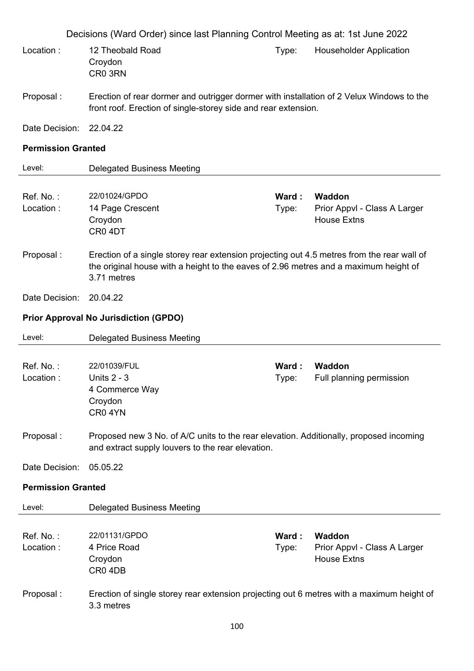|                           | Decisions (Ward Order) since last Planning Control Meeting as at: 1st June 2022                                                                                                                   |                 |                                                                     |
|---------------------------|---------------------------------------------------------------------------------------------------------------------------------------------------------------------------------------------------|-----------------|---------------------------------------------------------------------|
| Location:                 | 12 Theobald Road<br>Croydon<br>CR0 3RN                                                                                                                                                            | Type:           | <b>Householder Application</b>                                      |
| Proposal:                 | Erection of rear dormer and outrigger dormer with installation of 2 Velux Windows to the<br>front roof. Erection of single-storey side and rear extension.                                        |                 |                                                                     |
| Date Decision:            | 22.04.22                                                                                                                                                                                          |                 |                                                                     |
| <b>Permission Granted</b> |                                                                                                                                                                                                   |                 |                                                                     |
| Level:                    | <b>Delegated Business Meeting</b>                                                                                                                                                                 |                 |                                                                     |
| Ref. No.:<br>Location:    | 22/01024/GPDO<br>14 Page Crescent<br>Croydon<br>CR04DT                                                                                                                                            | Ward:<br>Type:  | <b>Waddon</b><br>Prior Appvl - Class A Larger<br><b>House Extns</b> |
| Proposal:                 | Erection of a single storey rear extension projecting out 4.5 metres from the rear wall of<br>the original house with a height to the eaves of 2.96 metres and a maximum height of<br>3.71 metres |                 |                                                                     |
| Date Decision:            | 20.04.22                                                                                                                                                                                          |                 |                                                                     |
|                           | <b>Prior Approval No Jurisdiction (GPDO)</b>                                                                                                                                                      |                 |                                                                     |
| Level:                    | <b>Delegated Business Meeting</b>                                                                                                                                                                 |                 |                                                                     |
|                           |                                                                                                                                                                                                   |                 | <b>Waddon</b>                                                       |
| Ref. No.:<br>Location:    | 22/01039/FUL<br><b>Units 2 - 3</b><br>4 Commerce Way<br>Croydon<br>CR04YN                                                                                                                         | Ward :<br>Type: | Full planning permission                                            |
| Proposal:                 | Proposed new 3 No. of A/C units to the rear elevation. Additionally, proposed incoming<br>and extract supply louvers to the rear elevation.                                                       |                 |                                                                     |
| Date Decision:            | 05.05.22                                                                                                                                                                                          |                 |                                                                     |
| <b>Permission Granted</b> |                                                                                                                                                                                                   |                 |                                                                     |
| Level:                    | <b>Delegated Business Meeting</b>                                                                                                                                                                 |                 |                                                                     |
| Ref. No.:<br>Location:    | 22/01131/GPDO<br>4 Price Road<br>Croydon<br>CR04DB                                                                                                                                                | Ward:<br>Type:  | Waddon<br>Prior Appvl - Class A Larger<br><b>House Extns</b>        |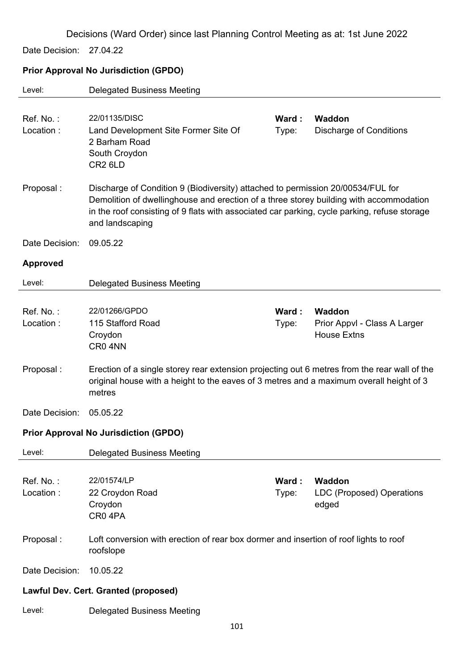Date Decision: 27.04.22

## **Prior Approval No Jurisdiction (GPDO)**

| Level:                 | <b>Delegated Business Meeting</b>                                                                                                                                                                                                                                                            |                |                                                              |
|------------------------|----------------------------------------------------------------------------------------------------------------------------------------------------------------------------------------------------------------------------------------------------------------------------------------------|----------------|--------------------------------------------------------------|
| Ref. No.:<br>Location: | 22/01135/DISC<br>Land Development Site Former Site Of<br>2 Barham Road<br>South Croydon<br>CR <sub>2</sub> 6LD                                                                                                                                                                               | Ward:<br>Type: | Waddon<br><b>Discharge of Conditions</b>                     |
| Proposal:              | Discharge of Condition 9 (Biodiversity) attached to permission 20/00534/FUL for<br>Demolition of dwellinghouse and erection of a three storey building with accommodation<br>in the roof consisting of 9 flats with associated car parking, cycle parking, refuse storage<br>and landscaping |                |                                                              |
| Date Decision:         | 09.05.22                                                                                                                                                                                                                                                                                     |                |                                                              |
| <b>Approved</b>        |                                                                                                                                                                                                                                                                                              |                |                                                              |
| Level:                 | <b>Delegated Business Meeting</b>                                                                                                                                                                                                                                                            |                |                                                              |
|                        |                                                                                                                                                                                                                                                                                              |                |                                                              |
| Ref. No.:<br>Location: | 22/01266/GPDO<br>115 Stafford Road<br>Croydon<br>CR0 4NN                                                                                                                                                                                                                                     | Ward:<br>Type: | Waddon<br>Prior Appvl - Class A Larger<br><b>House Extns</b> |
| Proposal:              | Erection of a single storey rear extension projecting out 6 metres from the rear wall of the<br>original house with a height to the eaves of 3 metres and a maximum overall height of 3<br>metres                                                                                            |                |                                                              |
| Date Decision:         | 05.05.22                                                                                                                                                                                                                                                                                     |                |                                                              |
|                        | <b>Prior Approval No Jurisdiction (GPDO)</b>                                                                                                                                                                                                                                                 |                |                                                              |
| Level:                 | <b>Delegated Business Meeting</b>                                                                                                                                                                                                                                                            |                |                                                              |
| Ref. No.:<br>Location: | 22/01574/LP<br>22 Croydon Road<br>Croydon<br>CR04PA                                                                                                                                                                                                                                          | Ward:<br>Type: | Waddon<br><b>LDC (Proposed) Operations</b><br>edged          |
| Proposal:              | Loft conversion with erection of rear box dormer and insertion of roof lights to roof<br>roofslope                                                                                                                                                                                           |                |                                                              |
| Date Decision:         | 10.05.22                                                                                                                                                                                                                                                                                     |                |                                                              |
|                        | <b>Lawful Dev. Cert. Granted (proposed)</b>                                                                                                                                                                                                                                                  |                |                                                              |
| Level:                 | <b>Delegated Business Meeting</b>                                                                                                                                                                                                                                                            |                |                                                              |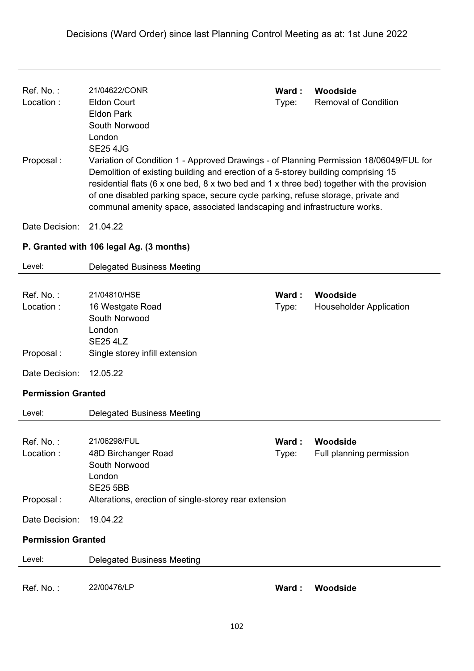| Ref. No.:<br>Location:<br>Proposal: | 21/04622/CONR<br><b>Eldon Court</b><br><b>Eldon Park</b><br>South Norwood<br>London<br><b>SE25 4JG</b><br>Variation of Condition 1 - Approved Drawings - of Planning Permission 18/06049/FUL for<br>Demolition of existing building and erection of a 5-storey building comprising 15<br>residential flats (6 x one bed, 8 x two bed and 1 x three bed) together with the provision<br>of one disabled parking space, secure cycle parking, refuse storage, private and<br>communal amenity space, associated landscaping and infrastructure works. | Ward:<br>Type: | Woodside<br><b>Removal of Condition</b>    |
|-------------------------------------|-----------------------------------------------------------------------------------------------------------------------------------------------------------------------------------------------------------------------------------------------------------------------------------------------------------------------------------------------------------------------------------------------------------------------------------------------------------------------------------------------------------------------------------------------------|----------------|--------------------------------------------|
| Date Decision:                      | 21.04.22                                                                                                                                                                                                                                                                                                                                                                                                                                                                                                                                            |                |                                            |
|                                     | P. Granted with 106 legal Ag. (3 months)                                                                                                                                                                                                                                                                                                                                                                                                                                                                                                            |                |                                            |
| Level:                              | <b>Delegated Business Meeting</b>                                                                                                                                                                                                                                                                                                                                                                                                                                                                                                                   |                |                                            |
| Ref. No.:<br>Location:              | 21/04810/HSE<br>16 Westgate Road<br>South Norwood<br>London<br><b>SE25 4LZ</b>                                                                                                                                                                                                                                                                                                                                                                                                                                                                      | Ward:<br>Type: | Woodside<br><b>Householder Application</b> |
| Proposal:                           | Single storey infill extension                                                                                                                                                                                                                                                                                                                                                                                                                                                                                                                      |                |                                            |
| Date Decision:                      | 12.05.22                                                                                                                                                                                                                                                                                                                                                                                                                                                                                                                                            |                |                                            |
| <b>Permission Granted</b>           |                                                                                                                                                                                                                                                                                                                                                                                                                                                                                                                                                     |                |                                            |
| Level:                              | <b>Delegated Business Meeting</b>                                                                                                                                                                                                                                                                                                                                                                                                                                                                                                                   |                |                                            |
| Ref. No.:<br>Location:              | 21/06298/FUL<br>48D Birchanger Road<br>South Norwood<br>London<br><b>SE25 5BB</b>                                                                                                                                                                                                                                                                                                                                                                                                                                                                   | Ward:<br>Type: | Woodside<br>Full planning permission       |
| Proposal:                           | Alterations, erection of single-storey rear extension                                                                                                                                                                                                                                                                                                                                                                                                                                                                                               |                |                                            |
| Date Decision:                      | 19.04.22                                                                                                                                                                                                                                                                                                                                                                                                                                                                                                                                            |                |                                            |
| <b>Permission Granted</b>           |                                                                                                                                                                                                                                                                                                                                                                                                                                                                                                                                                     |                |                                            |
| Level:                              | <b>Delegated Business Meeting</b>                                                                                                                                                                                                                                                                                                                                                                                                                                                                                                                   |                |                                            |
| Ref. No.:                           | 22/00476/LP                                                                                                                                                                                                                                                                                                                                                                                                                                                                                                                                         | Ward:          | Woodside                                   |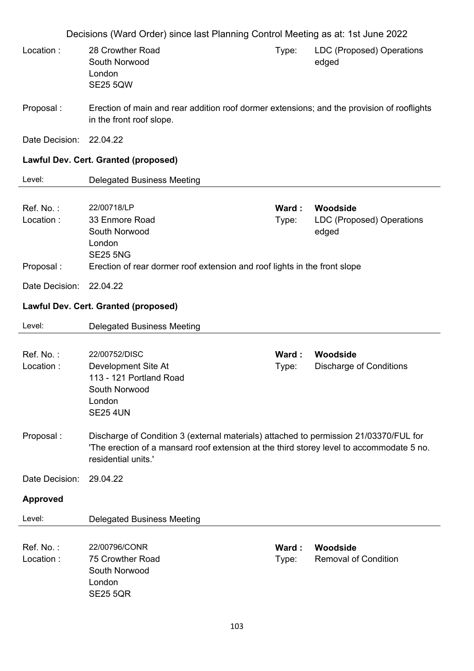Decisions (Ward Order) since last Planning Control Meeting as at: 1st June 2022 Location : 28 Crowther Road South Norwood London SE25 5QW Type: LDC (Proposed) Operations edged Proposal : Erection of main and rear addition roof dormer extensions; and the provision of rooflights in the front roof slope. Date Decision: 22.04.22 **Lawful Dev. Cert. Granted (proposed)**  Level: Delegated Business Meeting Ref. No. : 22/00718/LP **Ward : Woodside** Location : 33 Enmore Road South Norwood London SE25 5NG Type: LDC (Proposed) Operations edged Proposal : Erection of rear dormer roof extension and roof lights in the front slope Date Decision: 22.04.22 **Lawful Dev. Cert. Granted (proposed)**  Level: Delegated Business Meeting Ref. No. : 22/00752/DISC **Ward : Woodside** Location : Development Site At 113 - 121 Portland Road South Norwood London SE25 4UN Type: Discharge of Conditions Proposal : Discharge of Condition 3 (external materials) attached to permission 21/03370/FUL for 'The erection of a mansard roof extension at the third storey level to accommodate 5 no. residential units.' Date Decision: 29.04.22 **Approved**  Level: Delegated Business Meeting Ref. No. : 22/00796/CONR **Ward : Woodside** Location : 75 Crowther Road South Norwood London SE25 5QR Type: Removal of Condition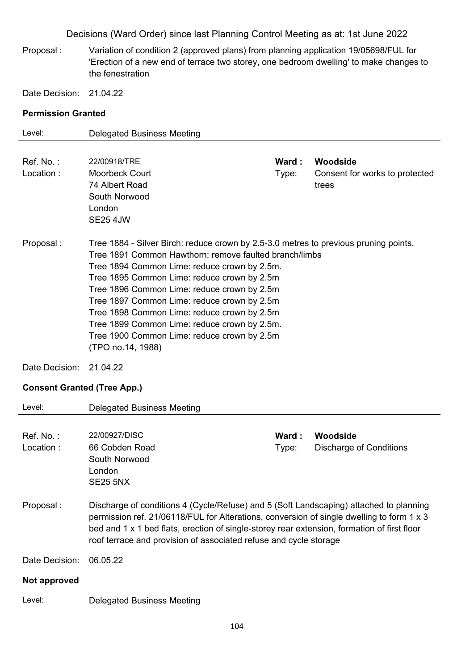Proposal : Variation of condition 2 (approved plans) from planning application 19/05698/FUL for 'Erection of a new end of terrace two storey, one bedroom dwelling' to make changes to the fenestration

Date Decision: 21.04.22

### **Permission Granted**

| Level:                             | <b>Delegated Business Meeting</b>                                                           |       |                                |
|------------------------------------|---------------------------------------------------------------------------------------------|-------|--------------------------------|
|                                    |                                                                                             |       |                                |
| Ref. No.:                          | 22/00918/TRE                                                                                | Ward: | Woodside                       |
| Location:                          | <b>Moorbeck Court</b>                                                                       | Type: | Consent for works to protected |
|                                    | 74 Albert Road                                                                              |       | trees                          |
|                                    | South Norwood                                                                               |       |                                |
|                                    | London                                                                                      |       |                                |
|                                    | <b>SE25 4JW</b>                                                                             |       |                                |
| Proposal:                          | Tree 1884 - Silver Birch: reduce crown by 2.5-3.0 metres to previous pruning points.        |       |                                |
|                                    | Tree 1891 Common Hawthorn: remove faulted branch/limbs                                      |       |                                |
|                                    | Tree 1894 Common Lime: reduce crown by 2.5m.                                                |       |                                |
|                                    | Tree 1895 Common Lime: reduce crown by 2.5m                                                 |       |                                |
|                                    | Tree 1896 Common Lime: reduce crown by 2.5m                                                 |       |                                |
|                                    | Tree 1897 Common Lime: reduce crown by 2.5m                                                 |       |                                |
|                                    | Tree 1898 Common Lime: reduce crown by 2.5m                                                 |       |                                |
|                                    | Tree 1899 Common Lime: reduce crown by 2.5m.<br>Tree 1900 Common Lime: reduce crown by 2.5m |       |                                |
|                                    | (TPO no.14, 1988)                                                                           |       |                                |
|                                    |                                                                                             |       |                                |
| Date Decision:                     | 21.04.22                                                                                    |       |                                |
| <b>Consent Granted (Tree App.)</b> |                                                                                             |       |                                |
| Level:                             | <b>Delegated Business Meeting</b>                                                           |       |                                |
|                                    |                                                                                             |       |                                |
| Ref. No.:                          | 22/00927/DISC                                                                               | Ward: | Woodside                       |
| Location:                          | 66 Cobden Road                                                                              | Type: | <b>Discharge of Conditions</b> |
|                                    | South Norwood                                                                               |       |                                |
|                                    | London                                                                                      |       |                                |
|                                    | <b>SE25 5NX</b>                                                                             |       |                                |
| Proposal:                          | Discharge of conditions 4 (Cycle/Refuse) and 5 (Soft Landscaping) attached to planning      |       |                                |
|                                    | permission ref. 21/06118/FUL for Alterations, conversion of single dwelling to form 1 x 3   |       |                                |
|                                    | bed and 1 x 1 bed flats, erection of single-storey rear extension, formation of first floor |       |                                |

Date Decision: 06.05.22

#### **Not approved**

Level: Delegated Business Meeting

roof terrace and provision of associated refuse and cycle storage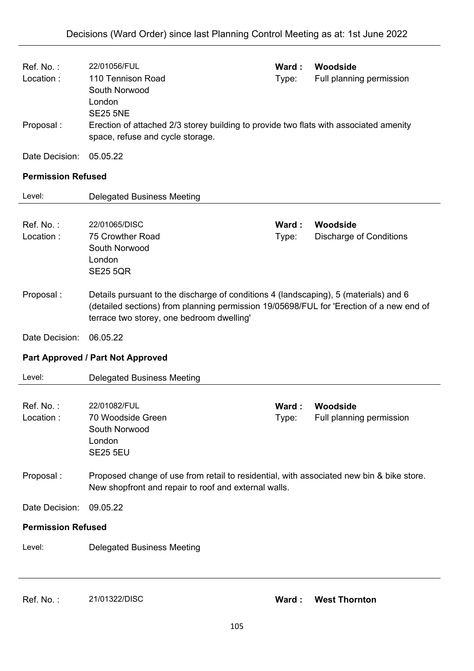| Ref. No.:<br>Location:<br>Proposal: | 22/01056/FUL<br>110 Tennison Road<br>South Norwood<br>London<br><b>SE25 5NE</b><br>Erection of attached 2/3 storey building to provide two flats with associated amenity<br>space, refuse and cycle storage.                 | Ward :<br>Type: | Woodside<br>Full planning permission       |
|-------------------------------------|------------------------------------------------------------------------------------------------------------------------------------------------------------------------------------------------------------------------------|-----------------|--------------------------------------------|
| Date Decision:                      | 05.05.22                                                                                                                                                                                                                     |                 |                                            |
| <b>Permission Refused</b>           |                                                                                                                                                                                                                              |                 |                                            |
| Level:                              | <b>Delegated Business Meeting</b>                                                                                                                                                                                            |                 |                                            |
| Ref. No.:<br>Location:              | 22/01065/DISC<br>75 Crowther Road<br>South Norwood<br>London<br><b>SE25 5QR</b>                                                                                                                                              | Ward:<br>Type:  | Woodside<br><b>Discharge of Conditions</b> |
| Proposal:                           | Details pursuant to the discharge of conditions 4 (landscaping), 5 (materials) and 6<br>(detailed sections) from planning permission 19/05698/FUL for 'Erection of a new end of<br>terrace two storey, one bedroom dwelling' |                 |                                            |
| Date Decision:                      | 06.05.22                                                                                                                                                                                                                     |                 |                                            |
|                                     | Part Approved / Part Not Approved                                                                                                                                                                                            |                 |                                            |
| Level:                              | <b>Delegated Business Meeting</b>                                                                                                                                                                                            |                 |                                            |
| Ref. No.:<br>Location:              | 22/01082/FUL<br>70 Woodside Green<br>South Norwood<br>London<br><b>SE25 5EU</b>                                                                                                                                              | Ward:<br>Type:  | Woodside<br>Full planning permission       |
| Proposal:                           | Proposed change of use from retail to residential, with associated new bin & bike store.<br>New shopfront and repair to roof and external walls.                                                                             |                 |                                            |
| Date Decision:                      | 09.05.22                                                                                                                                                                                                                     |                 |                                            |
| <b>Permission Refused</b>           |                                                                                                                                                                                                                              |                 |                                            |
| Level:                              | <b>Delegated Business Meeting</b>                                                                                                                                                                                            |                 |                                            |
|                                     |                                                                                                                                                                                                                              |                 |                                            |

Ref. No. : 21/01322/DISC **Ward : West Thornton**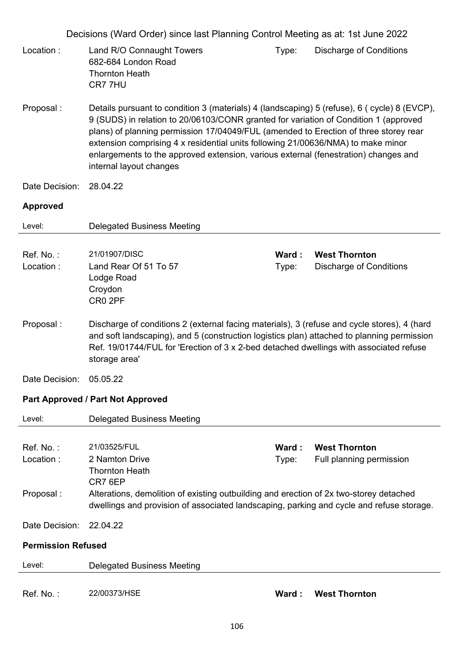|                           | Decisions (Ward Order) since last Planning Control Meeting as at: 1st June 2022                                                                                                                                                                                                                                                                                                                                                                                                   |                 |                                                        |
|---------------------------|-----------------------------------------------------------------------------------------------------------------------------------------------------------------------------------------------------------------------------------------------------------------------------------------------------------------------------------------------------------------------------------------------------------------------------------------------------------------------------------|-----------------|--------------------------------------------------------|
| Location:                 | Land R/O Connaught Towers<br>682-684 London Road<br><b>Thornton Heath</b><br>CR7 7HU                                                                                                                                                                                                                                                                                                                                                                                              | Type:           | <b>Discharge of Conditions</b>                         |
| Proposal:                 | Details pursuant to condition 3 (materials) 4 (landscaping) 5 (refuse), 6 (cycle) 8 (EVCP),<br>9 (SUDS) in relation to 20/06103/CONR granted for variation of Condition 1 (approved<br>plans) of planning permission 17/04049/FUL (amended to Erection of three storey rear<br>extension comprising 4 x residential units following 21/00636/NMA) to make minor<br>enlargements to the approved extension, various external (fenestration) changes and<br>internal layout changes |                 |                                                        |
| Date Decision:            | 28.04.22                                                                                                                                                                                                                                                                                                                                                                                                                                                                          |                 |                                                        |
| <b>Approved</b>           |                                                                                                                                                                                                                                                                                                                                                                                                                                                                                   |                 |                                                        |
| Level:                    | <b>Delegated Business Meeting</b>                                                                                                                                                                                                                                                                                                                                                                                                                                                 |                 |                                                        |
| Ref. No.:<br>Location:    | 21/01907/DISC<br>Land Rear Of 51 To 57<br>Lodge Road<br>Croydon<br>CR0 2PF                                                                                                                                                                                                                                                                                                                                                                                                        | Ward:<br>Type:  | <b>West Thornton</b><br><b>Discharge of Conditions</b> |
| Proposal:                 | Discharge of conditions 2 (external facing materials), 3 (refuse and cycle stores), 4 (hard<br>and soft landscaping), and 5 (construction logistics plan) attached to planning permission<br>Ref. 19/01744/FUL for 'Erection of 3 x 2-bed detached dwellings with associated refuse<br>storage area'                                                                                                                                                                              |                 |                                                        |
| Date Decision:            | 05.05.22                                                                                                                                                                                                                                                                                                                                                                                                                                                                          |                 |                                                        |
|                           | <b>Part Approved / Part Not Approved</b>                                                                                                                                                                                                                                                                                                                                                                                                                                          |                 |                                                        |
| Level:                    | <b>Delegated Business Meeting</b>                                                                                                                                                                                                                                                                                                                                                                                                                                                 |                 |                                                        |
| Ref. No.:<br>Location:    | 21/03525/FUL<br>2 Namton Drive<br><b>Thornton Heath</b><br>CR7 6EP                                                                                                                                                                                                                                                                                                                                                                                                                | Ward :<br>Type: | <b>West Thornton</b><br>Full planning permission       |
| Proposal:                 | Alterations, demolition of existing outbuilding and erection of 2x two-storey detached<br>dwellings and provision of associated landscaping, parking and cycle and refuse storage.                                                                                                                                                                                                                                                                                                |                 |                                                        |
| Date Decision:            | 22.04.22                                                                                                                                                                                                                                                                                                                                                                                                                                                                          |                 |                                                        |
| <b>Permission Refused</b> |                                                                                                                                                                                                                                                                                                                                                                                                                                                                                   |                 |                                                        |
| Level:                    | <b>Delegated Business Meeting</b>                                                                                                                                                                                                                                                                                                                                                                                                                                                 |                 |                                                        |
| Ref. No.:                 | 22/00373/HSE                                                                                                                                                                                                                                                                                                                                                                                                                                                                      | Ward:           | <b>West Thornton</b>                                   |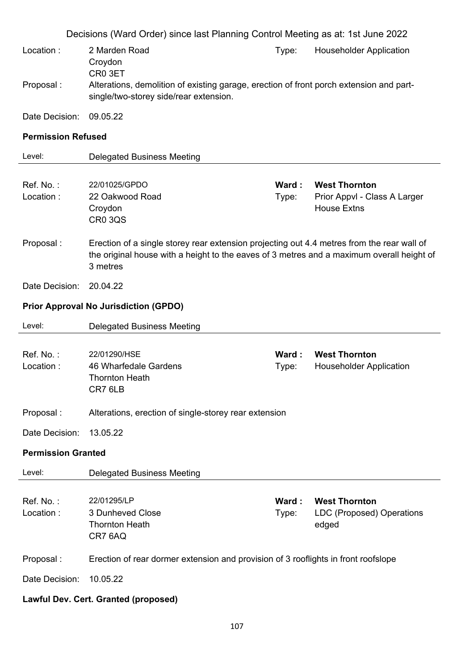|                           | Decisions (Ward Order) since last Planning Control Meeting as at: 1st June 2022                                                                                                                     |                |                                                                            |
|---------------------------|-----------------------------------------------------------------------------------------------------------------------------------------------------------------------------------------------------|----------------|----------------------------------------------------------------------------|
| Location:                 | 2 Marden Road<br>Croydon                                                                                                                                                                            | Type:          | <b>Householder Application</b>                                             |
| Proposal:                 | CR0 3ET<br>Alterations, demolition of existing garage, erection of front porch extension and part-<br>single/two-storey side/rear extension.                                                        |                |                                                                            |
| Date Decision:            | 09.05.22                                                                                                                                                                                            |                |                                                                            |
| <b>Permission Refused</b> |                                                                                                                                                                                                     |                |                                                                            |
| Level:                    | <b>Delegated Business Meeting</b>                                                                                                                                                                   |                |                                                                            |
| Ref. No.:<br>Location:    | 22/01025/GPDO<br>22 Oakwood Road<br>Croydon<br><b>CR0 3QS</b>                                                                                                                                       | Ward:<br>Type: | <b>West Thornton</b><br>Prior Appvl - Class A Larger<br><b>House Extns</b> |
| Proposal:                 | Erection of a single storey rear extension projecting out 4.4 metres from the rear wall of<br>the original house with a height to the eaves of 3 metres and a maximum overall height of<br>3 metres |                |                                                                            |
| Date Decision:            | 20.04.22                                                                                                                                                                                            |                |                                                                            |
|                           | <b>Prior Approval No Jurisdiction (GPDO)</b>                                                                                                                                                        |                |                                                                            |
|                           |                                                                                                                                                                                                     |                |                                                                            |
| Level:                    | <b>Delegated Business Meeting</b>                                                                                                                                                                   |                |                                                                            |
| Ref. No.:<br>Location:    | 22/01290/HSE<br>46 Wharfedale Gardens<br><b>Thornton Heath</b><br>CR7 6LB                                                                                                                           | Ward:<br>Type: | <b>West Thornton</b><br><b>Householder Application</b>                     |
| Proposal:                 | Alterations, erection of single-storey rear extension                                                                                                                                               |                |                                                                            |
| Date Decision:            | 13.05.22                                                                                                                                                                                            |                |                                                                            |
| <b>Permission Granted</b> |                                                                                                                                                                                                     |                |                                                                            |
| Level:                    | <b>Delegated Business Meeting</b>                                                                                                                                                                   |                |                                                                            |
| Ref. No.:<br>Location:    | 22/01295/LP<br>3 Dunheved Close<br><b>Thornton Heath</b><br>CR7 6AQ                                                                                                                                 | Ward:<br>Type: | <b>West Thornton</b><br><b>LDC (Proposed) Operations</b><br>edged          |
| Proposal:                 | Erection of rear dormer extension and provision of 3 rooflights in front roofslope                                                                                                                  |                |                                                                            |
| Date Decision:            | 10.05.22                                                                                                                                                                                            |                |                                                                            |